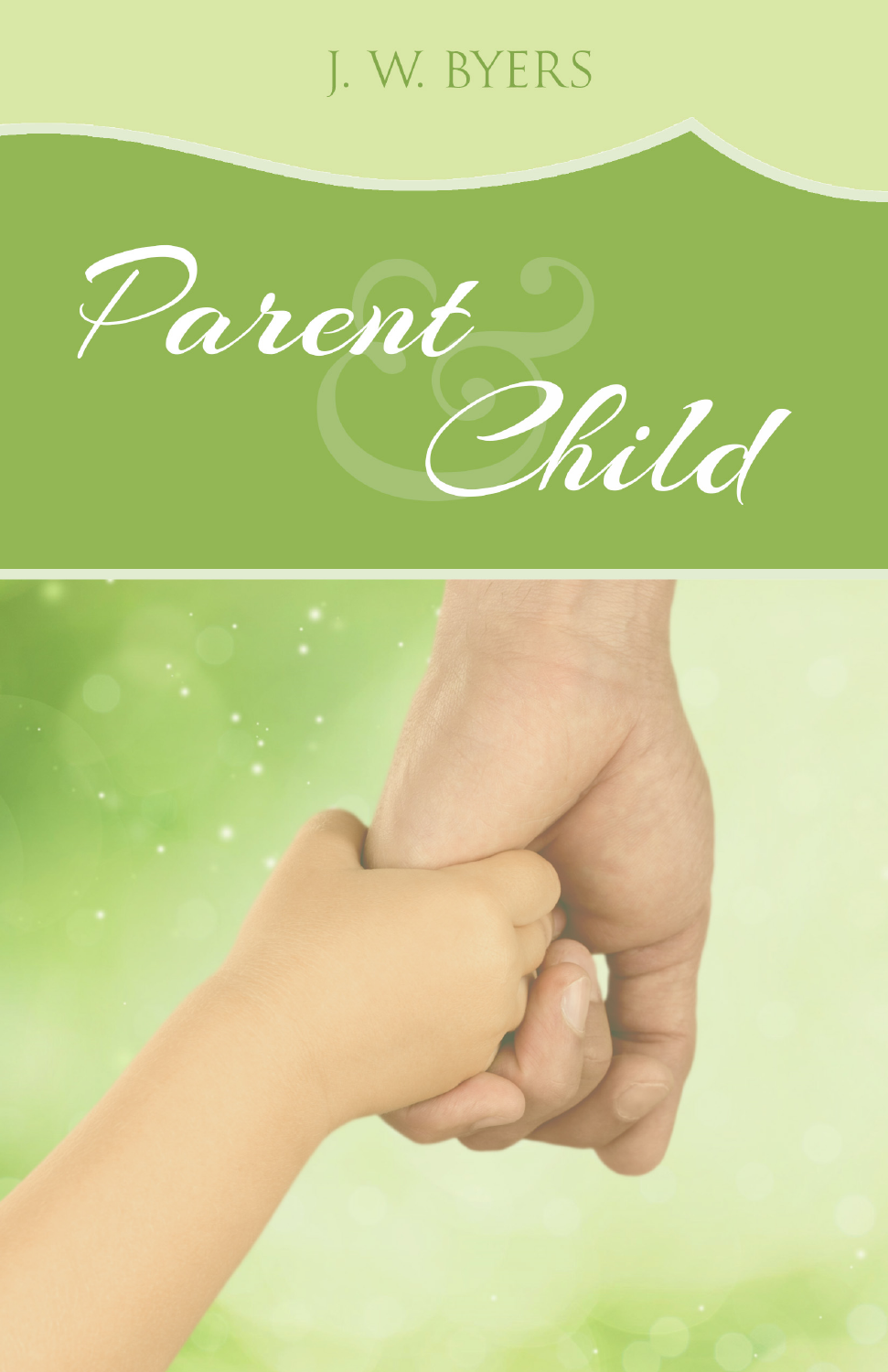## J. W. BYERS

Parent Phild

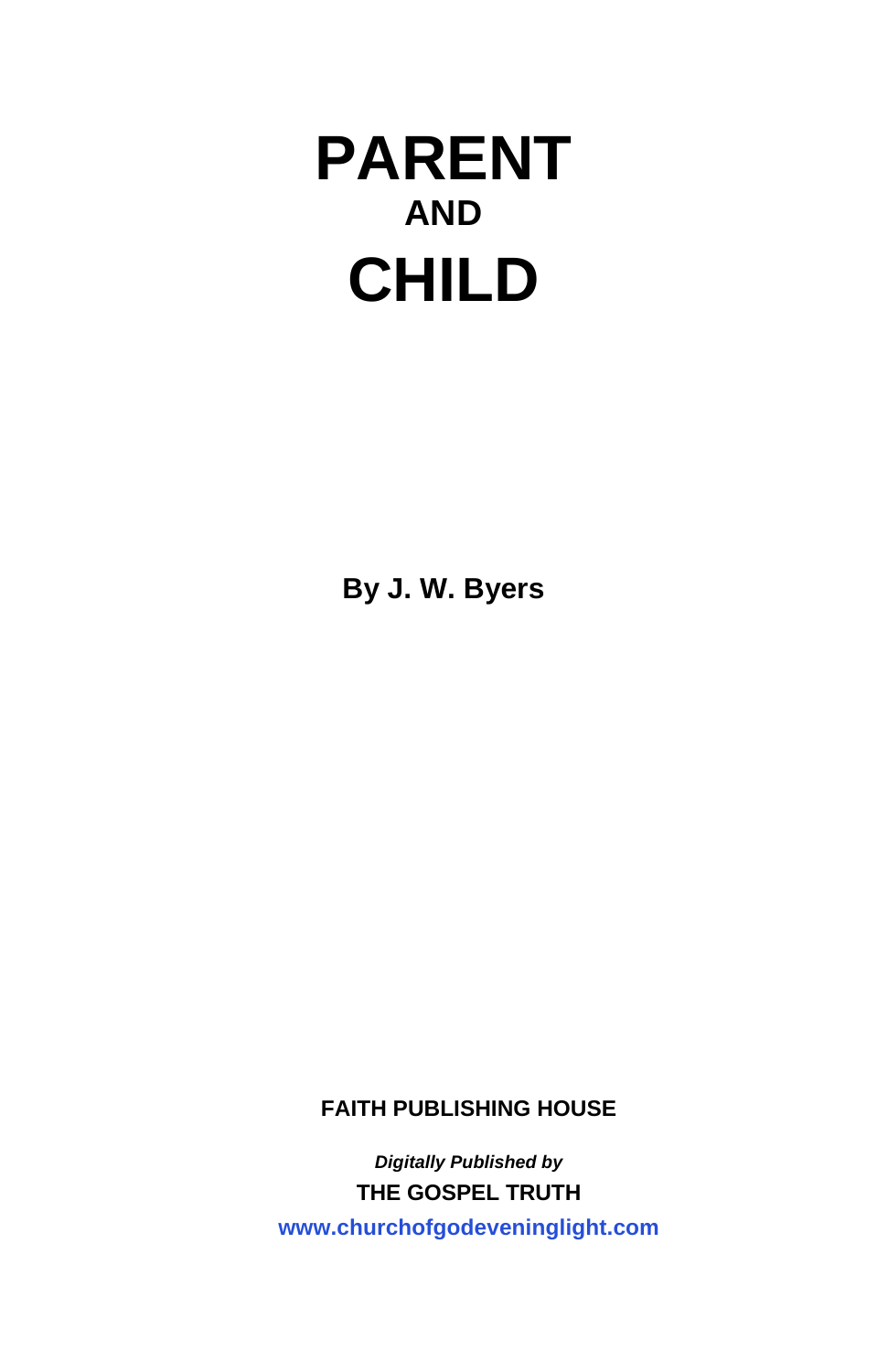**By J. W. Byers**

**FAITH PUBLISHING HOUSE** 

*Digitally Published by*  **THE GOSPEL TRUTH <www.churchofgodeveninglight.com>**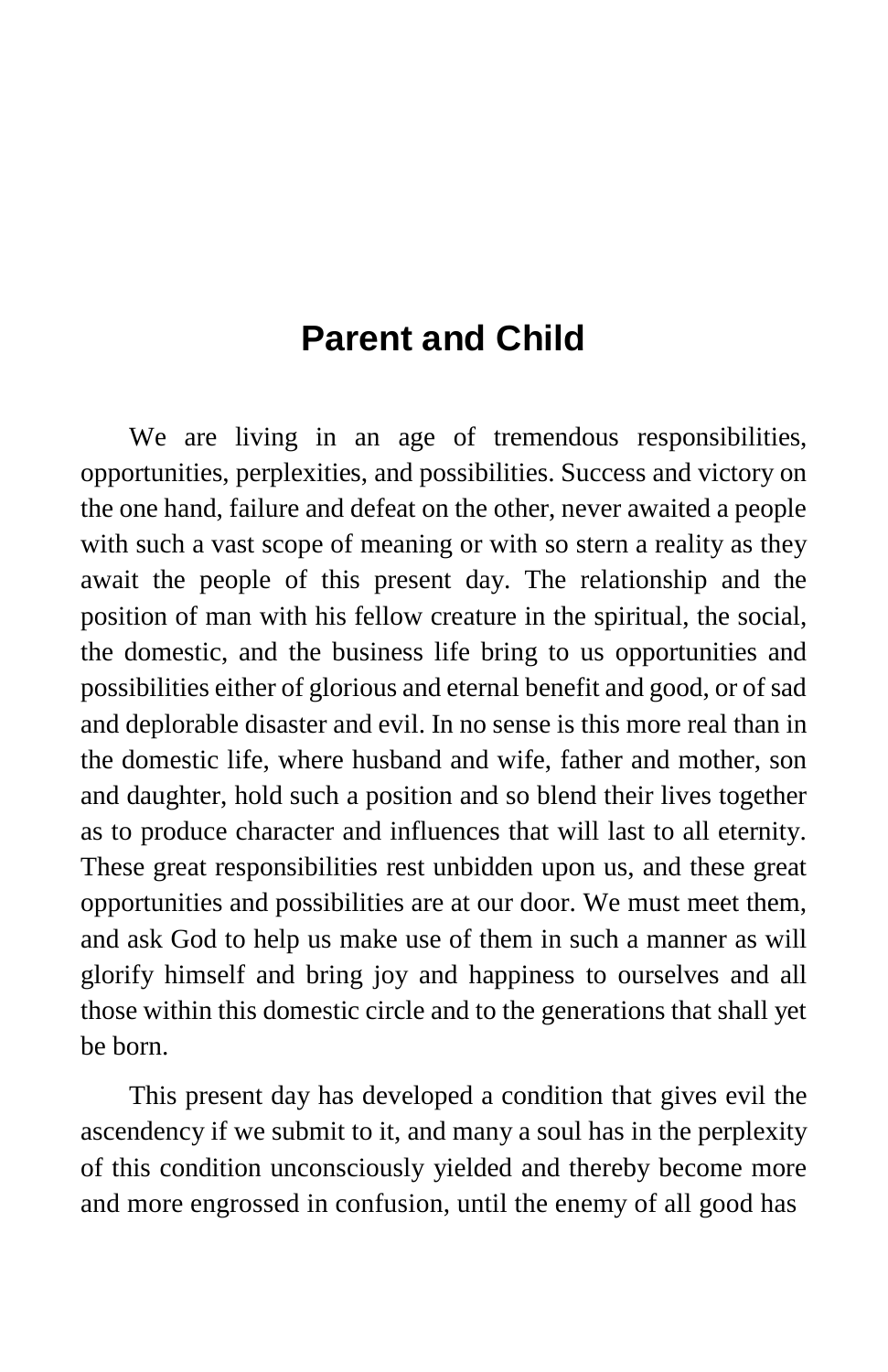## **Parent and Child**

We are living in an age of tremendous responsibilities, opportunities, perplexities, and possibilities. Success and victory on the one hand, failure and defeat on the other, never awaited a people with such a vast scope of meaning or with so stern a reality as they await the people of this present day. The relationship and the position of man with his fellow creature in the spiritual, the social, the domestic, and the business life bring to us opportunities and possibilities either of glorious and eternal benefit and good, or of sad and deplorable disaster and evil. In no sense is this more real than in the domestic life, where husband and wife, father and mother, son and daughter, hold such a position and so blend their lives together as to produce character and influences that will last to all eternity. These great responsibilities rest unbidden upon us, and these great opportunities and possibilities are at our door. We must meet them, and ask God to help us make use of them in such a manner as will glorify himself and bring joy and happiness to ourselves and all those within this domestic circle and to the generations that shall yet be born.

This present day has developed a condition that gives evil the ascendency if we submit to it, and many a soul has in the perplexity of this condition unconsciously yielded and thereby become more and more engrossed in confusion, until the enemy of all good has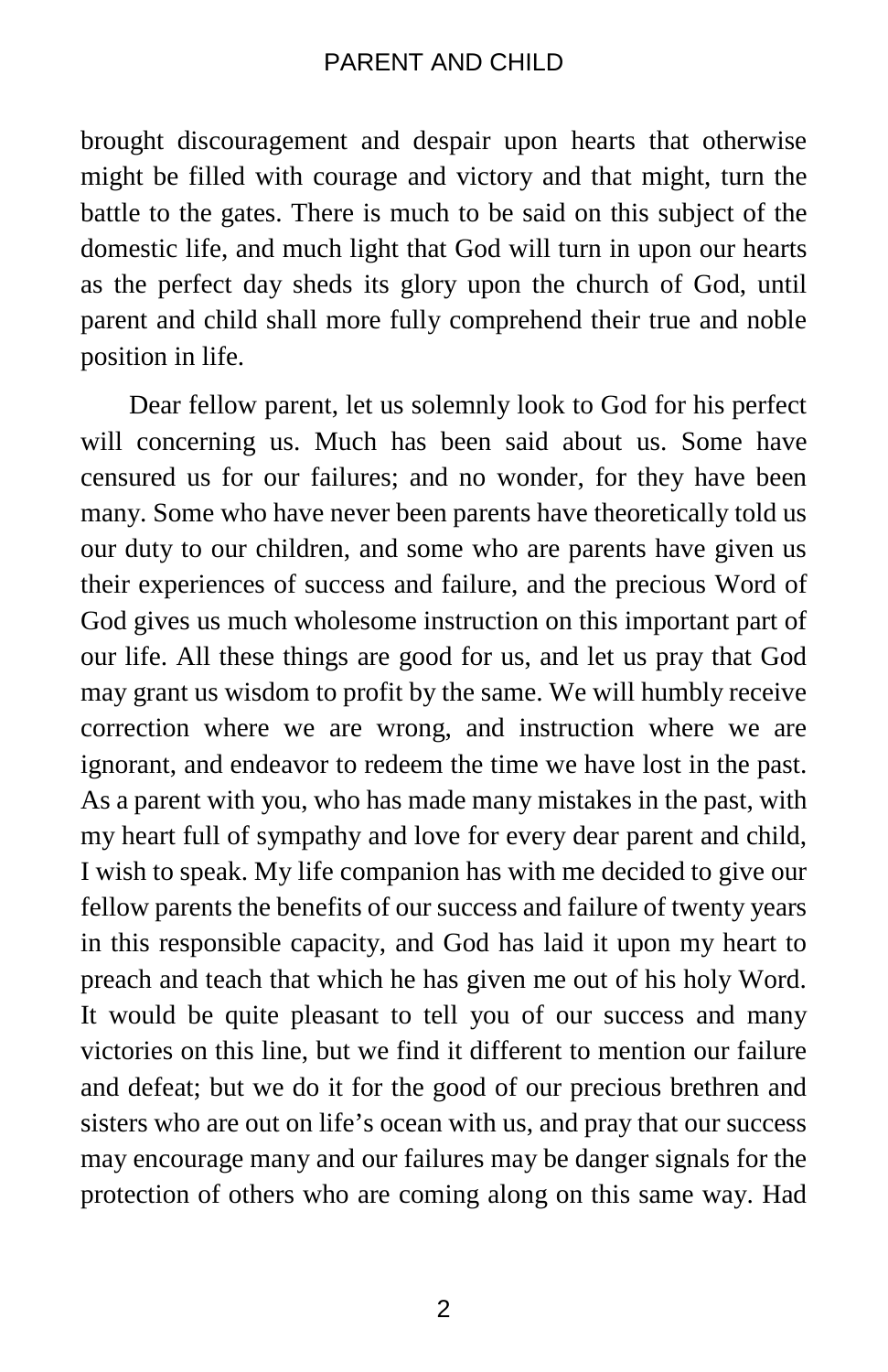brought discouragement and despair upon hearts that otherwise might be filled with courage and victory and that might, turn the battle to the gates. There is much to be said on this subject of the domestic life, and much light that God will turn in upon our hearts as the perfect day sheds its glory upon the church of God, until parent and child shall more fully comprehend their true and noble position in life.

Dear fellow parent, let us solemnly look to God for his perfect will concerning us. Much has been said about us. Some have censured us for our failures; and no wonder, for they have been many. Some who have never been parents have theoretically told us our duty to our children, and some who are parents have given us their experiences of success and failure, and the precious Word of God gives us much wholesome instruction on this important part of our life. All these things are good for us, and let us pray that God may grant us wisdom to profit by the same. We will humbly receive correction where we are wrong, and instruction where we are ignorant, and endeavor to redeem the time we have lost in the past. As a parent with you, who has made many mistakes in the past, with my heart full of sympathy and love for every dear parent and child, I wish to speak. My life companion has with me decided to give our fellow parents the benefits of our success and failure of twenty years in this responsible capacity, and God has laid it upon my heart to preach and teach that which he has given me out of his holy Word. It would be quite pleasant to tell you of our success and many victories on this line, but we find it different to mention our failure and defeat; but we do it for the good of our precious brethren and sisters who are out on life's ocean with us, and pray that our success may encourage many and our failures may be danger signals for the protection of others who are coming along on this same way. Had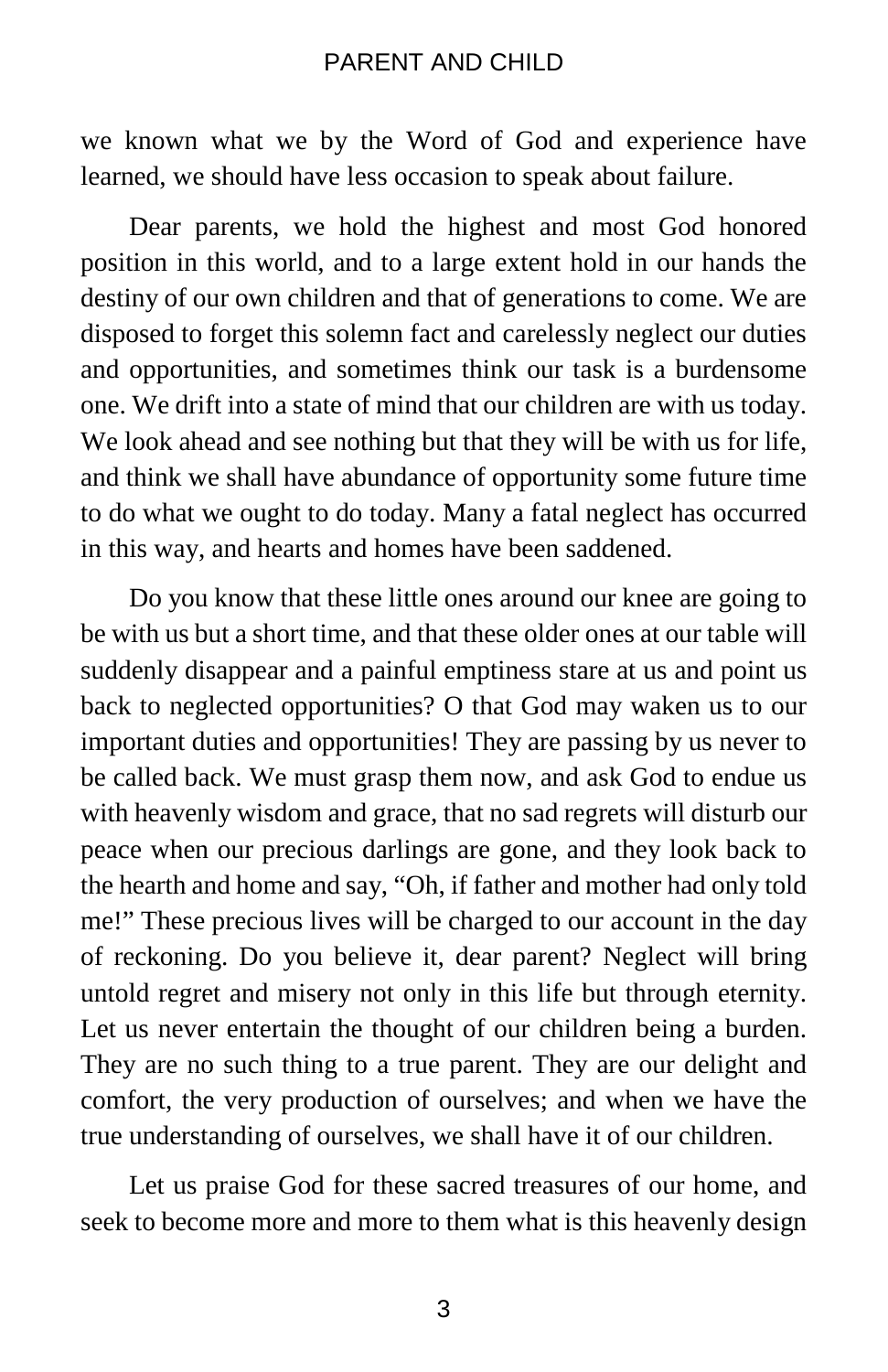we known what we by the Word of God and experience have learned, we should have less occasion to speak about failure.

Dear parents, we hold the highest and most God honored position in this world, and to a large extent hold in our hands the destiny of our own children and that of generations to come. We are disposed to forget this solemn fact and carelessly neglect our duties and opportunities, and sometimes think our task is a burdensome one. We drift into a state of mind that our children are with us today. We look ahead and see nothing but that they will be with us for life, and think we shall have abundance of opportunity some future time to do what we ought to do today. Many a fatal neglect has occurred in this way, and hearts and homes have been saddened.

Do you know that these little ones around our knee are going to be with us but a short time, and that these older ones at our table will suddenly disappear and a painful emptiness stare at us and point us back to neglected opportunities? O that God may waken us to our important duties and opportunities! They are passing by us never to be called back. We must grasp them now, and ask God to endue us with heavenly wisdom and grace, that no sad regrets will disturb our peace when our precious darlings are gone, and they look back to the hearth and home and say, "Oh, if father and mother had only told me!" These precious lives will be charged to our account in the day of reckoning. Do you believe it, dear parent? Neglect will bring untold regret and misery not only in this life but through eternity. Let us never entertain the thought of our children being a burden. They are no such thing to a true parent. They are our delight and comfort, the very production of ourselves; and when we have the true understanding of ourselves, we shall have it of our children.

Let us praise God for these sacred treasures of our home, and seek to become more and more to them what is this heavenly design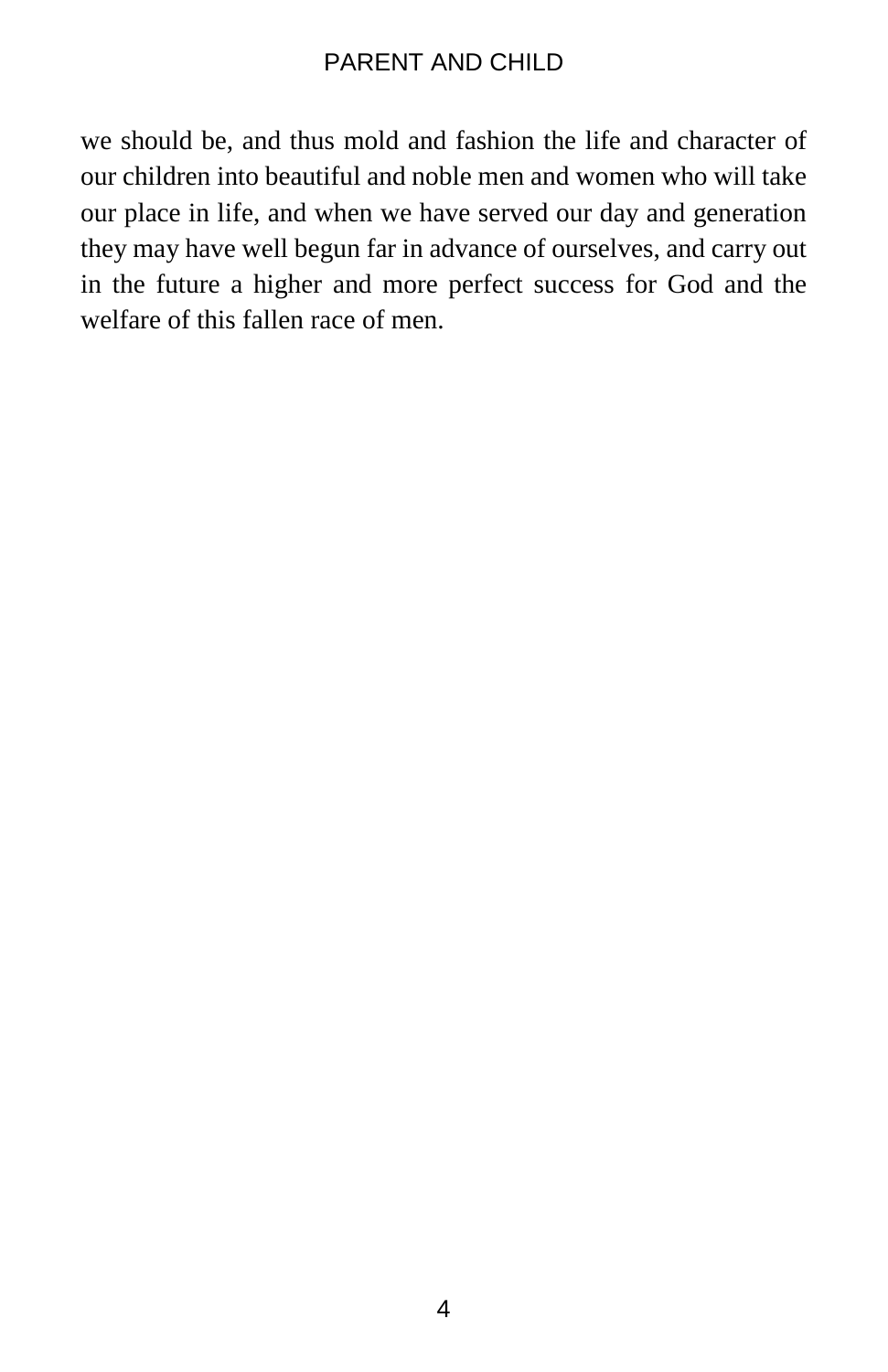we should be, and thus mold and fashion the life and character of our children into beautiful and noble men and women who will take our place in life, and when we have served our day and generation they may have well begun far in advance of ourselves, and carry out in the future a higher and more perfect success for God and the welfare of this fallen race of men.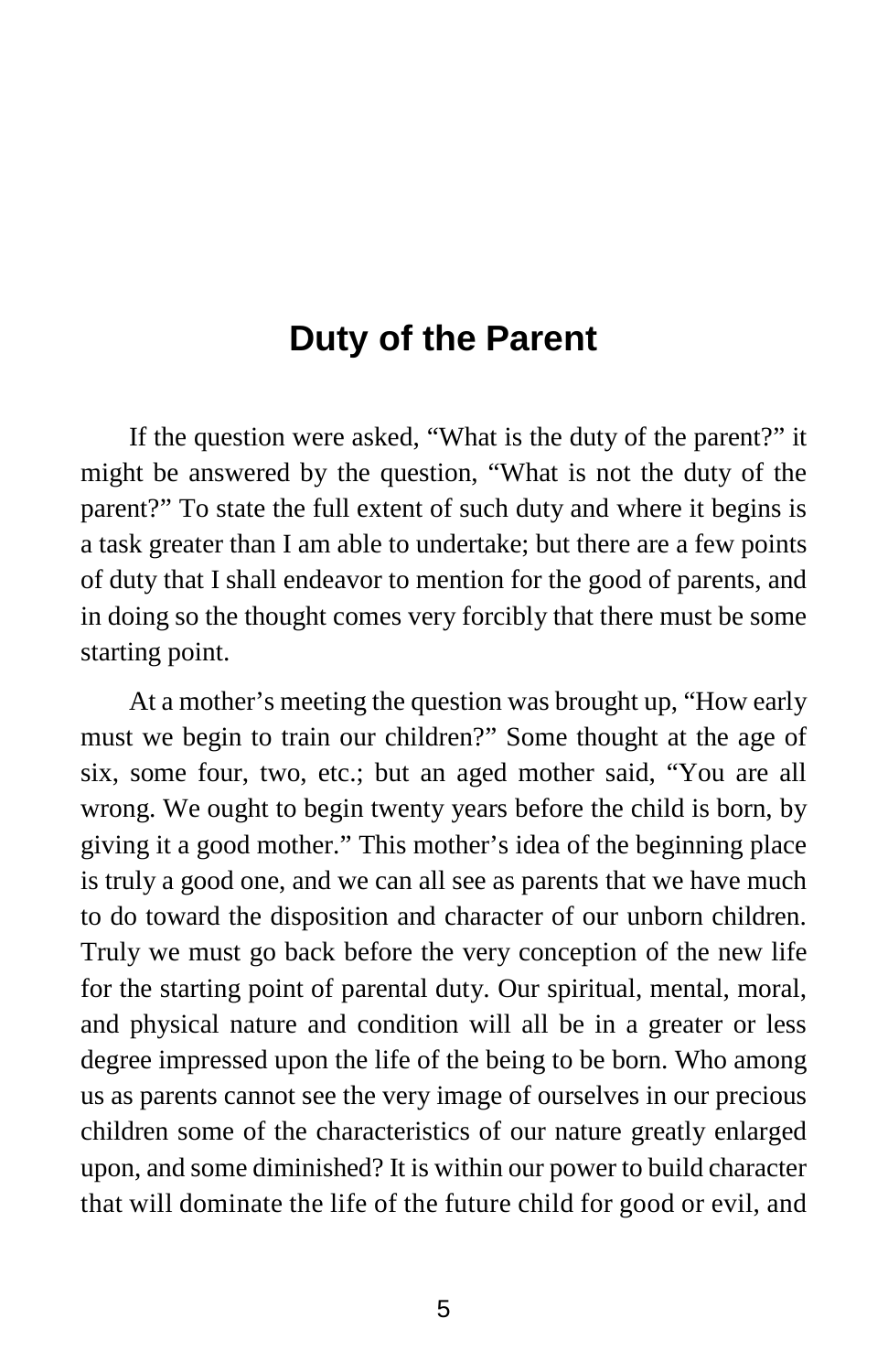### **Duty of the Parent**

If the question were asked, "What is the duty of the parent?" it might be answered by the question, "What is not the duty of the parent?" To state the full extent of such duty and where it begins is a task greater than I am able to undertake; but there are a few points of duty that I shall endeavor to mention for the good of parents, and in doing so the thought comes very forcibly that there must be some starting point.

At a mother's meeting the question was brought up, "How early must we begin to train our children?" Some thought at the age of six, some four, two, etc.; but an aged mother said, "You are all wrong. We ought to begin twenty years before the child is born, by giving it a good mother." This mother's idea of the beginning place is truly a good one, and we can all see as parents that we have much to do toward the disposition and character of our unborn children. Truly we must go back before the very conception of the new life for the starting point of parental duty. Our spiritual, mental, moral, and physical nature and condition will all be in a greater or less degree impressed upon the life of the being to be born. Who among us as parents cannot see the very image of ourselves in our precious children some of the characteristics of our nature greatly enlarged upon, and some diminished? It is within our power to build character that will dominate the life of the future child for good or evil, and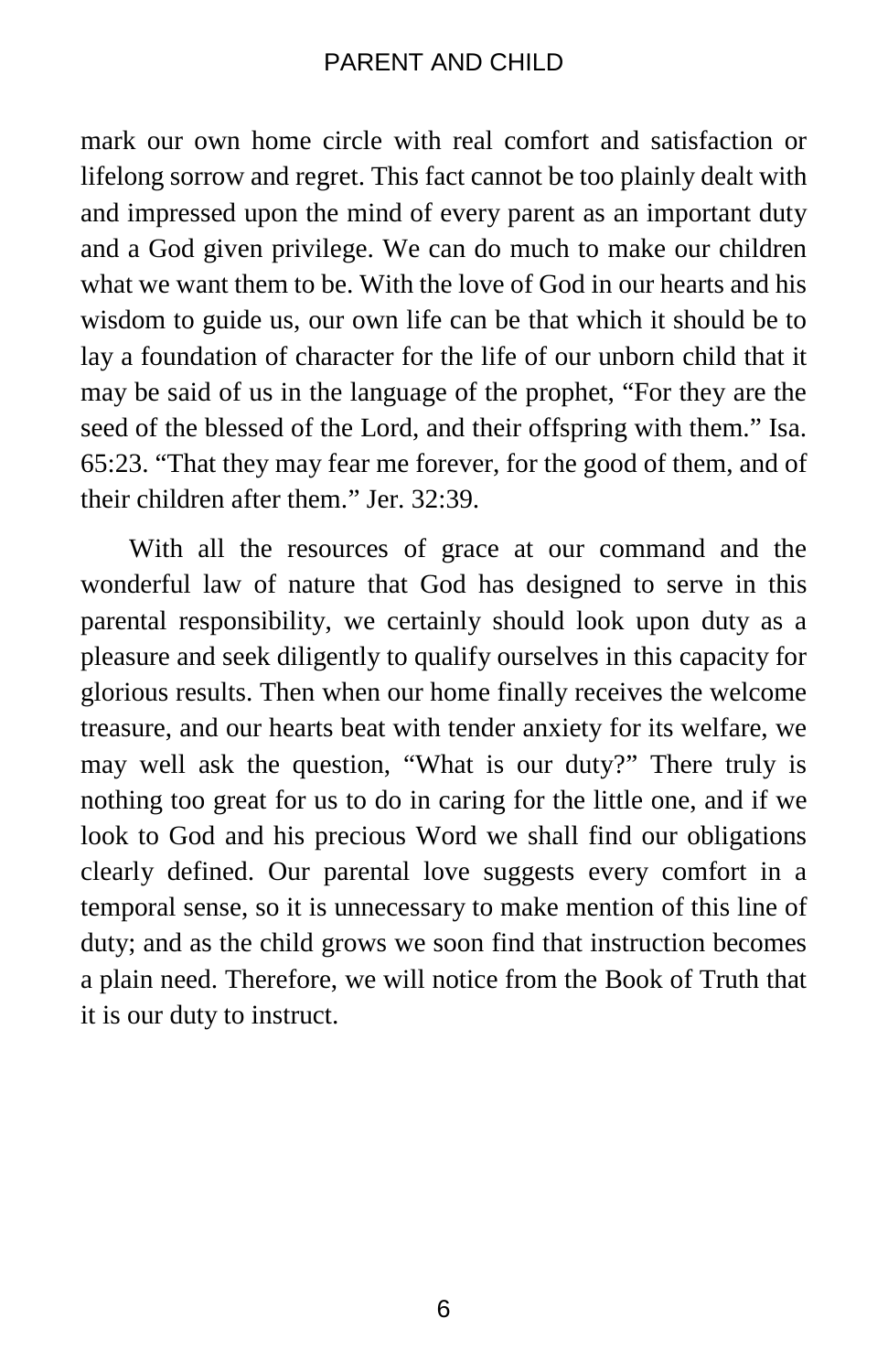mark our own home circle with real comfort and satisfaction or lifelong sorrow and regret. This fact cannot be too plainly dealt with and impressed upon the mind of every parent as an important duty and a God given privilege. We can do much to make our children what we want them to be. With the love of God in our hearts and his wisdom to guide us, our own life can be that which it should be to lay a foundation of character for the life of our unborn child that it may be said of us in the language of the prophet, "For they are the seed of the blessed of the Lord, and their offspring with them." Isa. 65:23. "That they may fear me forever, for the good of them, and of their children after them." Jer. 32:39.

With all the resources of grace at our command and the wonderful law of nature that God has designed to serve in this parental responsibility, we certainly should look upon duty as a pleasure and seek diligently to qualify ourselves in this capacity for glorious results. Then when our home finally receives the welcome treasure, and our hearts beat with tender anxiety for its welfare, we may well ask the question, "What is our duty?" There truly is nothing too great for us to do in caring for the little one, and if we look to God and his precious Word we shall find our obligations clearly defined. Our parental love suggests every comfort in a temporal sense, so it is unnecessary to make mention of this line of duty; and as the child grows we soon find that instruction becomes a plain need. Therefore, we will notice from the Book of Truth that it is our duty to instruct.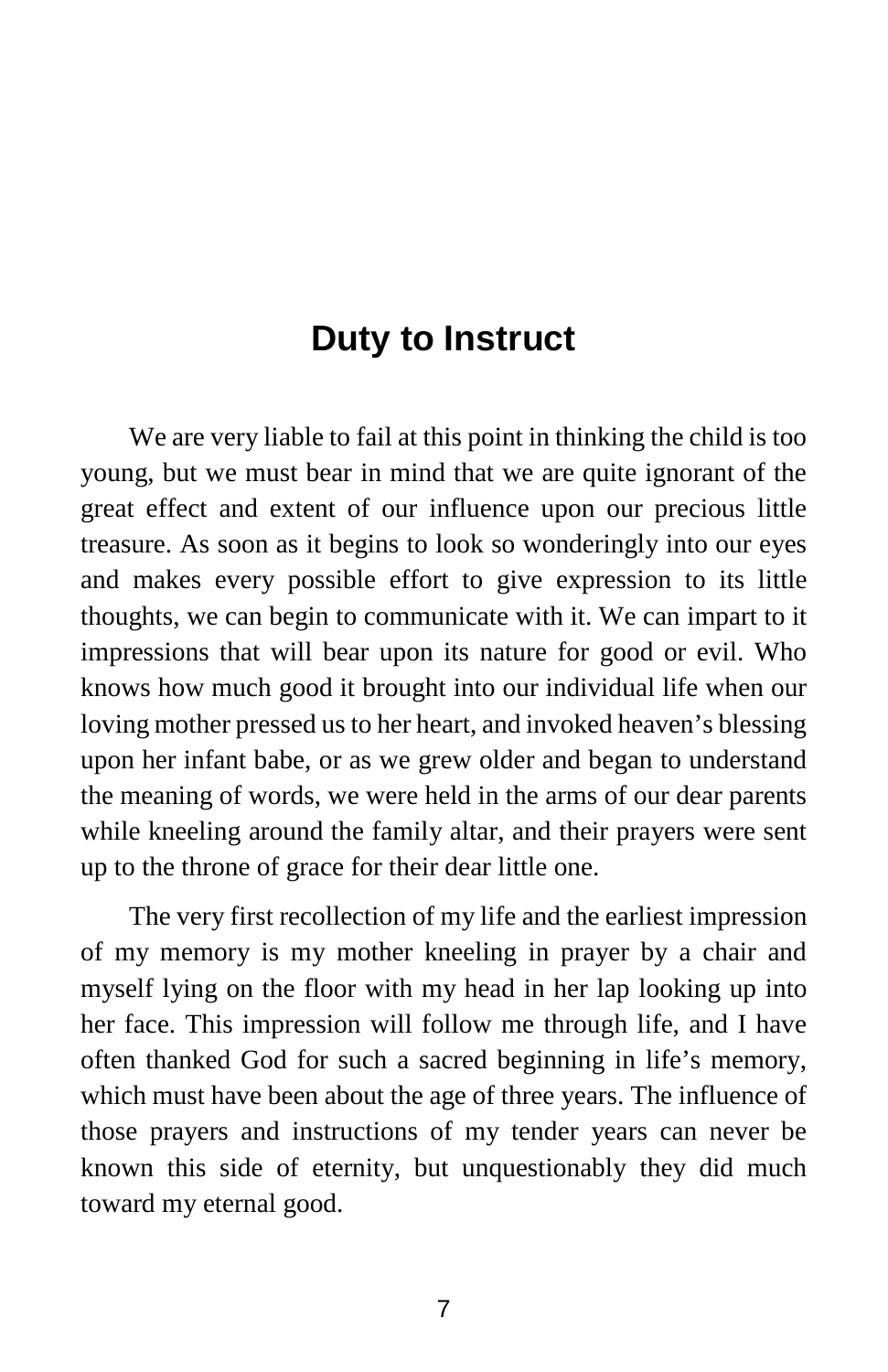## **Duty to Instruct**

We are very liable to fail at this point in thinking the child is too young, but we must bear in mind that we are quite ignorant of the great effect and extent of our influence upon our precious little treasure. As soon as it begins to look so wonderingly into our eyes and makes every possible effort to give expression to its little thoughts, we can begin to communicate with it. We can impart to it impressions that will bear upon its nature for good or evil. Who knows how much good it brought into our individual life when our loving mother pressed us to her heart, and invoked heaven's blessing upon her infant babe, or as we grew older and began to understand the meaning of words, we were held in the arms of our dear parents while kneeling around the family altar, and their prayers were sent up to the throne of grace for their dear little one.

The very first recollection of my life and the earliest impression of my memory is my mother kneeling in prayer by a chair and myself lying on the floor with my head in her lap looking up into her face. This impression will follow me through life, and I have often thanked God for such a sacred beginning in life's memory, which must have been about the age of three years. The influence of those prayers and instructions of my tender years can never be known this side of eternity, but unquestionably they did much toward my eternal good.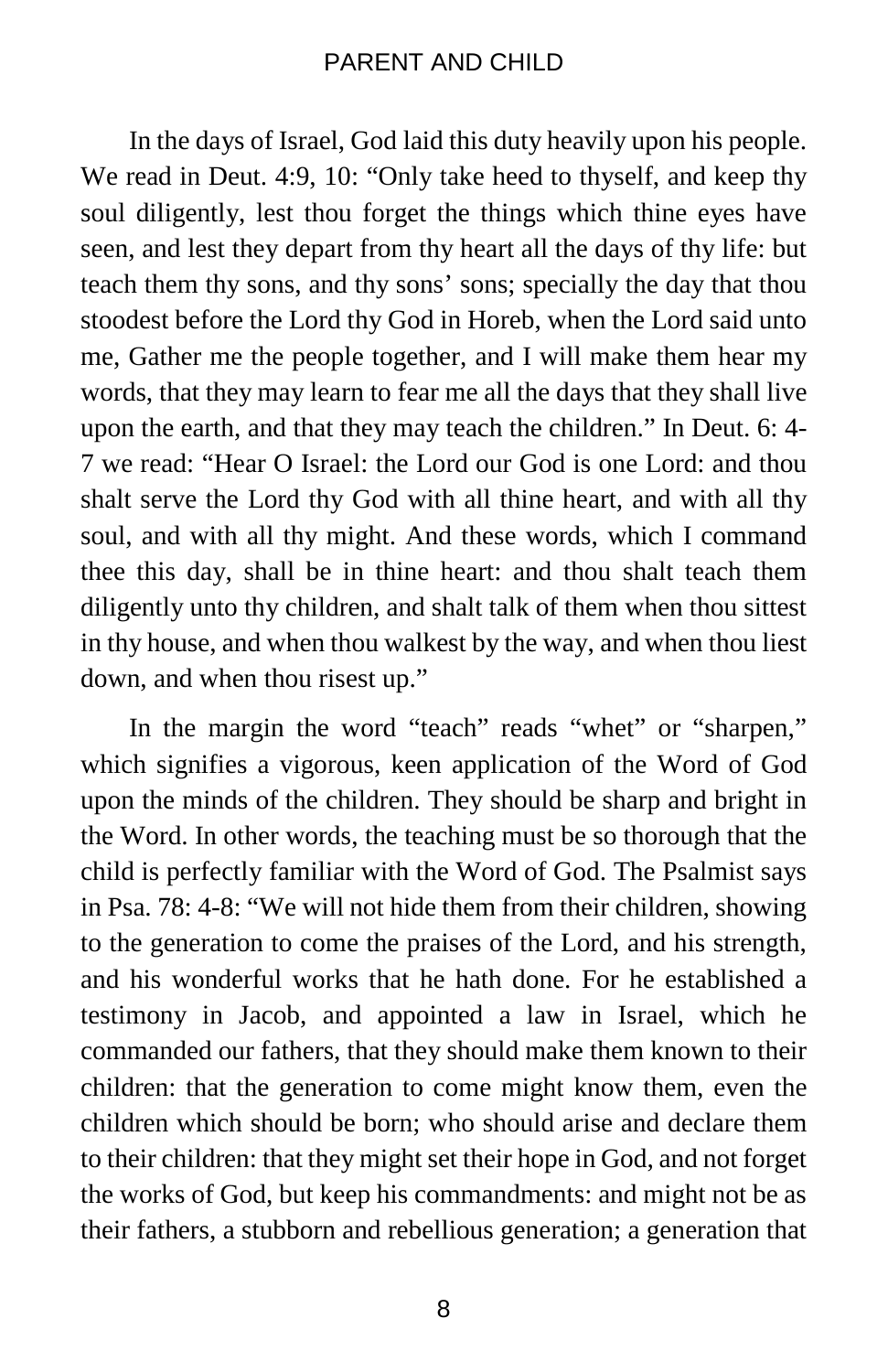In the days of Israel, God laid this duty heavily upon his people. We read in Deut. 4:9, 10: "Only take heed to thyself, and keep thy soul diligently, lest thou forget the things which thine eyes have seen, and lest they depart from thy heart all the days of thy life: but teach them thy sons, and thy sons' sons; specially the day that thou stoodest before the Lord thy God in Horeb, when the Lord said unto me, Gather me the people together, and I will make them hear my words, that they may learn to fear me all the days that they shall live upon the earth, and that they may teach the children." In Deut. 6: 4- 7 we read: "Hear O Israel: the Lord our God is one Lord: and thou shalt serve the Lord thy God with all thine heart, and with all thy soul, and with all thy might. And these words, which I command thee this day, shall be in thine heart: and thou shalt teach them diligently unto thy children, and shalt talk of them when thou sittest in thy house, and when thou walkest by the way, and when thou liest down, and when thou risest up."

In the margin the word "teach" reads "whet" or "sharpen," which signifies a vigorous, keen application of the Word of God upon the minds of the children. They should be sharp and bright in the Word. In other words, the teaching must be so thorough that the child is perfectly familiar with the Word of God. The Psalmist says in Psa. 78: 4-8: "We will not hide them from their children, showing to the generation to come the praises of the Lord, and his strength, and his wonderful works that he hath done. For he established a testimony in Jacob, and appointed a law in Israel, which he commanded our fathers, that they should make them known to their children: that the generation to come might know them, even the children which should be born; who should arise and declare them to their children: that they might set their hope in God, and not forget the works of God, but keep his commandments: and might not be as their fathers, a stubborn and rebellious generation; a generation that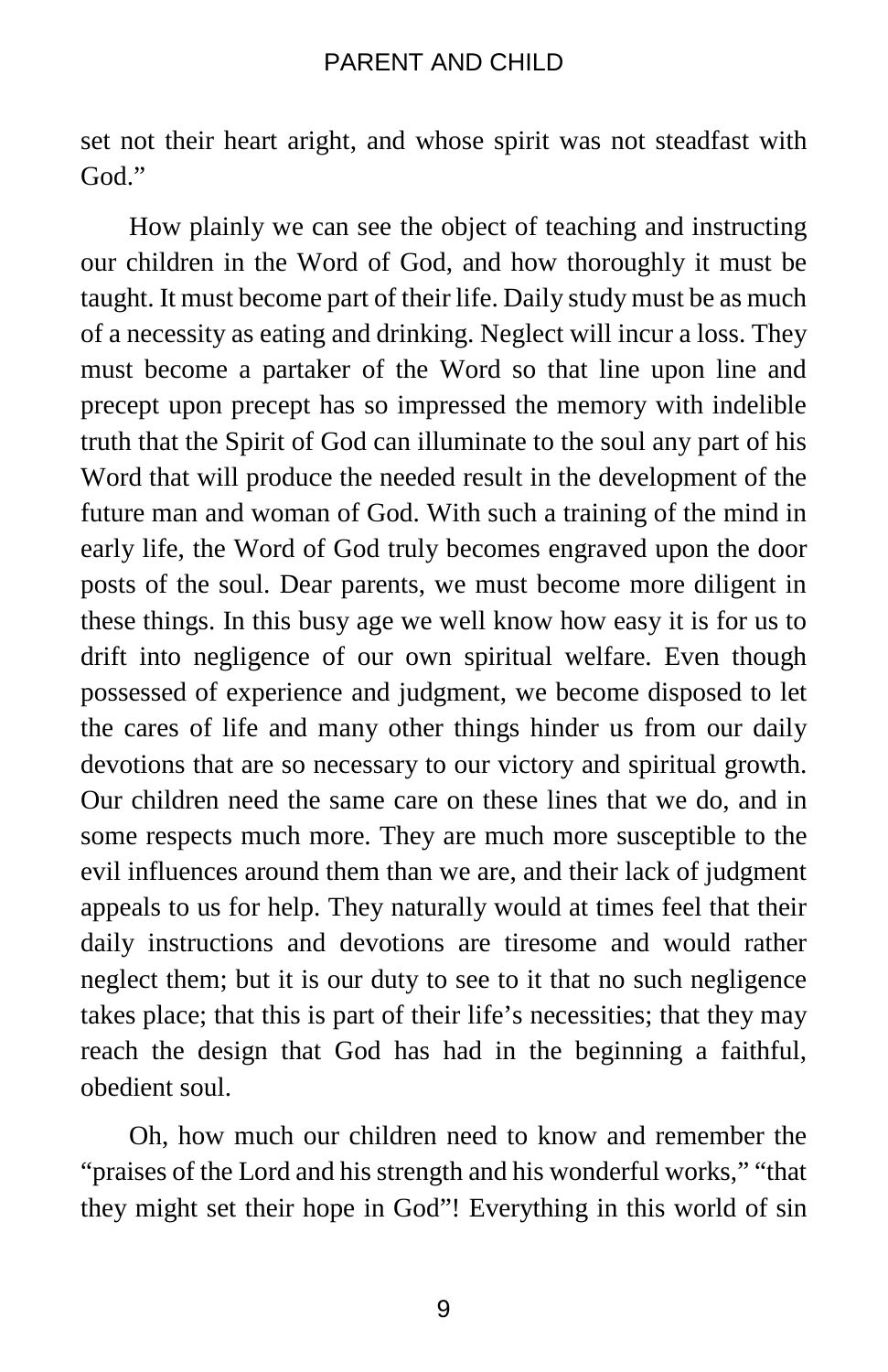set not their heart aright, and whose spirit was not steadfast with God<sup>"</sup>

How plainly we can see the object of teaching and instructing our children in the Word of God, and how thoroughly it must be taught. It must become part of their life. Daily study must be as much of a necessity as eating and drinking. Neglect will incur a loss. They must become a partaker of the Word so that line upon line and precept upon precept has so impressed the memory with indelible truth that the Spirit of God can illuminate to the soul any part of his Word that will produce the needed result in the development of the future man and woman of God. With such a training of the mind in early life, the Word of God truly becomes engraved upon the door posts of the soul. Dear parents, we must become more diligent in these things. In this busy age we well know how easy it is for us to drift into negligence of our own spiritual welfare. Even though possessed of experience and judgment, we become disposed to let the cares of life and many other things hinder us from our daily devotions that are so necessary to our victory and spiritual growth. Our children need the same care on these lines that we do, and in some respects much more. They are much more susceptible to the evil influences around them than we are, and their lack of judgment appeals to us for help. They naturally would at times feel that their daily instructions and devotions are tiresome and would rather neglect them; but it is our duty to see to it that no such negligence takes place; that this is part of their life's necessities; that they may reach the design that God has had in the beginning a faithful, obedient soul.

Oh, how much our children need to know and remember the "praises of the Lord and his strength and his wonderful works," "that they might set their hope in God"! Everything in this world of sin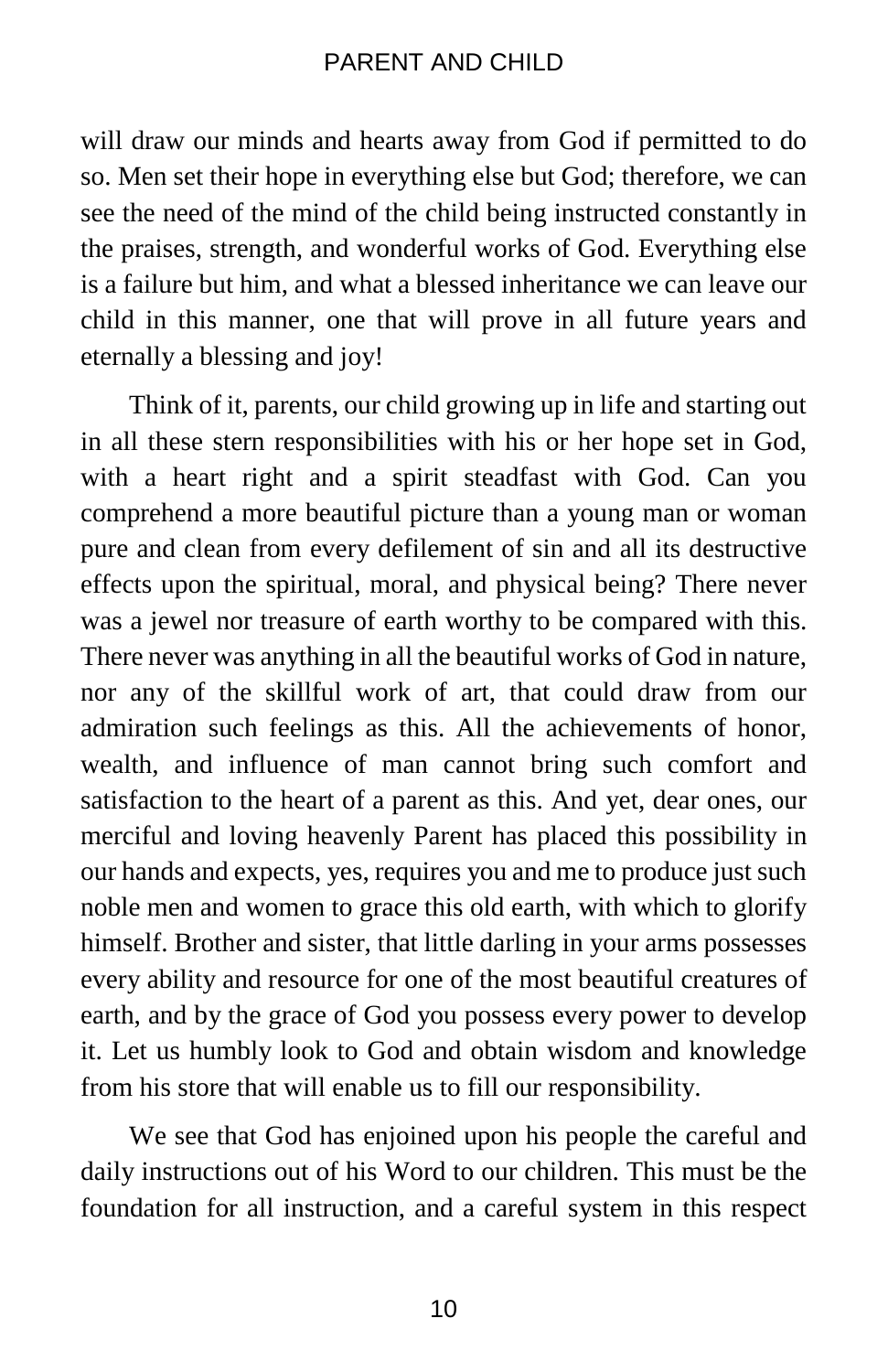will draw our minds and hearts away from God if permitted to do so. Men set their hope in everything else but God; therefore, we can see the need of the mind of the child being instructed constantly in the praises, strength, and wonderful works of God. Everything else is a failure but him, and what a blessed inheritance we can leave our child in this manner, one that will prove in all future years and eternally a blessing and joy!

Think of it, parents, our child growing up in life and starting out in all these stern responsibilities with his or her hope set in God, with a heart right and a spirit steadfast with God. Can you comprehend a more beautiful picture than a young man or woman pure and clean from every defilement of sin and all its destructive effects upon the spiritual, moral, and physical being? There never was a jewel nor treasure of earth worthy to be compared with this. There never was anything in all the beautiful works of God in nature, nor any of the skillful work of art, that could draw from our admiration such feelings as this. All the achievements of honor, wealth, and influence of man cannot bring such comfort and satisfaction to the heart of a parent as this. And yet, dear ones, our merciful and loving heavenly Parent has placed this possibility in our hands and expects, yes, requires you and me to produce just such noble men and women to grace this old earth, with which to glorify himself. Brother and sister, that little darling in your arms possesses every ability and resource for one of the most beautiful creatures of earth, and by the grace of God you possess every power to develop it. Let us humbly look to God and obtain wisdom and knowledge from his store that will enable us to fill our responsibility.

We see that God has enjoined upon his people the careful and daily instructions out of his Word to our children. This must be the foundation for all instruction, and a careful system in this respect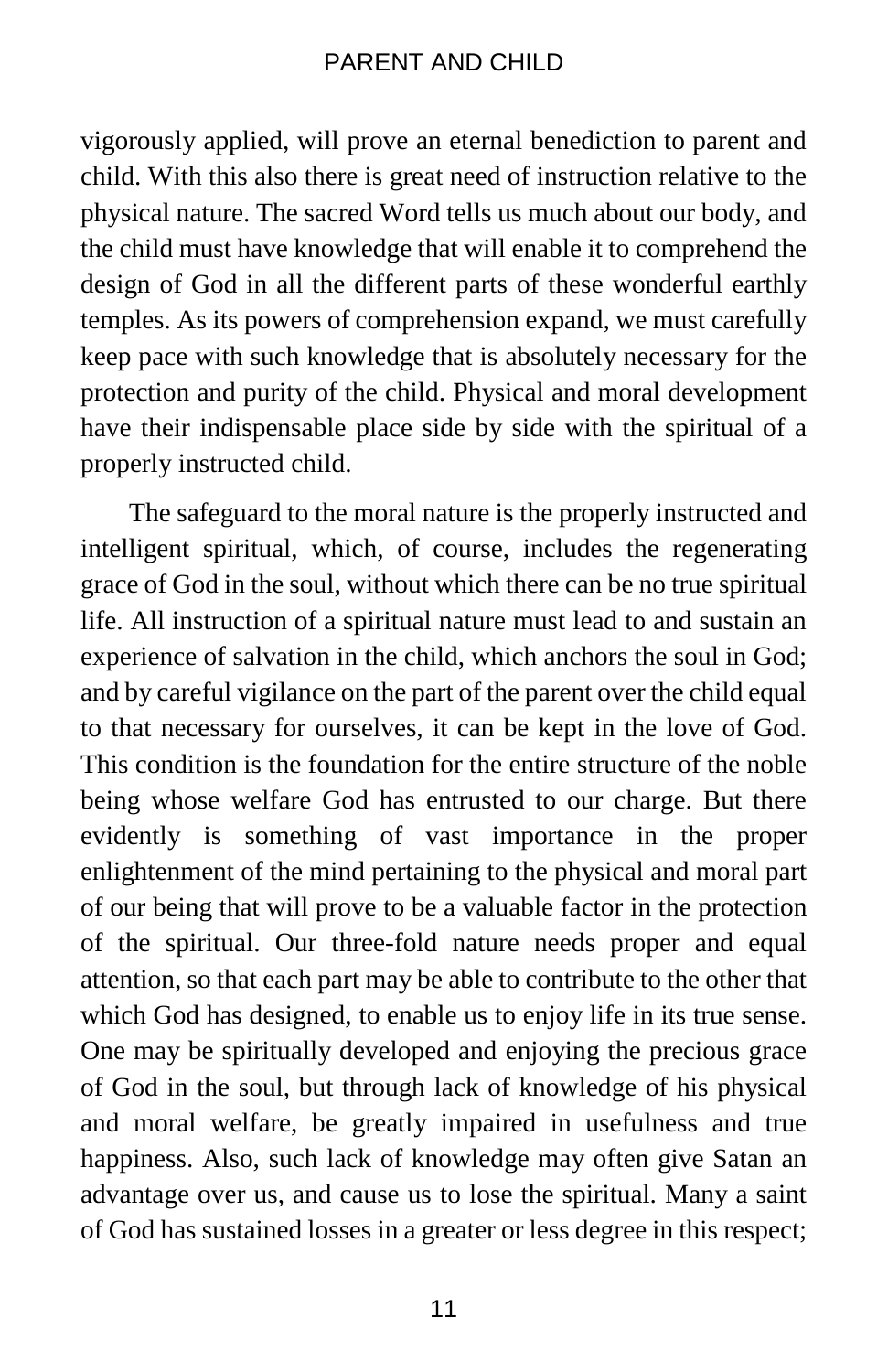vigorously applied, will prove an eternal benediction to parent and child. With this also there is great need of instruction relative to the physical nature. The sacred Word tells us much about our body, and the child must have knowledge that will enable it to comprehend the design of God in all the different parts of these wonderful earthly temples. As its powers of comprehension expand, we must carefully keep pace with such knowledge that is absolutely necessary for the protection and purity of the child. Physical and moral development have their indispensable place side by side with the spiritual of a properly instructed child.

The safeguard to the moral nature is the properly instructed and intelligent spiritual, which, of course, includes the regenerating grace of God in the soul, without which there can be no true spiritual life. All instruction of a spiritual nature must lead to and sustain an experience of salvation in the child, which anchors the soul in God; and by careful vigilance on the part of the parent over the child equal to that necessary for ourselves, it can be kept in the love of God. This condition is the foundation for the entire structure of the noble being whose welfare God has entrusted to our charge. But there evidently is something of vast importance in the proper enlightenment of the mind pertaining to the physical and moral part of our being that will prove to be a valuable factor in the protection of the spiritual. Our three-fold nature needs proper and equal attention, so that each part may be able to contribute to the other that which God has designed, to enable us to enjoy life in its true sense. One may be spiritually developed and enjoying the precious grace of God in the soul, but through lack of knowledge of his physical and moral welfare, be greatly impaired in usefulness and true happiness. Also, such lack of knowledge may often give Satan an advantage over us, and cause us to lose the spiritual. Many a saint of God has sustained losses in a greater or less degree in this respect;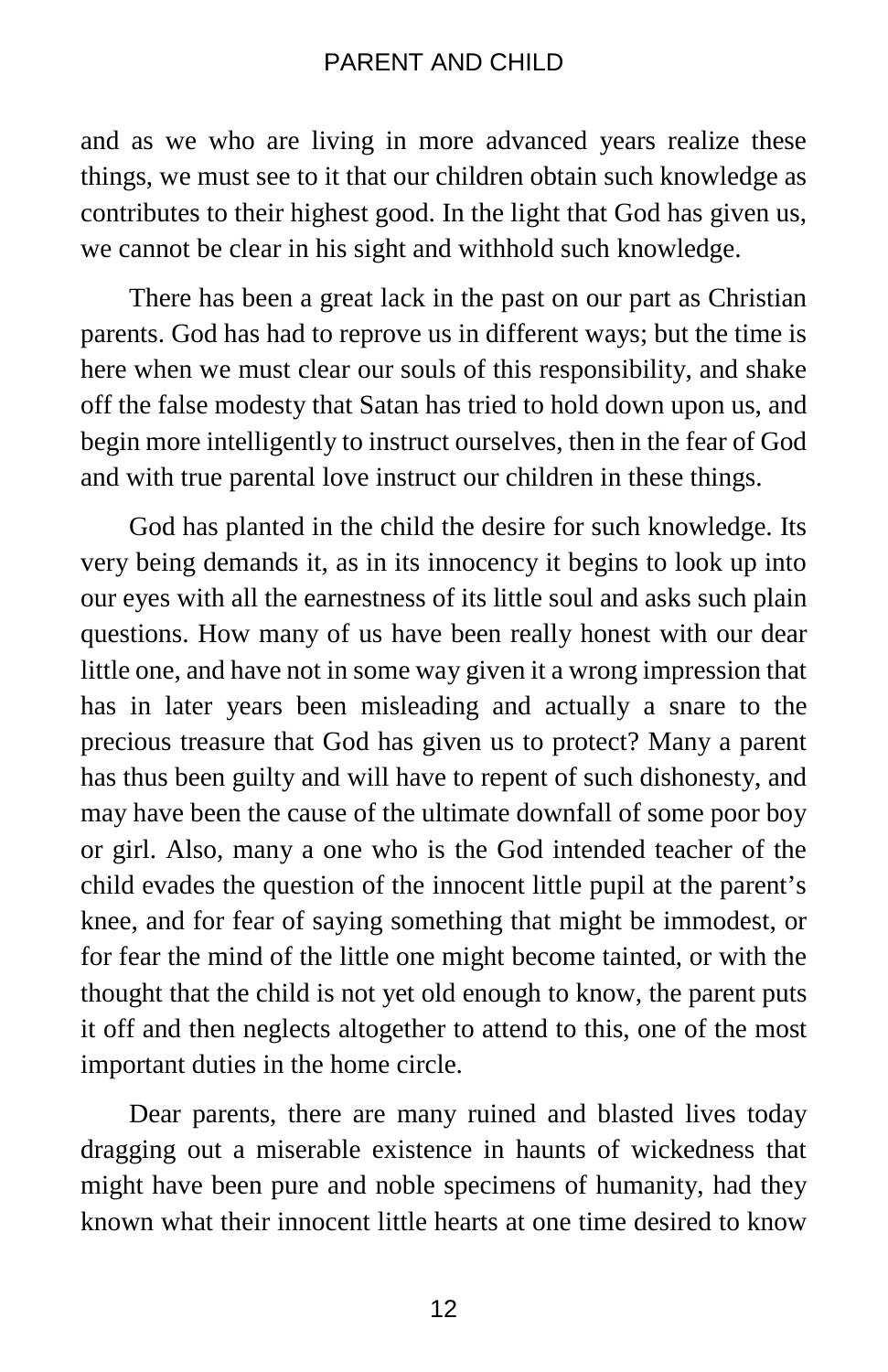and as we who are living in more advanced years realize these things, we must see to it that our children obtain such knowledge as contributes to their highest good. In the light that God has given us, we cannot be clear in his sight and withhold such knowledge.

There has been a great lack in the past on our part as Christian parents. God has had to reprove us in different ways; but the time is here when we must clear our souls of this responsibility, and shake off the false modesty that Satan has tried to hold down upon us, and begin more intelligently to instruct ourselves, then in the fear of God and with true parental love instruct our children in these things.

God has planted in the child the desire for such knowledge. Its very being demands it, as in its innocency it begins to look up into our eyes with all the earnestness of its little soul and asks such plain questions. How many of us have been really honest with our dear little one, and have not in some way given it a wrong impression that has in later years been misleading and actually a snare to the precious treasure that God has given us to protect? Many a parent has thus been guilty and will have to repent of such dishonesty, and may have been the cause of the ultimate downfall of some poor boy or girl. Also, many a one who is the God intended teacher of the child evades the question of the innocent little pupil at the parent's knee, and for fear of saying something that might be immodest, or for fear the mind of the little one might become tainted, or with the thought that the child is not yet old enough to know, the parent puts it off and then neglects altogether to attend to this, one of the most important duties in the home circle.

Dear parents, there are many ruined and blasted lives today dragging out a miserable existence in haunts of wickedness that might have been pure and noble specimens of humanity, had they known what their innocent little hearts at one time desired to know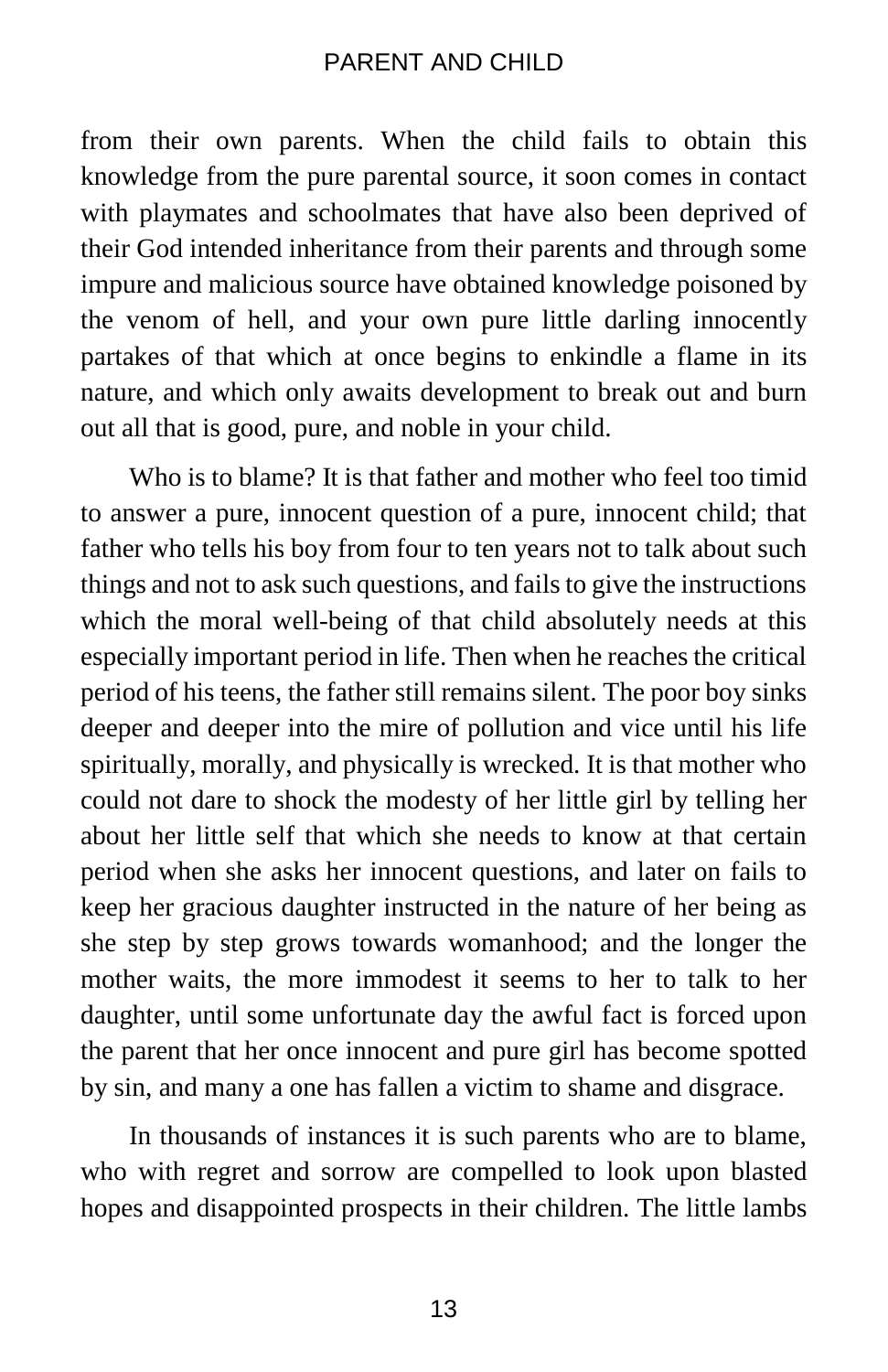from their own parents. When the child fails to obtain this knowledge from the pure parental source, it soon comes in contact with playmates and schoolmates that have also been deprived of their God intended inheritance from their parents and through some impure and malicious source have obtained knowledge poisoned by the venom of hell, and your own pure little darling innocently partakes of that which at once begins to enkindle a flame in its nature, and which only awaits development to break out and burn out all that is good, pure, and noble in your child.

Who is to blame? It is that father and mother who feel too timid to answer a pure, innocent question of a pure, innocent child; that father who tells his boy from four to ten years not to talk about such things and not to ask such questions, and fails to give the instructions which the moral well-being of that child absolutely needs at this especially important period in life. Then when he reaches the critical period of his teens, the father still remains silent. The poor boy sinks deeper and deeper into the mire of pollution and vice until his life spiritually, morally, and physically is wrecked. It is that mother who could not dare to shock the modesty of her little girl by telling her about her little self that which she needs to know at that certain period when she asks her innocent questions, and later on fails to keep her gracious daughter instructed in the nature of her being as she step by step grows towards womanhood; and the longer the mother waits, the more immodest it seems to her to talk to her daughter, until some unfortunate day the awful fact is forced upon the parent that her once innocent and pure girl has become spotted by sin, and many a one has fallen a victim to shame and disgrace.

In thousands of instances it is such parents who are to blame, who with regret and sorrow are compelled to look upon blasted hopes and disappointed prospects in their children. The little lambs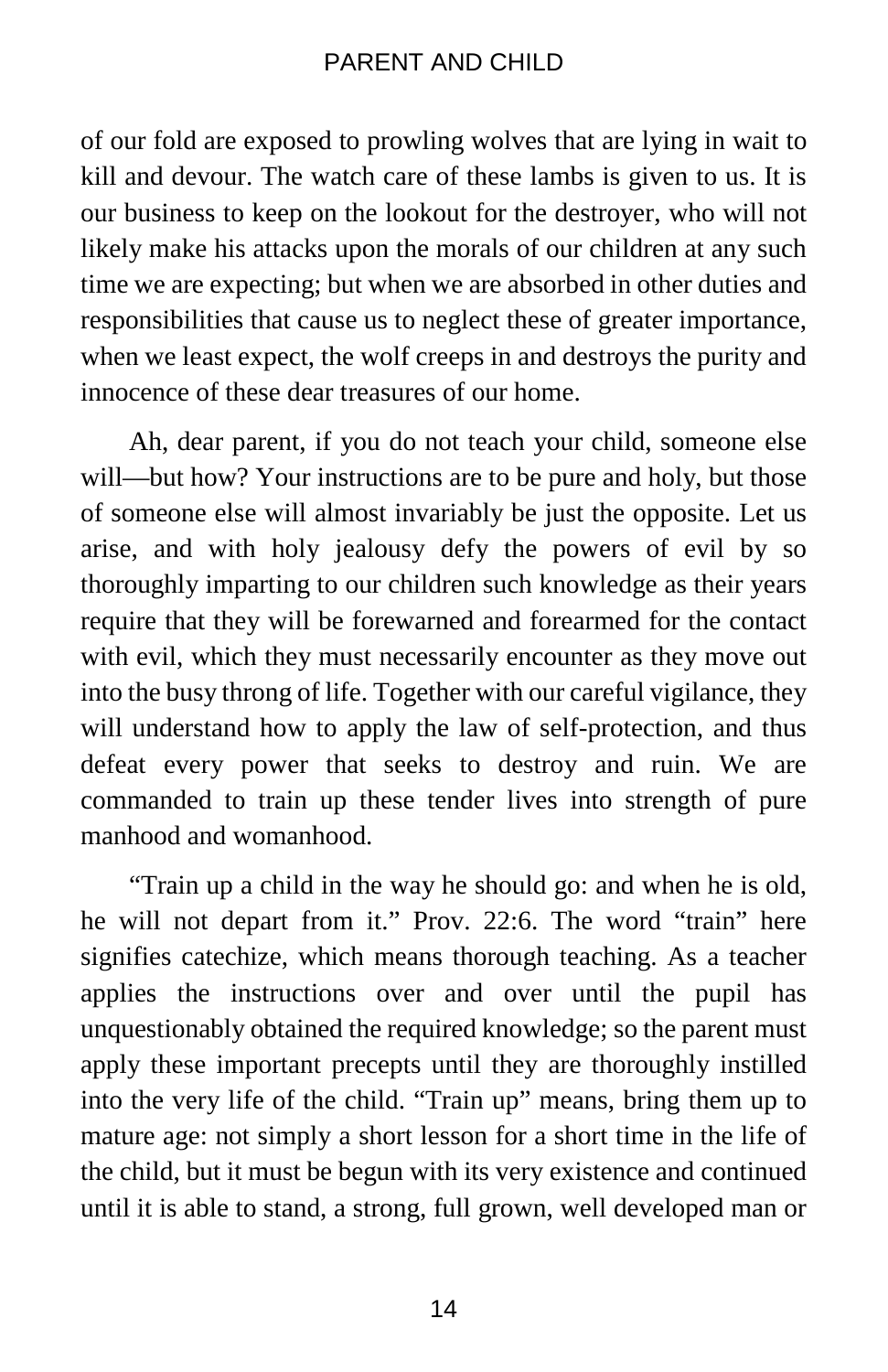of our fold are exposed to prowling wolves that are lying in wait to kill and devour. The watch care of these lambs is given to us. It is our business to keep on the lookout for the destroyer, who will not likely make his attacks upon the morals of our children at any such time we are expecting; but when we are absorbed in other duties and responsibilities that cause us to neglect these of greater importance, when we least expect, the wolf creeps in and destroys the purity and innocence of these dear treasures of our home.

Ah, dear parent, if you do not teach your child, someone else will—but how? Your instructions are to be pure and holy, but those of someone else will almost invariably be just the opposite. Let us arise, and with holy jealousy defy the powers of evil by so thoroughly imparting to our children such knowledge as their years require that they will be forewarned and forearmed for the contact with evil, which they must necessarily encounter as they move out into the busy throng of life. Together with our careful vigilance, they will understand how to apply the law of self-protection, and thus defeat every power that seeks to destroy and ruin. We are commanded to train up these tender lives into strength of pure manhood and womanhood.

"Train up a child in the way he should go: and when he is old, he will not depart from it." Prov. 22:6. The word "train" here signifies catechize, which means thorough teaching. As a teacher applies the instructions over and over until the pupil has unquestionably obtained the required knowledge; so the parent must apply these important precepts until they are thoroughly instilled into the very life of the child. "Train up" means, bring them up to mature age: not simply a short lesson for a short time in the life of the child, but it must be begun with its very existence and continued until it is able to stand, a strong, full grown, well developed man or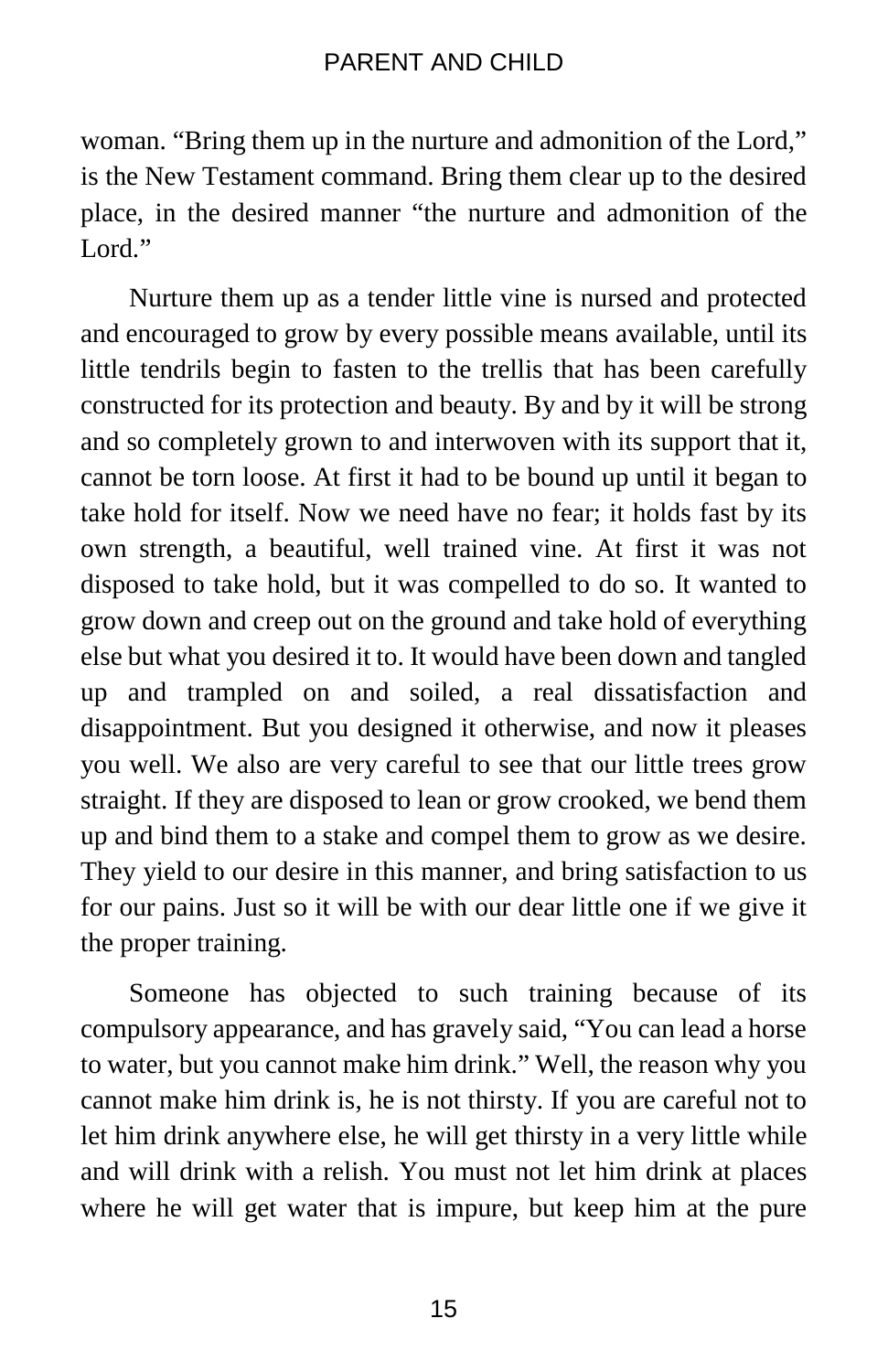woman. "Bring them up in the nurture and admonition of the Lord," is the New Testament command. Bring them clear up to the desired place, in the desired manner "the nurture and admonition of the Lord<sup>"</sup>

Nurture them up as a tender little vine is nursed and protected and encouraged to grow by every possible means available, until its little tendrils begin to fasten to the trellis that has been carefully constructed for its protection and beauty. By and by it will be strong and so completely grown to and interwoven with its support that it, cannot be torn loose. At first it had to be bound up until it began to take hold for itself. Now we need have no fear; it holds fast by its own strength, a beautiful, well trained vine. At first it was not disposed to take hold, but it was compelled to do so. It wanted to grow down and creep out on the ground and take hold of everything else but what you desired it to. It would have been down and tangled up and trampled on and soiled, a real dissatisfaction and disappointment. But you designed it otherwise, and now it pleases you well. We also are very careful to see that our little trees grow straight. If they are disposed to lean or grow crooked, we bend them up and bind them to a stake and compel them to grow as we desire. They yield to our desire in this manner, and bring satisfaction to us for our pains. Just so it will be with our dear little one if we give it the proper training.

Someone has objected to such training because of its compulsory appearance, and has gravely said, "You can lead a horse to water, but you cannot make him drink." Well, the reason why you cannot make him drink is, he is not thirsty. If you are careful not to let him drink anywhere else, he will get thirsty in a very little while and will drink with a relish. You must not let him drink at places where he will get water that is impure, but keep him at the pure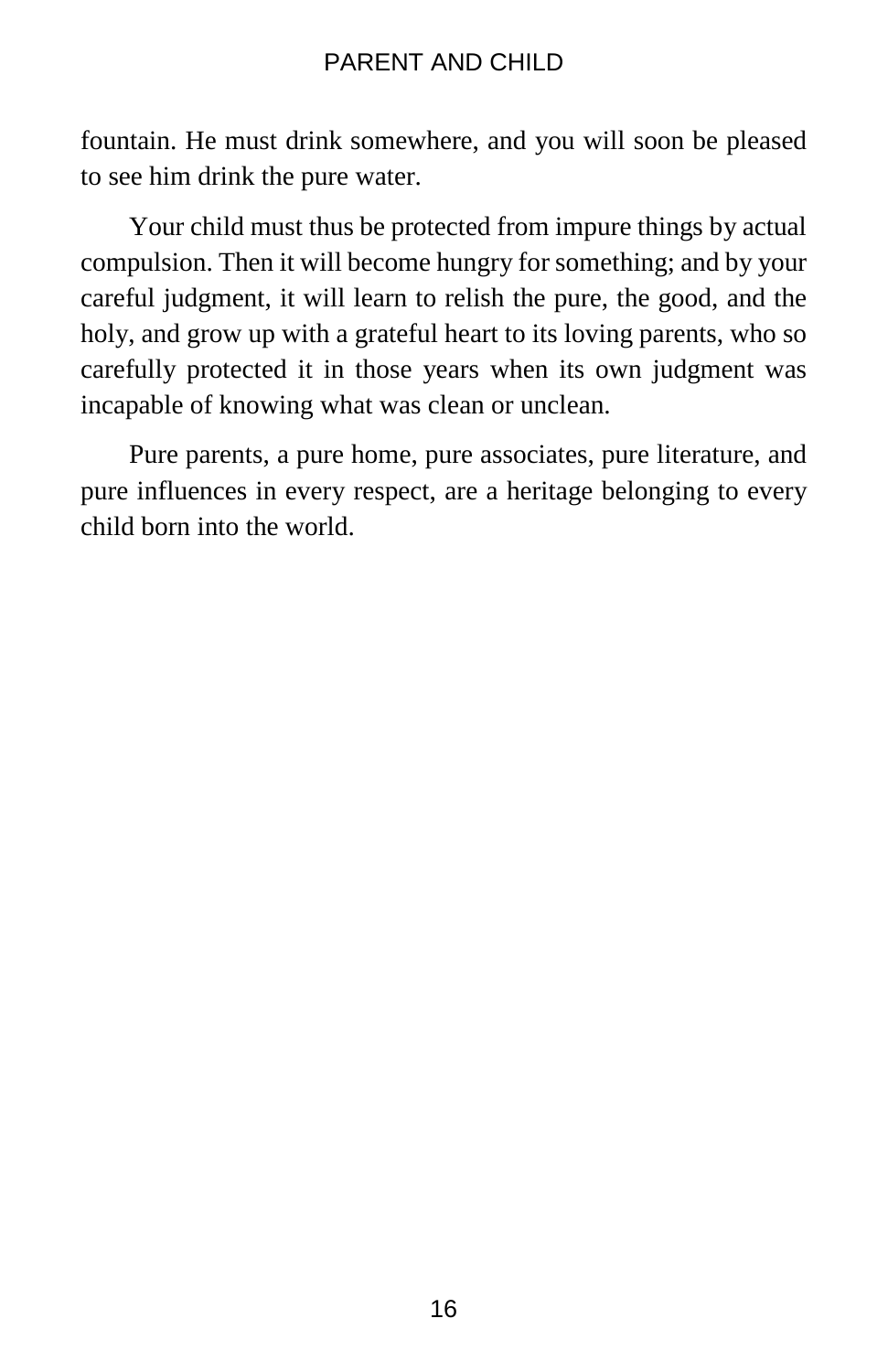fountain. He must drink somewhere, and you will soon be pleased to see him drink the pure water.

Your child must thus be protected from impure things by actual compulsion. Then it will become hungry for something; and by your careful judgment, it will learn to relish the pure, the good, and the holy, and grow up with a grateful heart to its loving parents, who so carefully protected it in those years when its own judgment was incapable of knowing what was clean or unclean.

Pure parents, a pure home, pure associates, pure literature, and pure influences in every respect, are a heritage belonging to every child born into the world.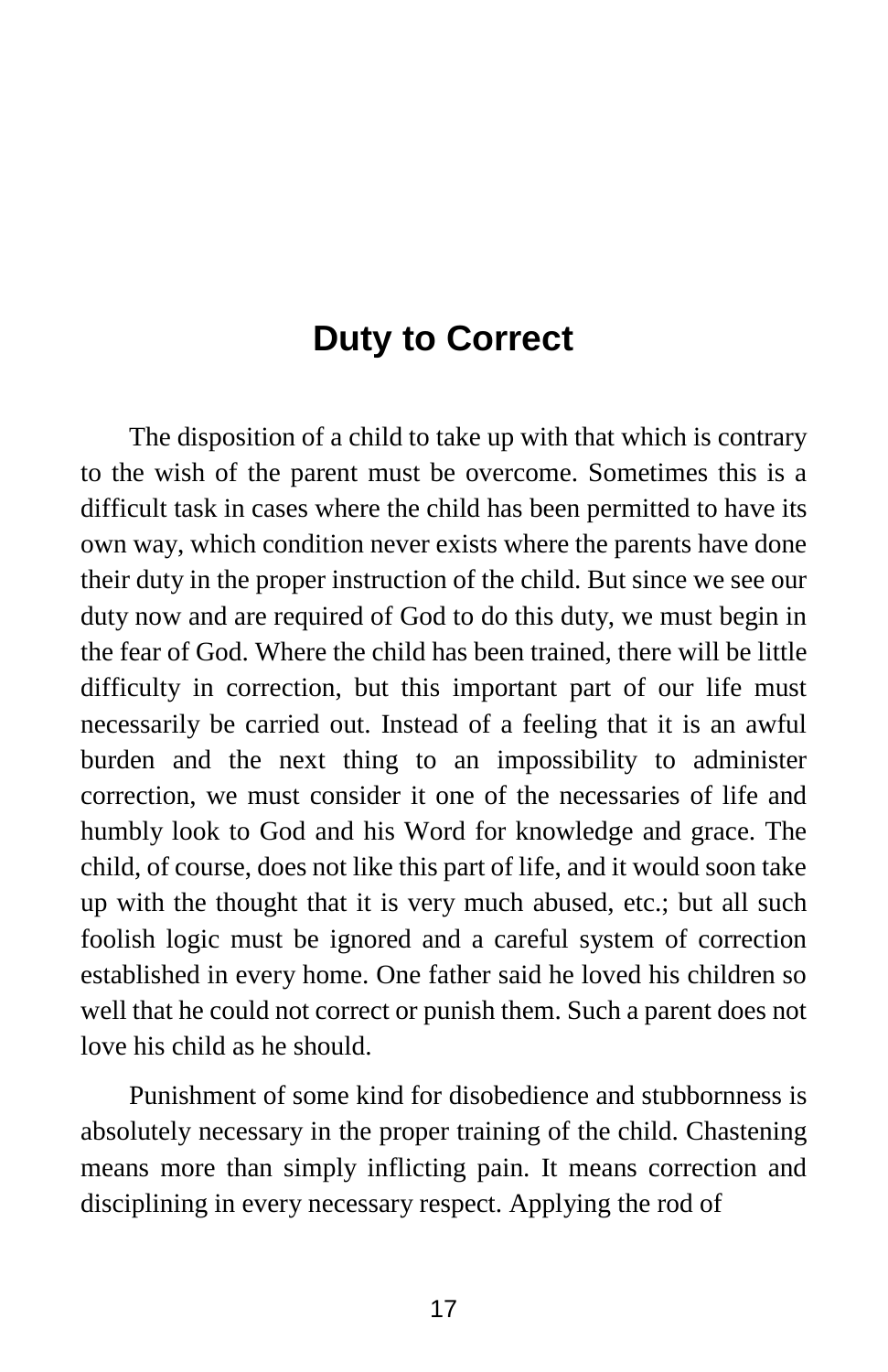## **Duty to Correct**

The disposition of a child to take up with that which is contrary to the wish of the parent must be overcome. Sometimes this is a difficult task in cases where the child has been permitted to have its own way, which condition never exists where the parents have done their duty in the proper instruction of the child. But since we see our duty now and are required of God to do this duty, we must begin in the fear of God. Where the child has been trained, there will be little difficulty in correction, but this important part of our life must necessarily be carried out. Instead of a feeling that it is an awful burden and the next thing to an impossibility to administer correction, we must consider it one of the necessaries of life and humbly look to God and his Word for knowledge and grace. The child, of course, does not like this part of life, and it would soon take up with the thought that it is very much abused, etc.; but all such foolish logic must be ignored and a careful system of correction established in every home. One father said he loved his children so well that he could not correct or punish them. Such a parent does not love his child as he should.

Punishment of some kind for disobedience and stubbornness is absolutely necessary in the proper training of the child. Chastening means more than simply inflicting pain. It means correction and disciplining in every necessary respect. Applying the rod of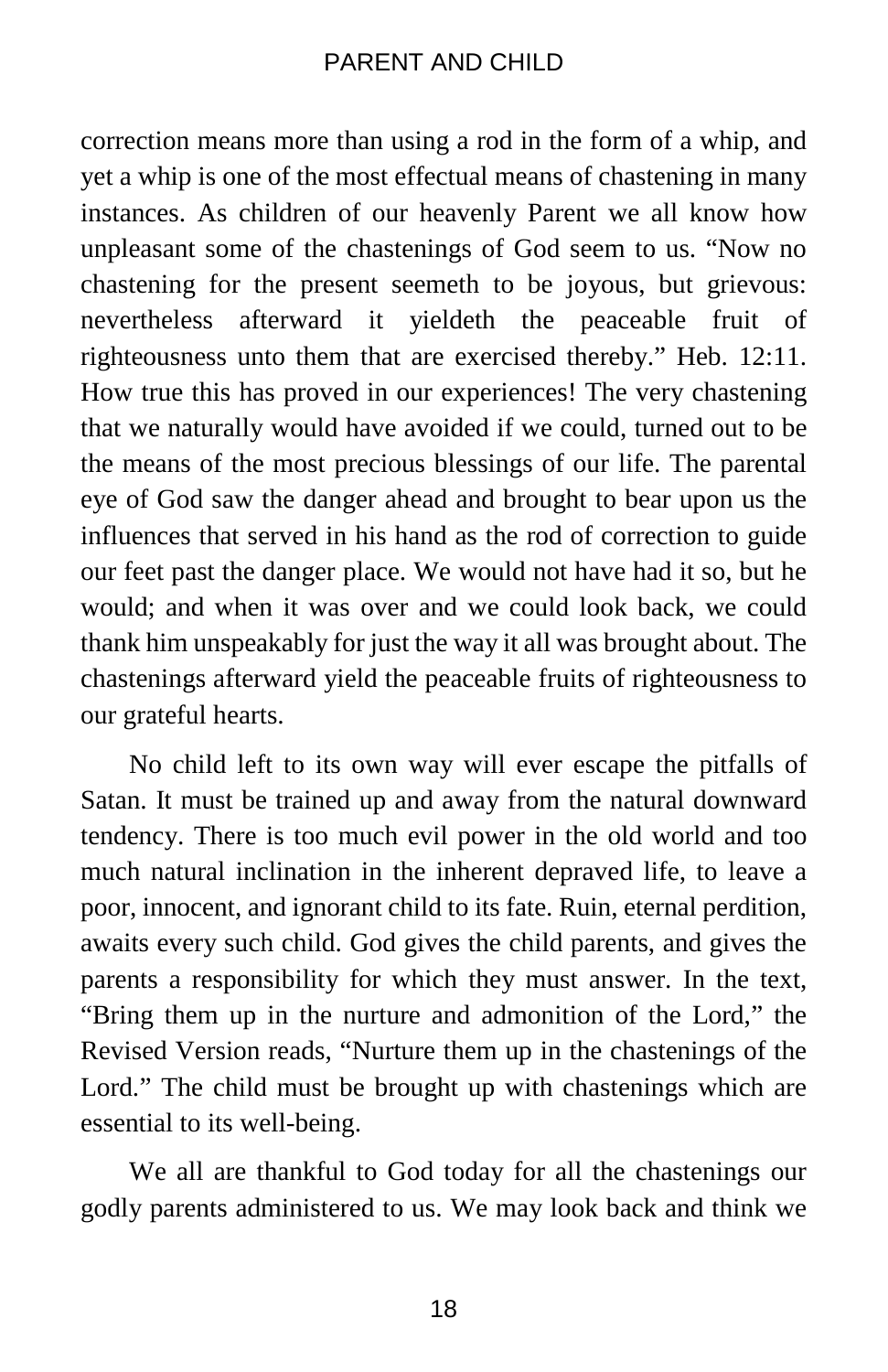correction means more than using a rod in the form of a whip, and yet a whip is one of the most effectual means of chastening in many instances. As children of our heavenly Parent we all know how unpleasant some of the chastenings of God seem to us. "Now no chastening for the present seemeth to be joyous, but grievous: nevertheless afterward it yieldeth the peaceable fruit of righteousness unto them that are exercised thereby." Heb. 12:11. How true this has proved in our experiences! The very chastening that we naturally would have avoided if we could, turned out to be the means of the most precious blessings of our life. The parental eye of God saw the danger ahead and brought to bear upon us the influences that served in his hand as the rod of correction to guide our feet past the danger place. We would not have had it so, but he would; and when it was over and we could look back, we could thank him unspeakably for just the way it all was brought about. The chastenings afterward yield the peaceable fruits of righteousness to our grateful hearts.

No child left to its own way will ever escape the pitfalls of Satan. It must be trained up and away from the natural downward tendency. There is too much evil power in the old world and too much natural inclination in the inherent depraved life, to leave a poor, innocent, and ignorant child to its fate. Ruin, eternal perdition, awaits every such child. God gives the child parents, and gives the parents a responsibility for which they must answer. In the text, "Bring them up in the nurture and admonition of the Lord," the Revised Version reads, "Nurture them up in the chastenings of the Lord." The child must be brought up with chastenings which are essential to its well-being.

We all are thankful to God today for all the chastenings our godly parents administered to us. We may look back and think we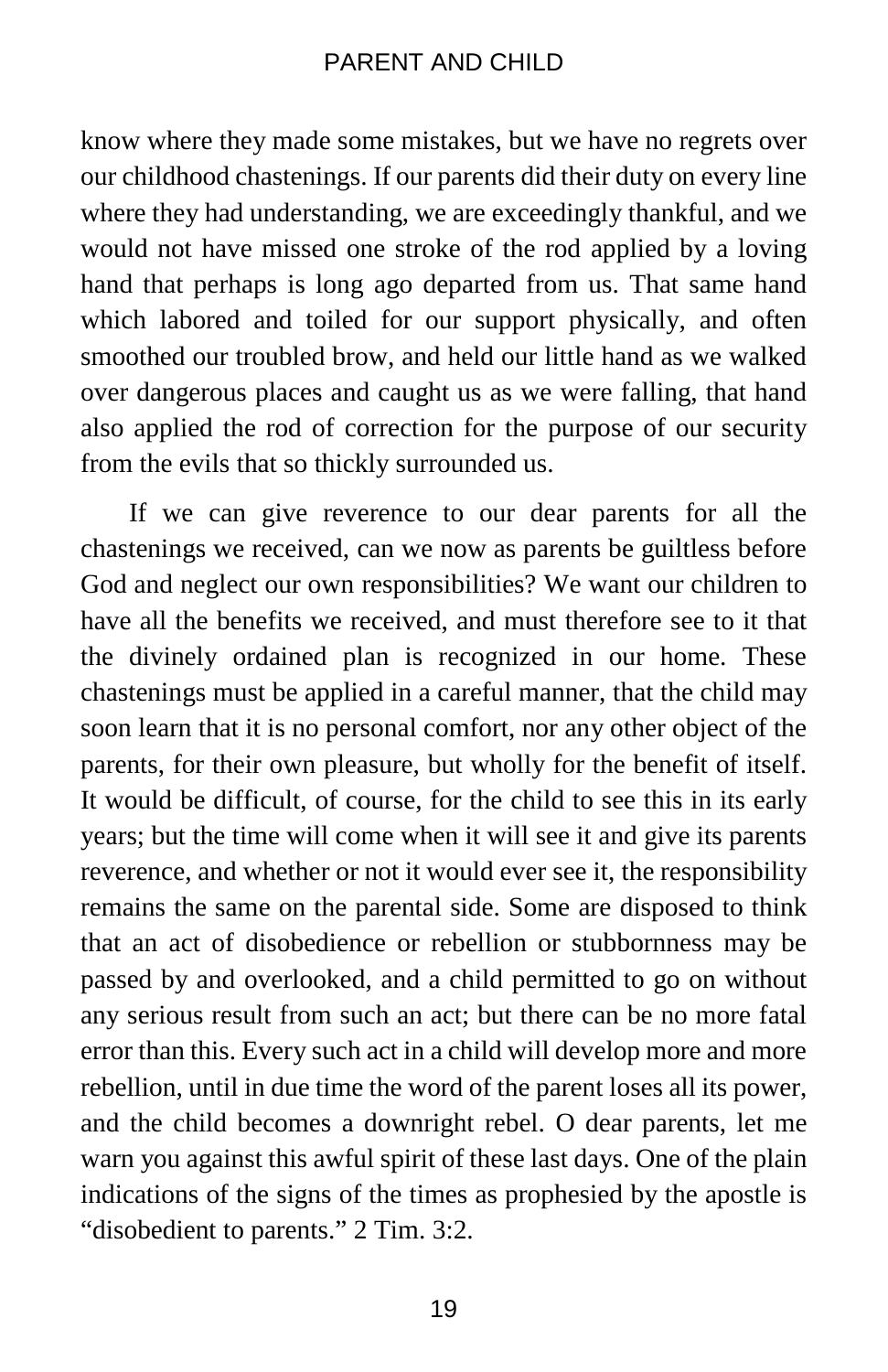know where they made some mistakes, but we have no regrets over our childhood chastenings. If our parents did their duty on every line where they had understanding, we are exceedingly thankful, and we would not have missed one stroke of the rod applied by a loving hand that perhaps is long ago departed from us. That same hand which labored and toiled for our support physically, and often smoothed our troubled brow, and held our little hand as we walked over dangerous places and caught us as we were falling, that hand also applied the rod of correction for the purpose of our security from the evils that so thickly surrounded us.

If we can give reverence to our dear parents for all the chastenings we received, can we now as parents be guiltless before God and neglect our own responsibilities? We want our children to have all the benefits we received, and must therefore see to it that the divinely ordained plan is recognized in our home. These chastenings must be applied in a careful manner, that the child may soon learn that it is no personal comfort, nor any other object of the parents, for their own pleasure, but wholly for the benefit of itself. It would be difficult, of course, for the child to see this in its early years; but the time will come when it will see it and give its parents reverence, and whether or not it would ever see it, the responsibility remains the same on the parental side. Some are disposed to think that an act of disobedience or rebellion or stubbornness may be passed by and overlooked, and a child permitted to go on without any serious result from such an act; but there can be no more fatal error than this. Every such act in a child will develop more and more rebellion, until in due time the word of the parent loses all its power, and the child becomes a downright rebel. O dear parents, let me warn you against this awful spirit of these last days. One of the plain indications of the signs of the times as prophesied by the apostle is "disobedient to parents." 2 Tim. 3:2.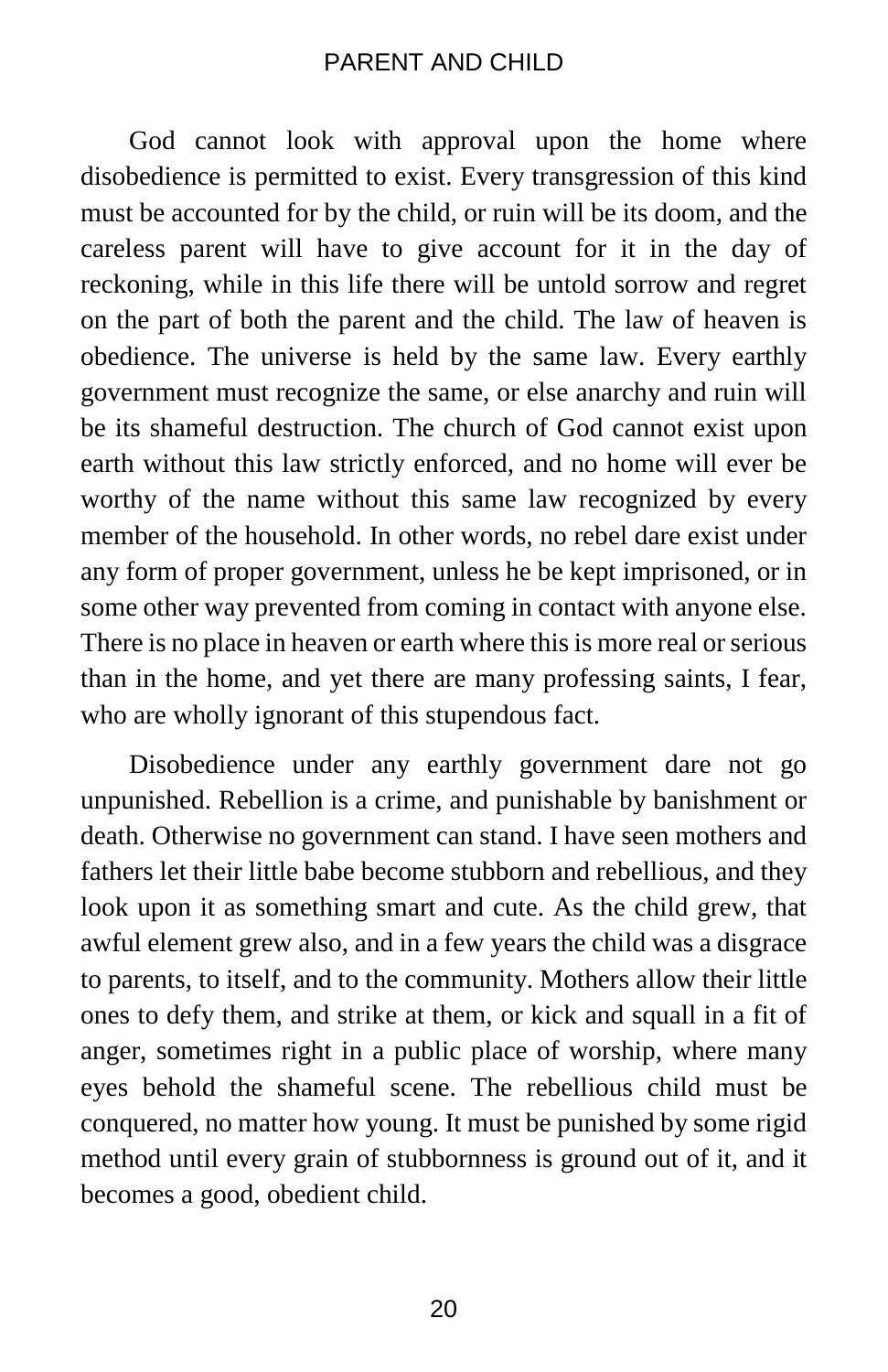God cannot look with approval upon the home where disobedience is permitted to exist. Every transgression of this kind must be accounted for by the child, or ruin will be its doom, and the careless parent will have to give account for it in the day of reckoning, while in this life there will be untold sorrow and regret on the part of both the parent and the child. The law of heaven is obedience. The universe is held by the same law. Every earthly government must recognize the same, or else anarchy and ruin will be its shameful destruction. The church of God cannot exist upon earth without this law strictly enforced, and no home will ever be worthy of the name without this same law recognized by every member of the household. In other words, no rebel dare exist under any form of proper government, unless he be kept imprisoned, or in some other way prevented from coming in contact with anyone else. There is no place in heaven or earth where this is more real or serious than in the home, and yet there are many professing saints, I fear, who are wholly ignorant of this stupendous fact.

Disobedience under any earthly government dare not go unpunished. Rebellion is a crime, and punishable by banishment or death. Otherwise no government can stand. I have seen mothers and fathers let their little babe become stubborn and rebellious, and they look upon it as something smart and cute. As the child grew, that awful element grew also, and in a few years the child was a disgrace to parents, to itself, and to the community. Mothers allow their little ones to defy them, and strike at them, or kick and squall in a fit of anger, sometimes right in a public place of worship, where many eyes behold the shameful scene. The rebellious child must be conquered, no matter how young. It must be punished by some rigid method until every grain of stubbornness is ground out of it, and it becomes a good, obedient child.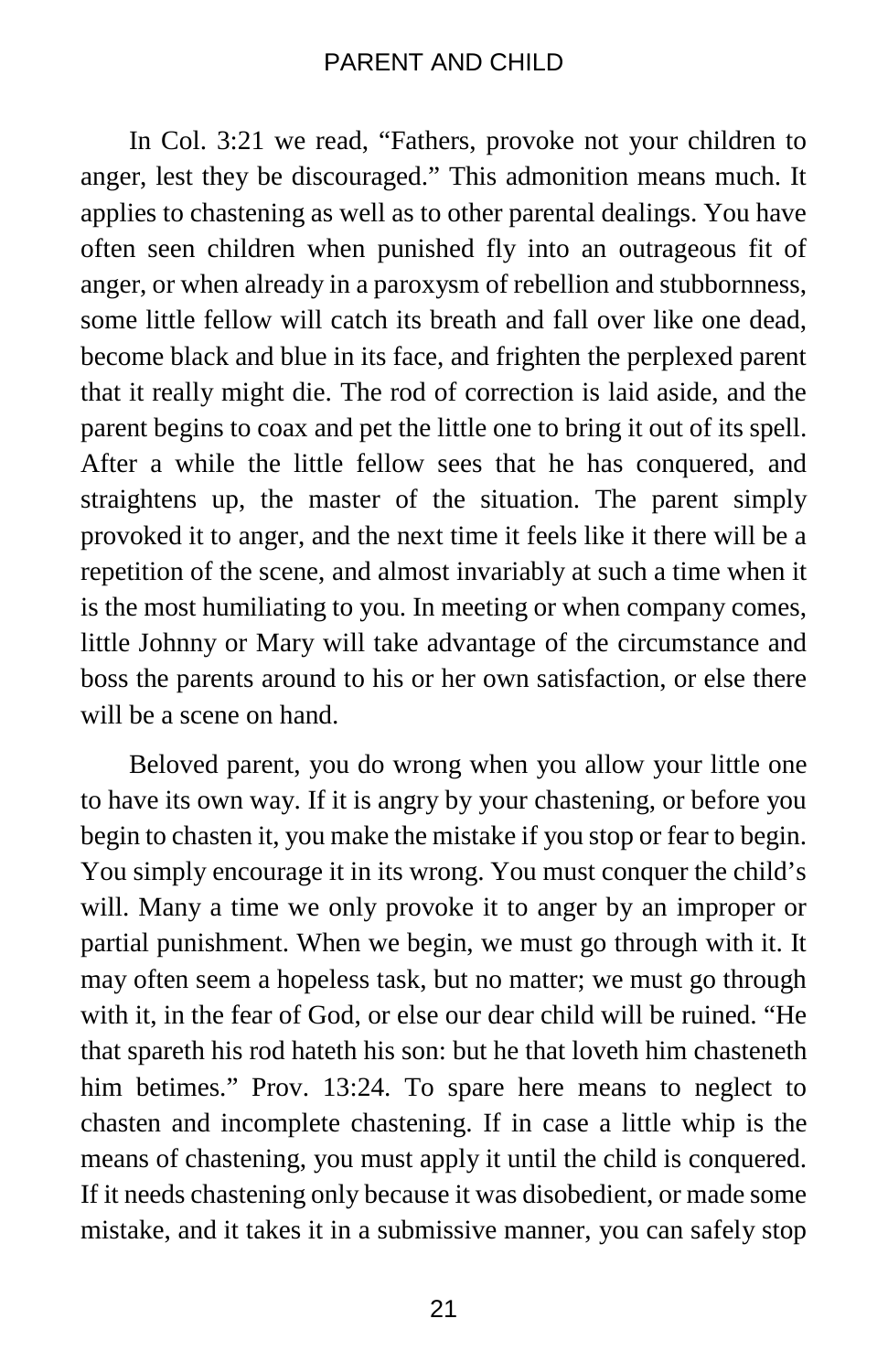In Col. 3:21 we read, "Fathers, provoke not your children to anger, lest they be discouraged." This admonition means much. It applies to chastening as well as to other parental dealings. You have often seen children when punished fly into an outrageous fit of anger, or when already in a paroxysm of rebellion and stubbornness, some little fellow will catch its breath and fall over like one dead, become black and blue in its face, and frighten the perplexed parent that it really might die. The rod of correction is laid aside, and the parent begins to coax and pet the little one to bring it out of its spell. After a while the little fellow sees that he has conquered, and straightens up, the master of the situation. The parent simply provoked it to anger, and the next time it feels like it there will be a repetition of the scene, and almost invariably at such a time when it is the most humiliating to you. In meeting or when company comes, little Johnny or Mary will take advantage of the circumstance and boss the parents around to his or her own satisfaction, or else there will be a scene on hand.

Beloved parent, you do wrong when you allow your little one to have its own way. If it is angry by your chastening, or before you begin to chasten it, you make the mistake if you stop or fear to begin. You simply encourage it in its wrong. You must conquer the child's will. Many a time we only provoke it to anger by an improper or partial punishment. When we begin, we must go through with it. It may often seem a hopeless task, but no matter; we must go through with it, in the fear of God, or else our dear child will be ruined. "He that spareth his rod hateth his son: but he that loveth him chasteneth him betimes." Prov. 13:24. To spare here means to neglect to chasten and incomplete chastening. If in case a little whip is the means of chastening, you must apply it until the child is conquered. If it needs chastening only because it was disobedient, or made some mistake, and it takes it in a submissive manner, you can safely stop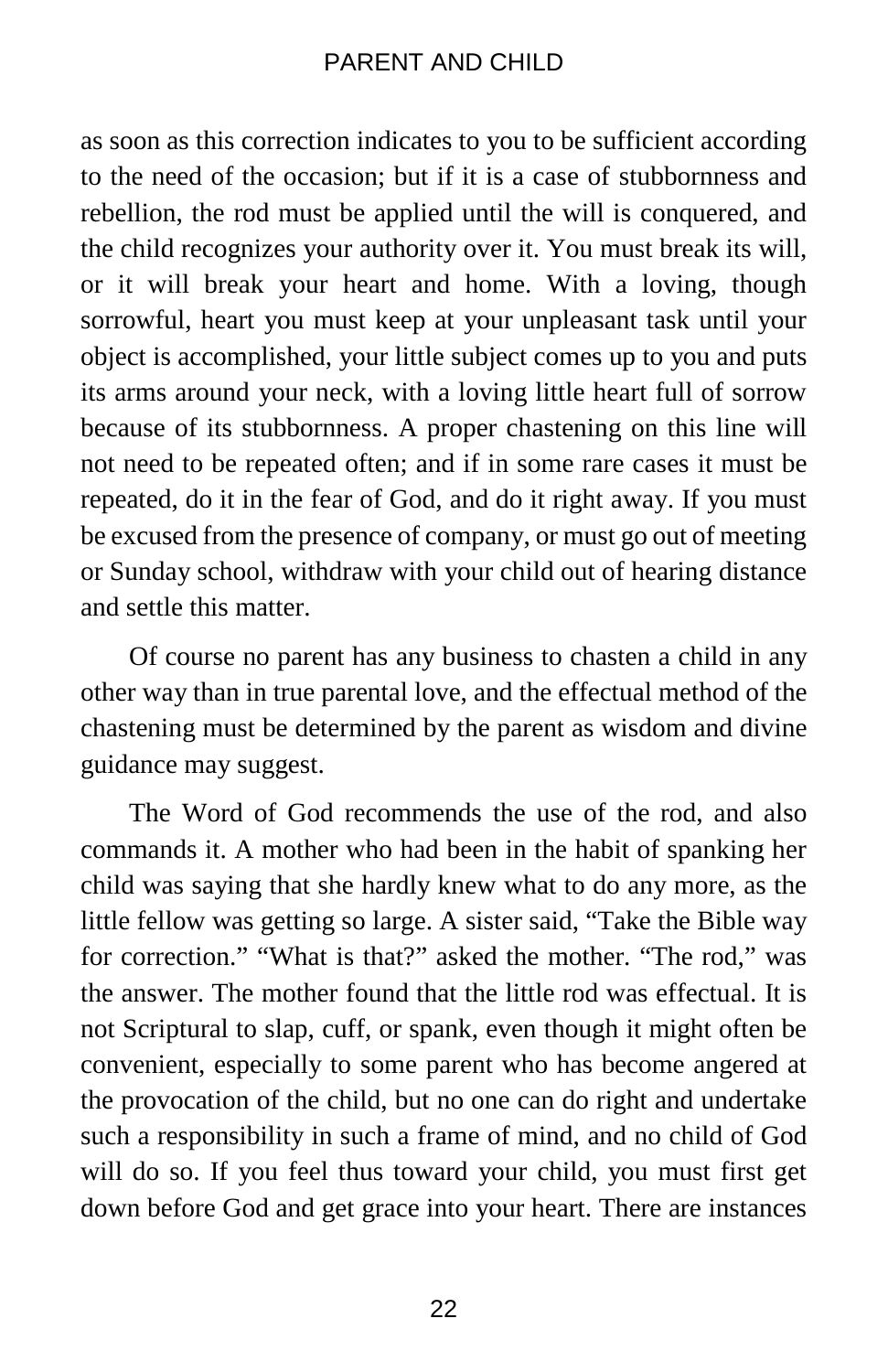as soon as this correction indicates to you to be sufficient according to the need of the occasion; but if it is a case of stubbornness and rebellion, the rod must be applied until the will is conquered, and the child recognizes your authority over it. You must break its will, or it will break your heart and home. With a loving, though sorrowful, heart you must keep at your unpleasant task until your object is accomplished, your little subject comes up to you and puts its arms around your neck, with a loving little heart full of sorrow because of its stubbornness. A proper chastening on this line will not need to be repeated often; and if in some rare cases it must be repeated, do it in the fear of God, and do it right away. If you must be excused from the presence of company, or must go out of meeting or Sunday school, withdraw with your child out of hearing distance and settle this matter.

Of course no parent has any business to chasten a child in any other way than in true parental love, and the effectual method of the chastening must be determined by the parent as wisdom and divine guidance may suggest.

The Word of God recommends the use of the rod, and also commands it. A mother who had been in the habit of spanking her child was saying that she hardly knew what to do any more, as the little fellow was getting so large. A sister said, "Take the Bible way for correction." "What is that?" asked the mother. "The rod," was the answer. The mother found that the little rod was effectual. It is not Scriptural to slap, cuff, or spank, even though it might often be convenient, especially to some parent who has become angered at the provocation of the child, but no one can do right and undertake such a responsibility in such a frame of mind, and no child of God will do so. If you feel thus toward your child, you must first get down before God and get grace into your heart. There are instances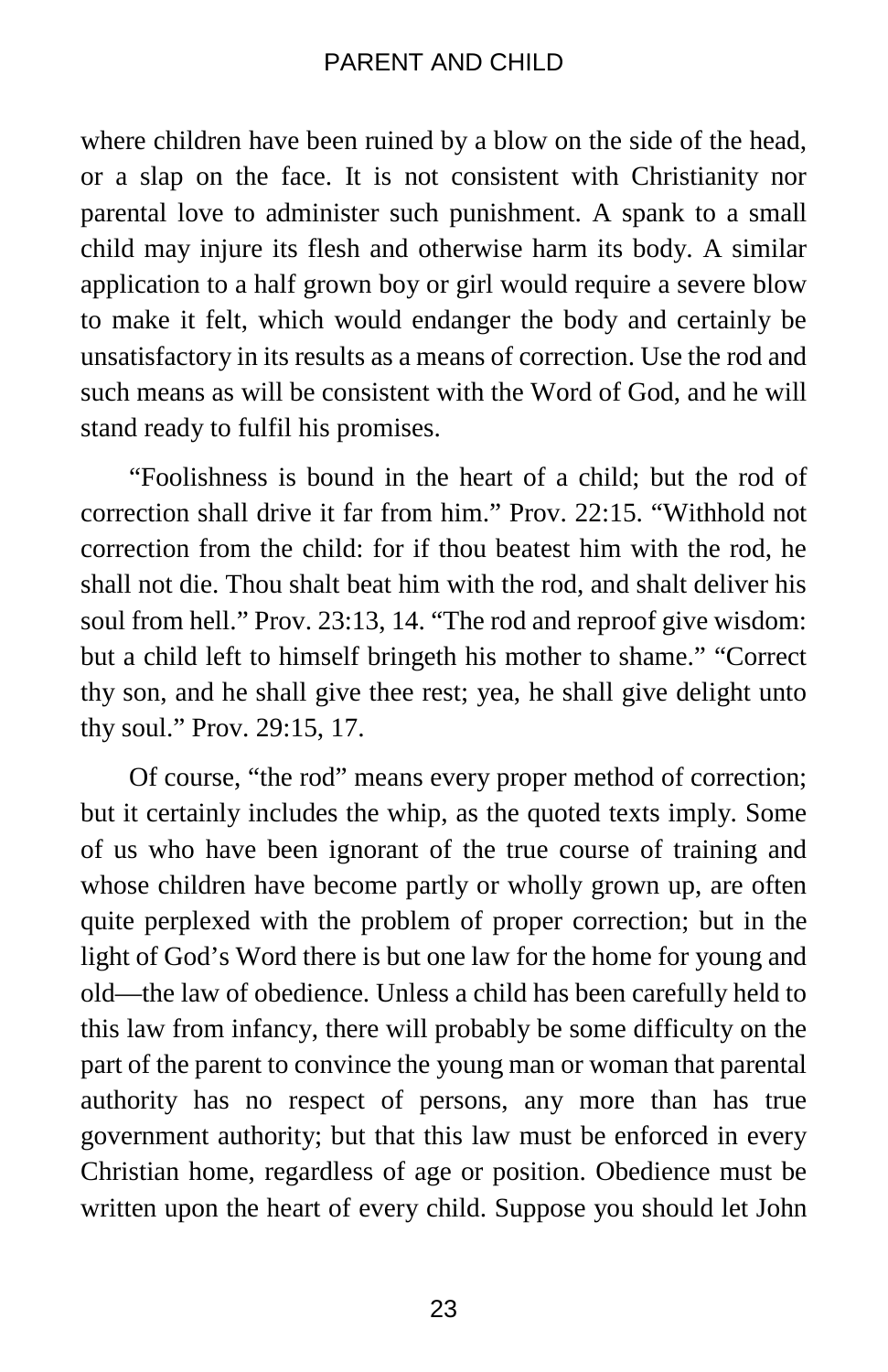where children have been ruined by a blow on the side of the head, or a slap on the face. It is not consistent with Christianity nor parental love to administer such punishment. A spank to a small child may injure its flesh and otherwise harm its body. A similar application to a half grown boy or girl would require a severe blow to make it felt, which would endanger the body and certainly be unsatisfactory in its results as a means of correction. Use the rod and such means as will be consistent with the Word of God, and he will stand ready to fulfil his promises.

"Foolishness is bound in the heart of a child; but the rod of correction shall drive it far from him." Prov. 22:15. "Withhold not correction from the child: for if thou beatest him with the rod, he shall not die. Thou shalt beat him with the rod, and shalt deliver his soul from hell." Prov. 23:13, 14. "The rod and reproof give wisdom: but a child left to himself bringeth his mother to shame." "Correct thy son, and he shall give thee rest; yea, he shall give delight unto thy soul." Prov. 29:15, 17.

Of course, "the rod" means every proper method of correction; but it certainly includes the whip, as the quoted texts imply. Some of us who have been ignorant of the true course of training and whose children have become partly or wholly grown up, are often quite perplexed with the problem of proper correction; but in the light of God's Word there is but one law for the home for young and old—the law of obedience. Unless a child has been carefully held to this law from infancy, there will probably be some difficulty on the part of the parent to convince the young man or woman that parental authority has no respect of persons, any more than has true government authority; but that this law must be enforced in every Christian home, regardless of age or position. Obedience must be written upon the heart of every child. Suppose you should let John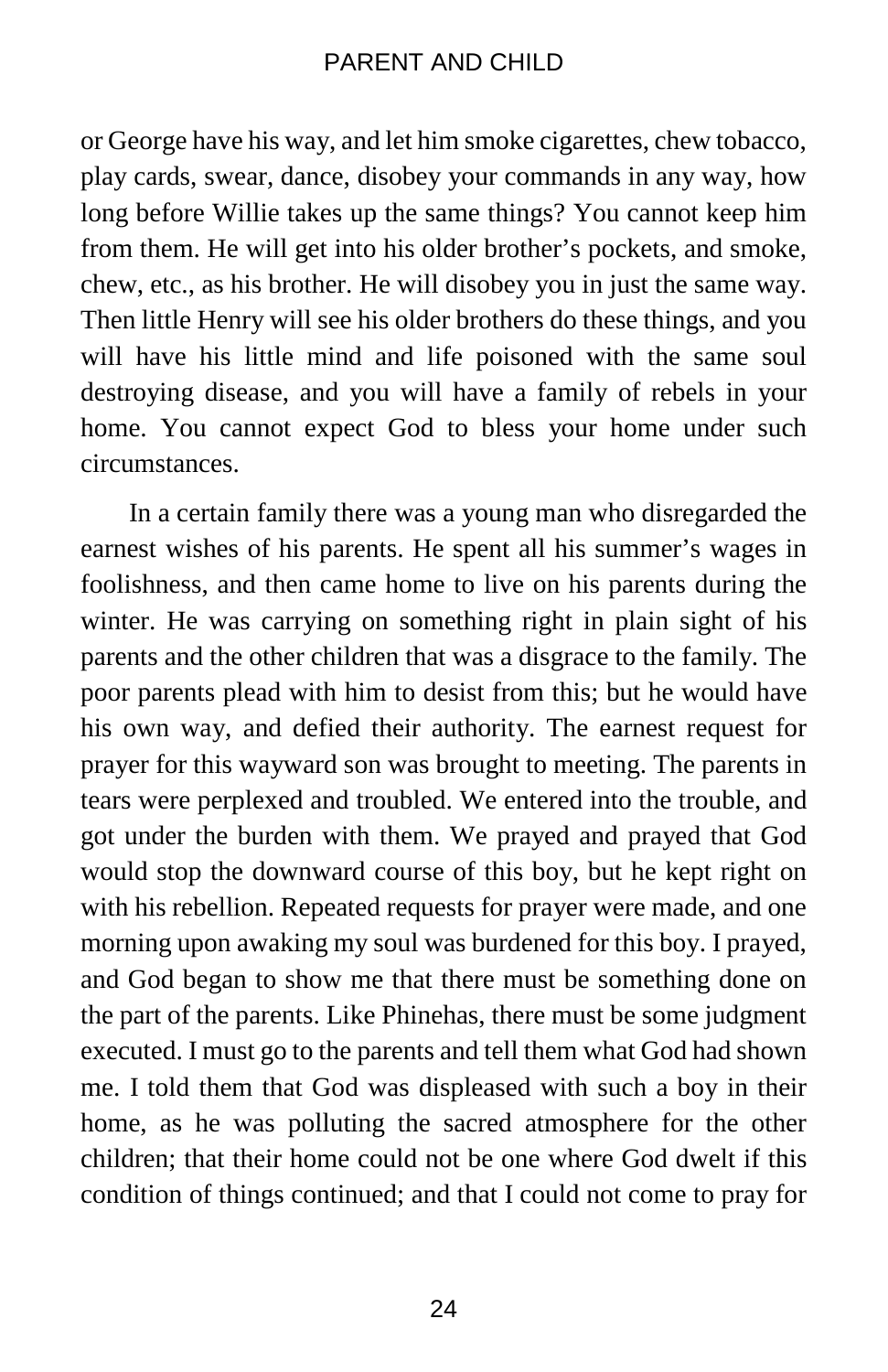or George have his way, and let him smoke cigarettes, chew tobacco, play cards, swear, dance, disobey your commands in any way, how long before Willie takes up the same things? You cannot keep him from them. He will get into his older brother's pockets, and smoke, chew, etc., as his brother. He will disobey you in just the same way. Then little Henry will see his older brothers do these things, and you will have his little mind and life poisoned with the same soul destroying disease, and you will have a family of rebels in your home. You cannot expect God to bless your home under such circumstances.

In a certain family there was a young man who disregarded the earnest wishes of his parents. He spent all his summer's wages in foolishness, and then came home to live on his parents during the winter. He was carrying on something right in plain sight of his parents and the other children that was a disgrace to the family. The poor parents plead with him to desist from this; but he would have his own way, and defied their authority. The earnest request for prayer for this wayward son was brought to meeting. The parents in tears were perplexed and troubled. We entered into the trouble, and got under the burden with them. We prayed and prayed that God would stop the downward course of this boy, but he kept right on with his rebellion. Repeated requests for prayer were made, and one morning upon awaking my soul was burdened for this boy. I prayed, and God began to show me that there must be something done on the part of the parents. Like Phinehas, there must be some judgment executed. I must go to the parents and tell them what God had shown me. I told them that God was displeased with such a boy in their home, as he was polluting the sacred atmosphere for the other children; that their home could not be one where God dwelt if this condition of things continued; and that I could not come to pray for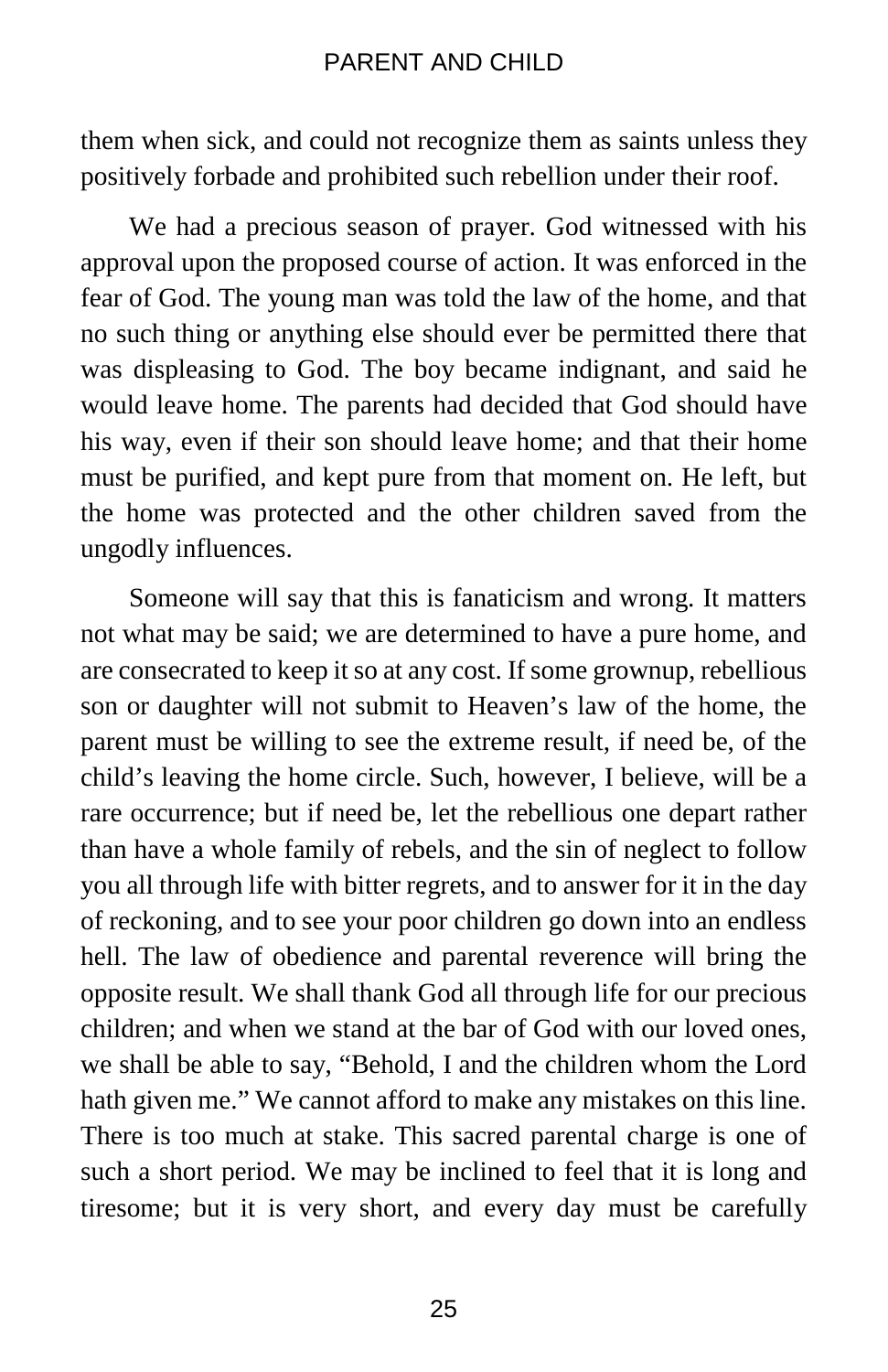them when sick, and could not recognize them as saints unless they positively forbade and prohibited such rebellion under their roof.

We had a precious season of prayer. God witnessed with his approval upon the proposed course of action. It was enforced in the fear of God. The young man was told the law of the home, and that no such thing or anything else should ever be permitted there that was displeasing to God. The boy became indignant, and said he would leave home. The parents had decided that God should have his way, even if their son should leave home; and that their home must be purified, and kept pure from that moment on. He left, but the home was protected and the other children saved from the ungodly influences.

Someone will say that this is fanaticism and wrong. It matters not what may be said; we are determined to have a pure home, and are consecrated to keep it so at any cost. If some grownup, rebellious son or daughter will not submit to Heaven's law of the home, the parent must be willing to see the extreme result, if need be, of the child's leaving the home circle. Such, however, I believe, will be a rare occurrence; but if need be, let the rebellious one depart rather than have a whole family of rebels, and the sin of neglect to follow you all through life with bitter regrets, and to answer for it in the day of reckoning, and to see your poor children go down into an endless hell. The law of obedience and parental reverence will bring the opposite result. We shall thank God all through life for our precious children; and when we stand at the bar of God with our loved ones, we shall be able to say, "Behold, I and the children whom the Lord hath given me." We cannot afford to make any mistakes on this line. There is too much at stake. This sacred parental charge is one of such a short period. We may be inclined to feel that it is long and tiresome; but it is very short, and every day must be carefully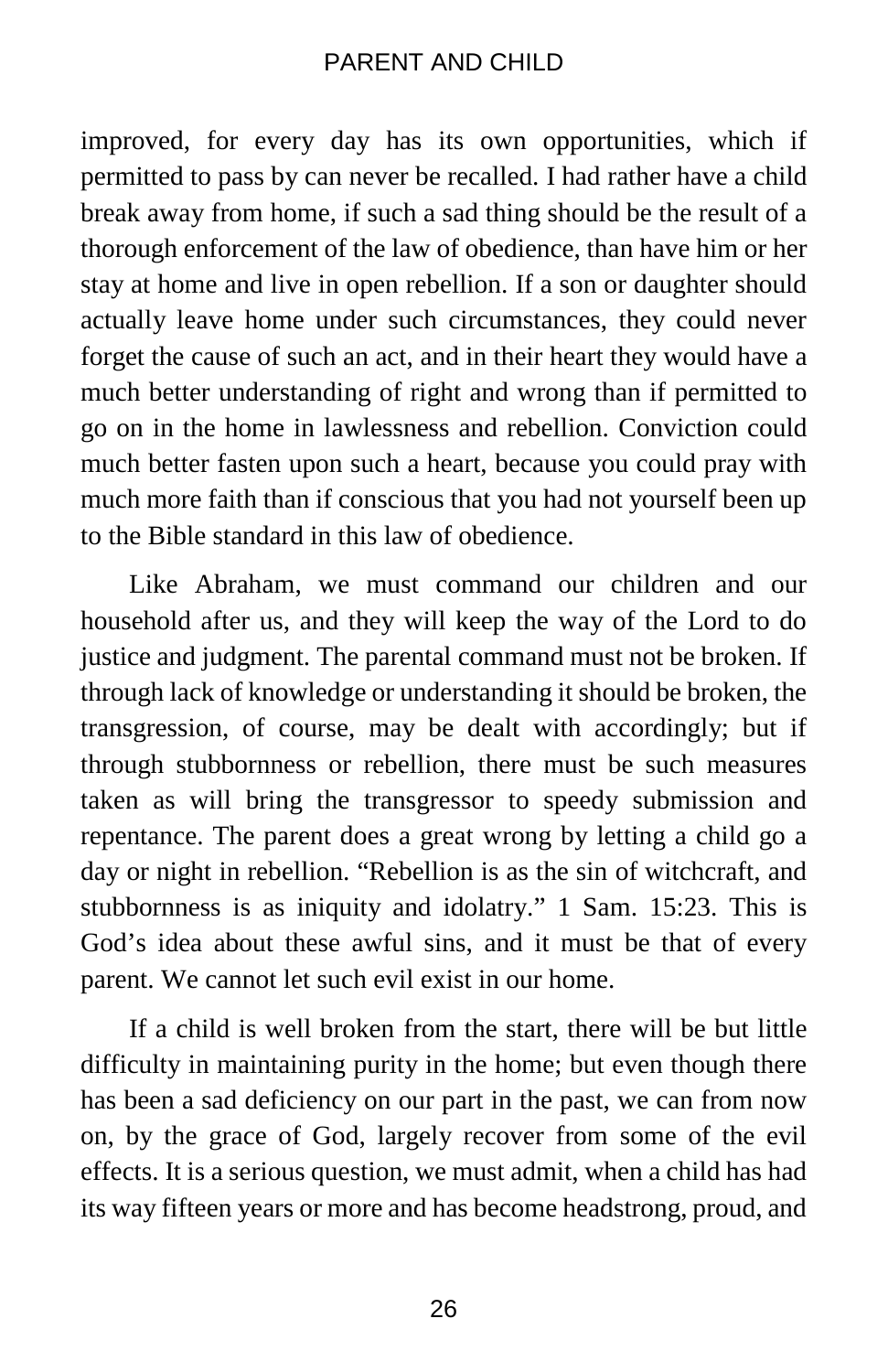improved, for every day has its own opportunities, which if permitted to pass by can never be recalled. I had rather have a child break away from home, if such a sad thing should be the result of a thorough enforcement of the law of obedience, than have him or her stay at home and live in open rebellion. If a son or daughter should actually leave home under such circumstances, they could never forget the cause of such an act, and in their heart they would have a much better understanding of right and wrong than if permitted to go on in the home in lawlessness and rebellion. Conviction could much better fasten upon such a heart, because you could pray with much more faith than if conscious that you had not yourself been up to the Bible standard in this law of obedience.

Like Abraham, we must command our children and our household after us, and they will keep the way of the Lord to do justice and judgment. The parental command must not be broken. If through lack of knowledge or understanding it should be broken, the transgression, of course, may be dealt with accordingly; but if through stubbornness or rebellion, there must be such measures taken as will bring the transgressor to speedy submission and repentance. The parent does a great wrong by letting a child go a day or night in rebellion. "Rebellion is as the sin of witchcraft, and stubbornness is as iniquity and idolatry." 1 Sam. 15:23. This is God's idea about these awful sins, and it must be that of every parent. We cannot let such evil exist in our home.

If a child is well broken from the start, there will be but little difficulty in maintaining purity in the home; but even though there has been a sad deficiency on our part in the past, we can from now on, by the grace of God, largely recover from some of the evil effects. It is a serious question, we must admit, when a child has had its way fifteen years or more and has become headstrong, proud, and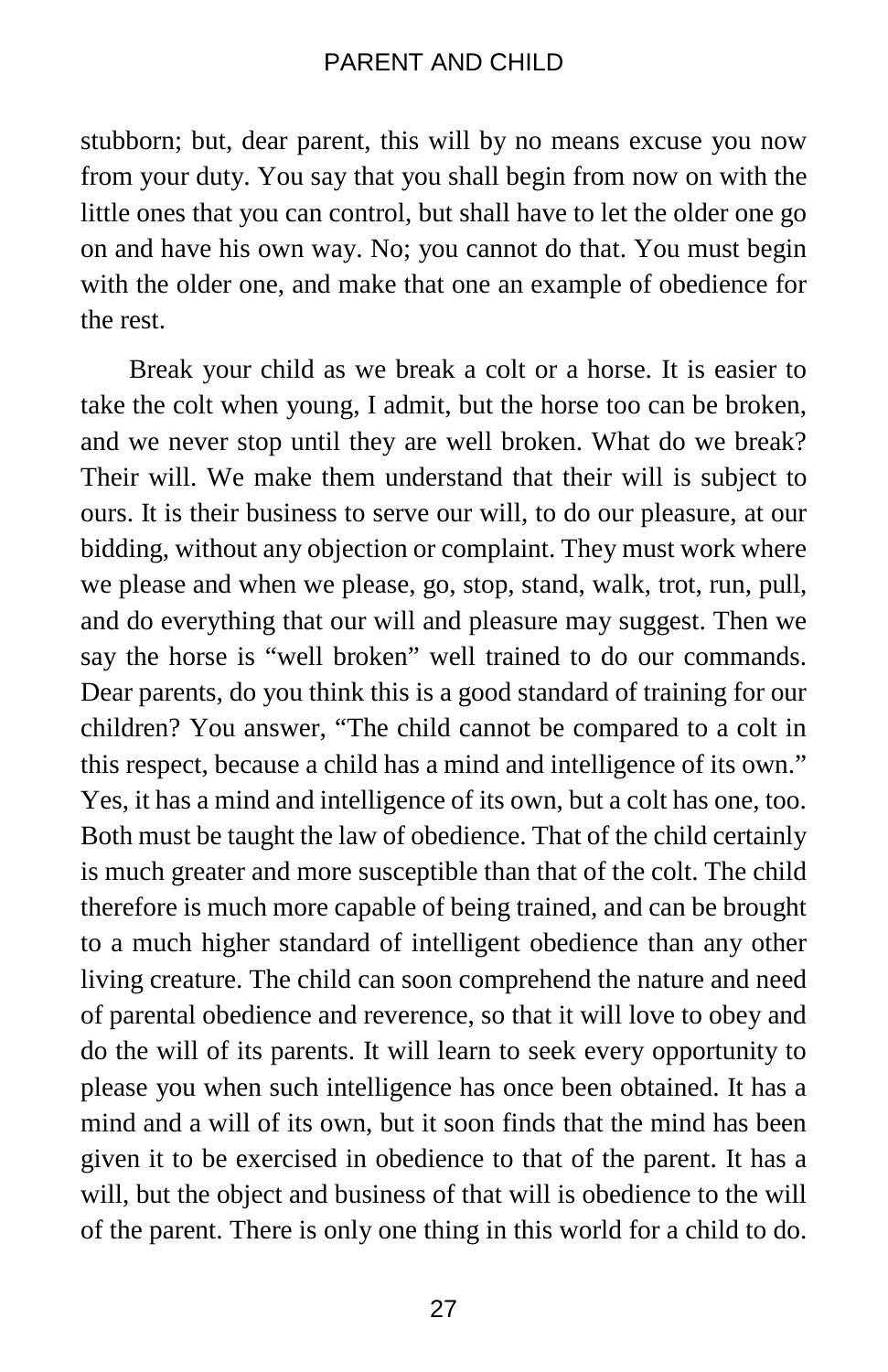stubborn; but, dear parent, this will by no means excuse you now from your duty. You say that you shall begin from now on with the little ones that you can control, but shall have to let the older one go on and have his own way. No; you cannot do that. You must begin with the older one, and make that one an example of obedience for the rest.

Break your child as we break a colt or a horse. It is easier to take the colt when young, I admit, but the horse too can be broken, and we never stop until they are well broken. What do we break? Their will. We make them understand that their will is subject to ours. It is their business to serve our will, to do our pleasure, at our bidding, without any objection or complaint. They must work where we please and when we please, go, stop, stand, walk, trot, run, pull, and do everything that our will and pleasure may suggest. Then we say the horse is "well broken" well trained to do our commands. Dear parents, do you think this is a good standard of training for our children? You answer, "The child cannot be compared to a colt in this respect, because a child has a mind and intelligence of its own." Yes, it has a mind and intelligence of its own, but a colt has one, too. Both must be taught the law of obedience. That of the child certainly is much greater and more susceptible than that of the colt. The child therefore is much more capable of being trained, and can be brought to a much higher standard of intelligent obedience than any other living creature. The child can soon comprehend the nature and need of parental obedience and reverence, so that it will love to obey and do the will of its parents. It will learn to seek every opportunity to please you when such intelligence has once been obtained. It has a mind and a will of its own, but it soon finds that the mind has been given it to be exercised in obedience to that of the parent. It has a will, but the object and business of that will is obedience to the will of the parent. There is only one thing in this world for a child to do.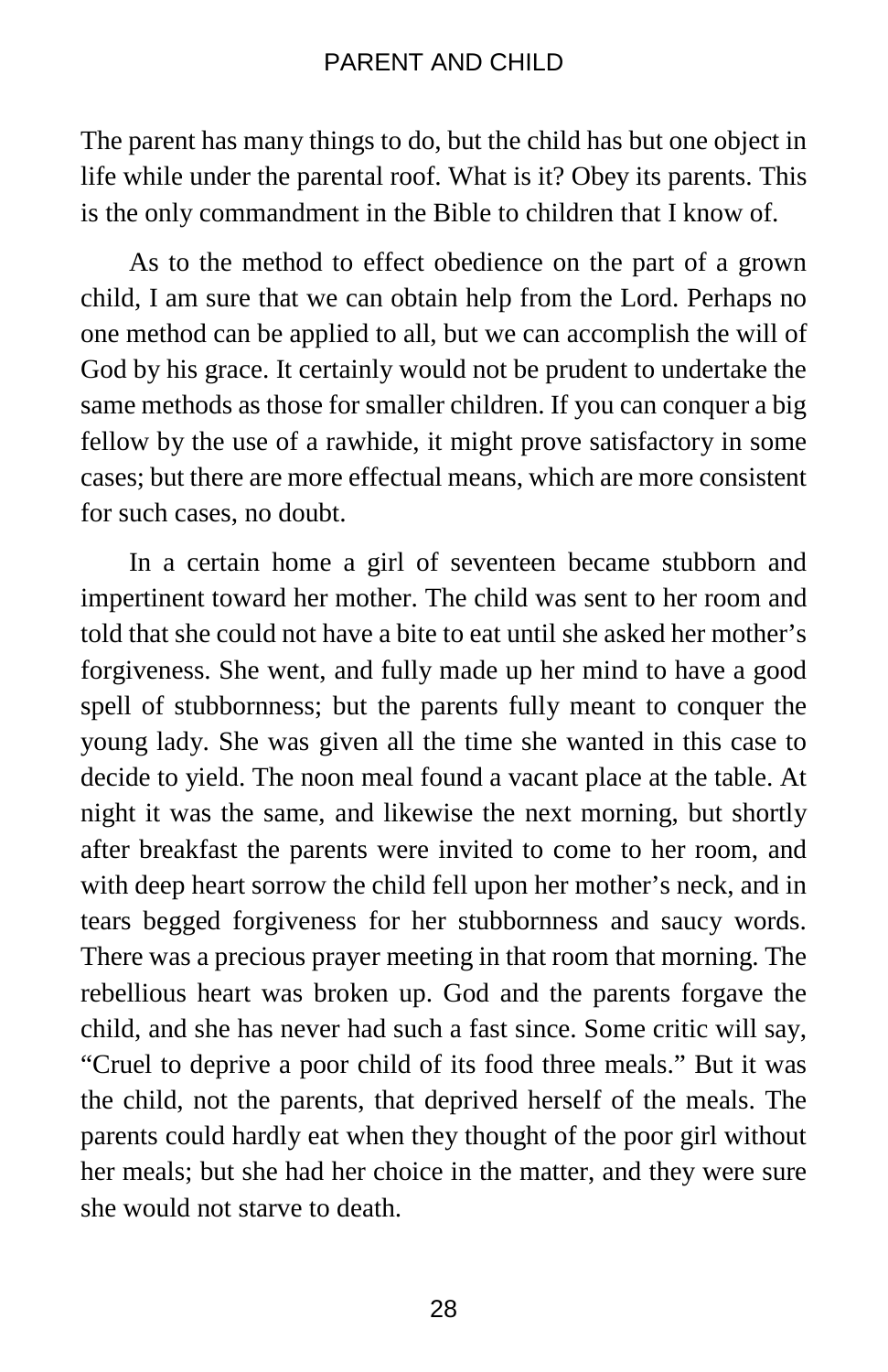The parent has many things to do, but the child has but one object in life while under the parental roof. What is it? Obey its parents. This is the only commandment in the Bible to children that I know of.

As to the method to effect obedience on the part of a grown child, I am sure that we can obtain help from the Lord. Perhaps no one method can be applied to all, but we can accomplish the will of God by his grace. It certainly would not be prudent to undertake the same methods as those for smaller children. If you can conquer a big fellow by the use of a rawhide, it might prove satisfactory in some cases; but there are more effectual means, which are more consistent for such cases, no doubt.

In a certain home a girl of seventeen became stubborn and impertinent toward her mother. The child was sent to her room and told that she could not have a bite to eat until she asked her mother's forgiveness. She went, and fully made up her mind to have a good spell of stubbornness; but the parents fully meant to conquer the young lady. She was given all the time she wanted in this case to decide to yield. The noon meal found a vacant place at the table. At night it was the same, and likewise the next morning, but shortly after breakfast the parents were invited to come to her room, and with deep heart sorrow the child fell upon her mother's neck, and in tears begged forgiveness for her stubbornness and saucy words. There was a precious prayer meeting in that room that morning. The rebellious heart was broken up. God and the parents forgave the child, and she has never had such a fast since. Some critic will say, "Cruel to deprive a poor child of its food three meals." But it was the child, not the parents, that deprived herself of the meals. The parents could hardly eat when they thought of the poor girl without her meals; but she had her choice in the matter, and they were sure she would not starve to death.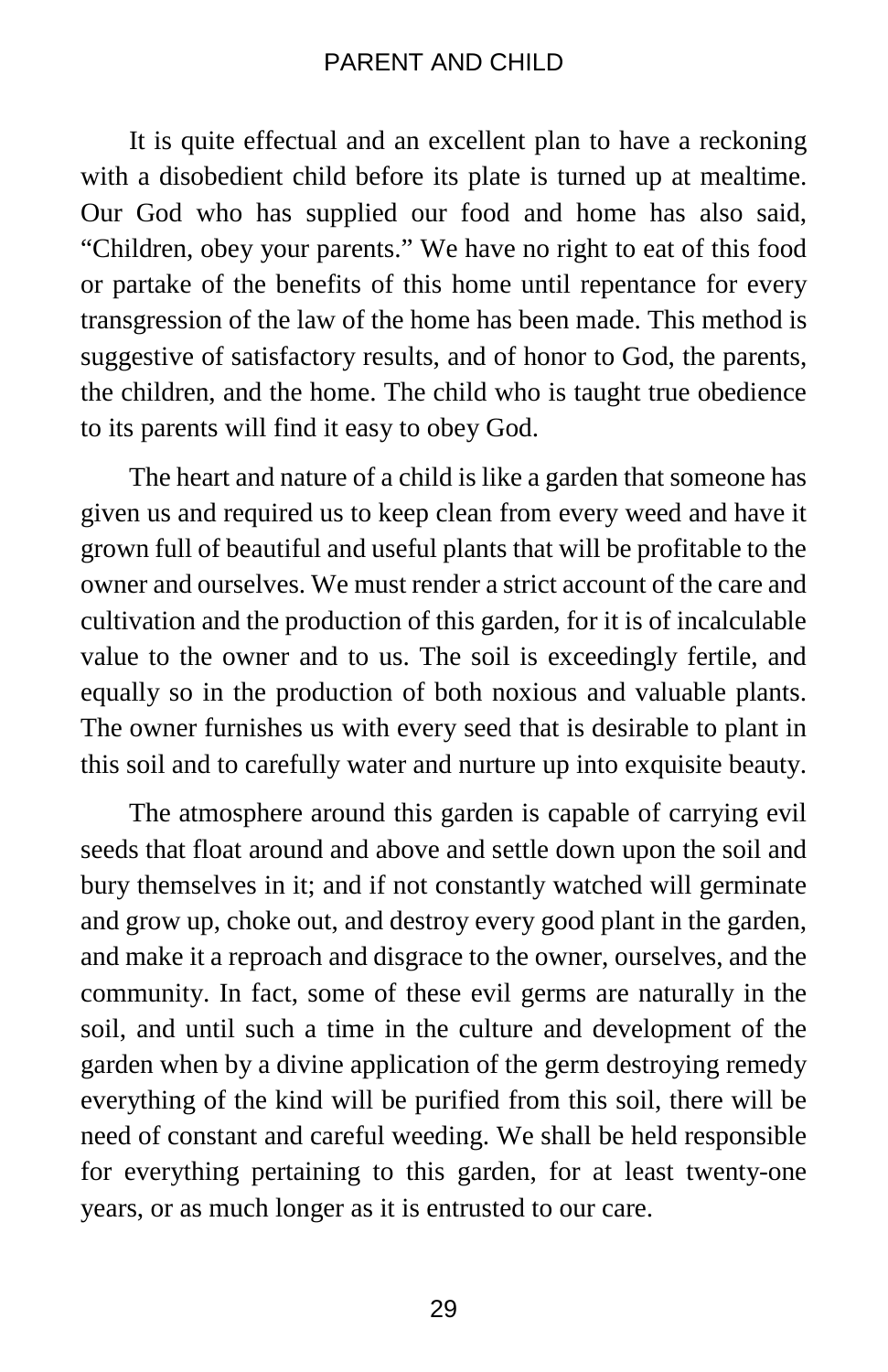It is quite effectual and an excellent plan to have a reckoning with a disobedient child before its plate is turned up at mealtime. Our God who has supplied our food and home has also said, "Children, obey your parents." We have no right to eat of this food or partake of the benefits of this home until repentance for every transgression of the law of the home has been made. This method is suggestive of satisfactory results, and of honor to God, the parents, the children, and the home. The child who is taught true obedience to its parents will find it easy to obey God.

The heart and nature of a child is like a garden that someone has given us and required us to keep clean from every weed and have it grown full of beautiful and useful plants that will be profitable to the owner and ourselves. We must render a strict account of the care and cultivation and the production of this garden, for it is of incalculable value to the owner and to us. The soil is exceedingly fertile, and equally so in the production of both noxious and valuable plants. The owner furnishes us with every seed that is desirable to plant in this soil and to carefully water and nurture up into exquisite beauty.

The atmosphere around this garden is capable of carrying evil seeds that float around and above and settle down upon the soil and bury themselves in it; and if not constantly watched will germinate and grow up, choke out, and destroy every good plant in the garden, and make it a reproach and disgrace to the owner, ourselves, and the community. In fact, some of these evil germs are naturally in the soil, and until such a time in the culture and development of the garden when by a divine application of the germ destroying remedy everything of the kind will be purified from this soil, there will be need of constant and careful weeding. We shall be held responsible for everything pertaining to this garden, for at least twenty-one years, or as much longer as it is entrusted to our care.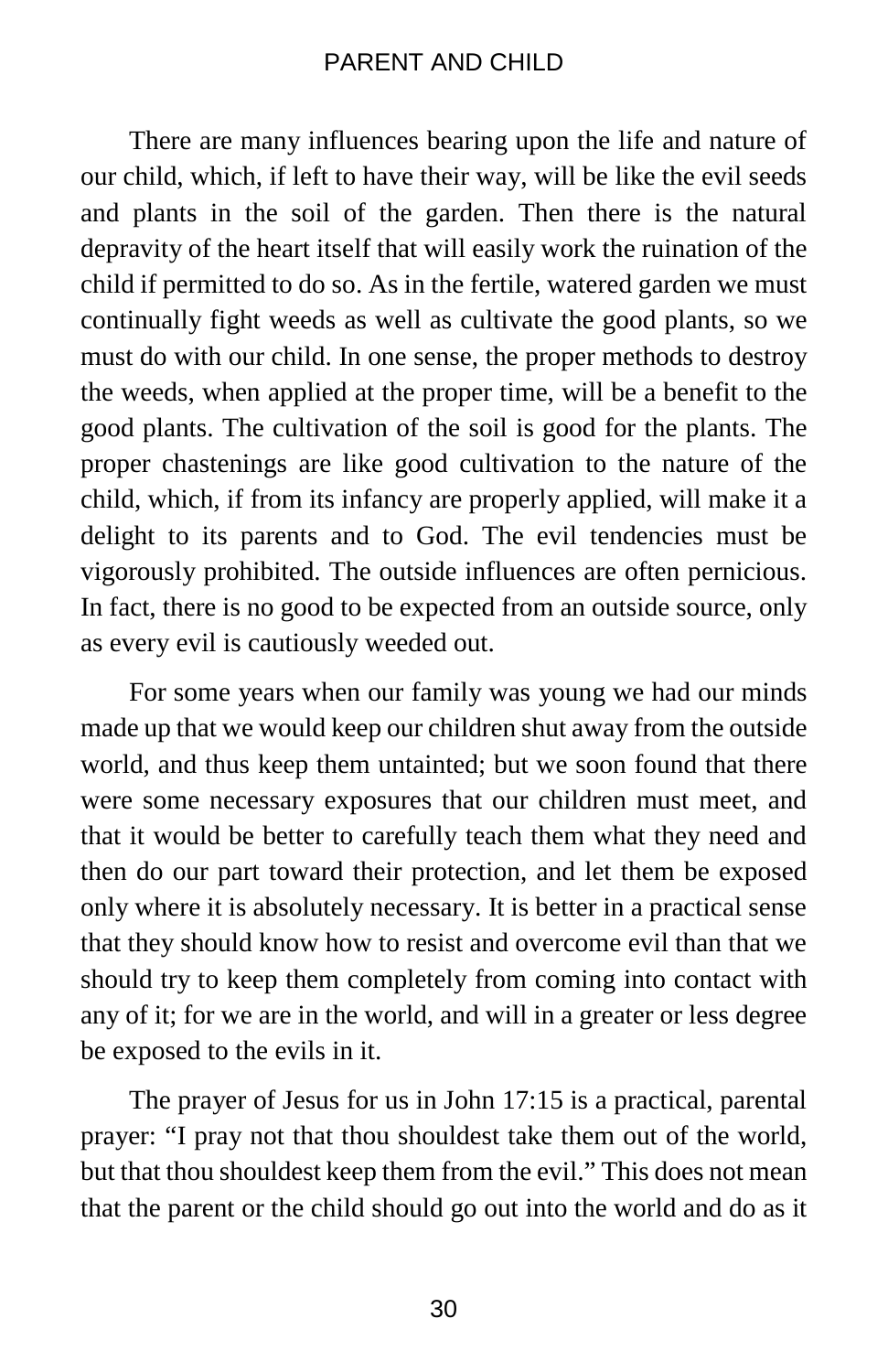There are many influences bearing upon the life and nature of our child, which, if left to have their way, will be like the evil seeds and plants in the soil of the garden. Then there is the natural depravity of the heart itself that will easily work the ruination of the child if permitted to do so. As in the fertile, watered garden we must continually fight weeds as well as cultivate the good plants, so we must do with our child. In one sense, the proper methods to destroy the weeds, when applied at the proper time, will be a benefit to the good plants. The cultivation of the soil is good for the plants. The proper chastenings are like good cultivation to the nature of the child, which, if from its infancy are properly applied, will make it a delight to its parents and to God. The evil tendencies must be vigorously prohibited. The outside influences are often pernicious. In fact, there is no good to be expected from an outside source, only as every evil is cautiously weeded out.

For some years when our family was young we had our minds made up that we would keep our children shut away from the outside world, and thus keep them untainted; but we soon found that there were some necessary exposures that our children must meet, and that it would be better to carefully teach them what they need and then do our part toward their protection, and let them be exposed only where it is absolutely necessary. It is better in a practical sense that they should know how to resist and overcome evil than that we should try to keep them completely from coming into contact with any of it; for we are in the world, and will in a greater or less degree be exposed to the evils in it.

The prayer of Jesus for us in John 17:15 is a practical, parental prayer: "I pray not that thou shouldest take them out of the world, but that thou shouldest keep them from the evil." This does not mean that the parent or the child should go out into the world and do as it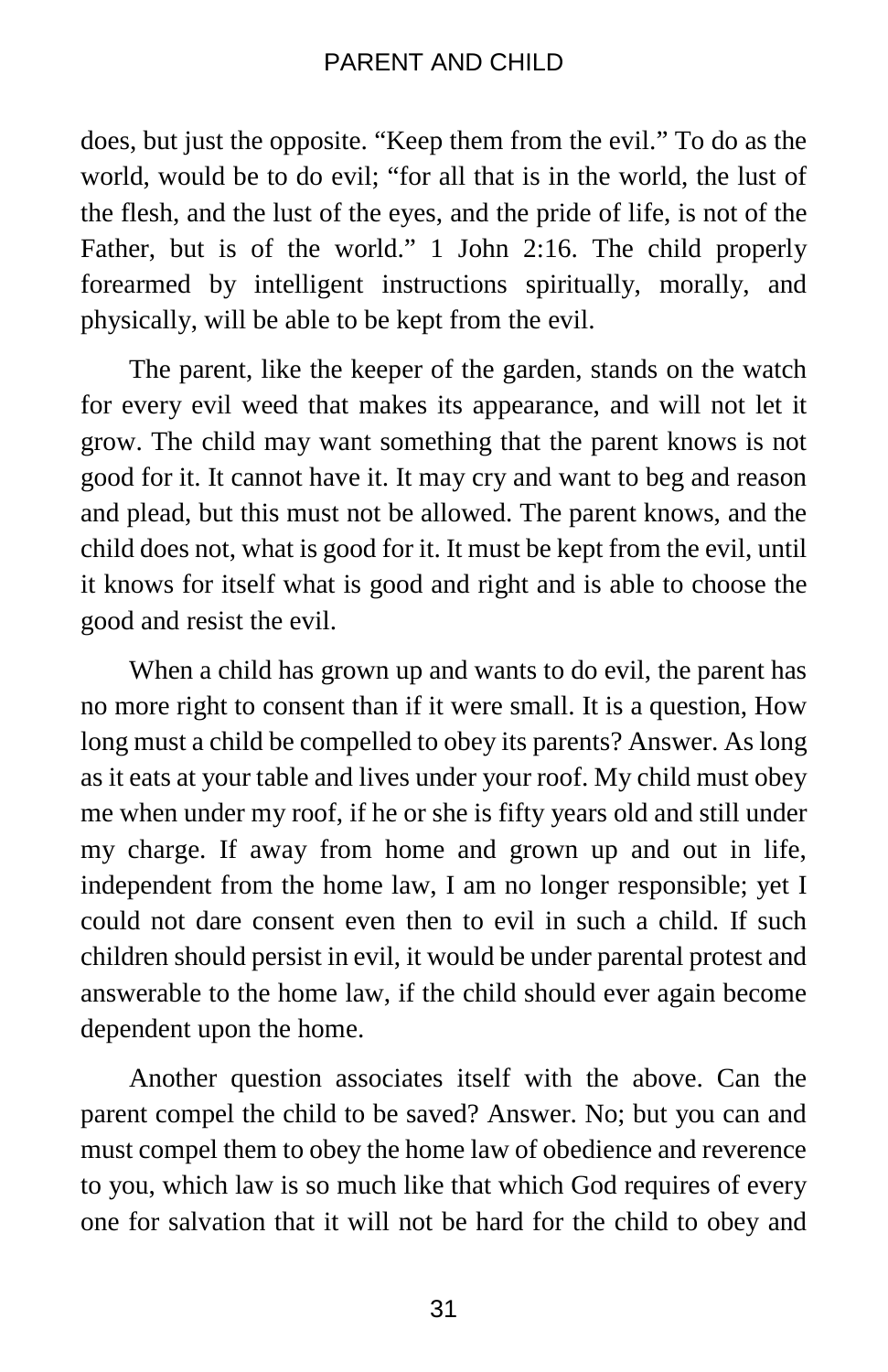does, but just the opposite. "Keep them from the evil." To do as the world, would be to do evil; "for all that is in the world, the lust of the flesh, and the lust of the eyes, and the pride of life, is not of the Father, but is of the world." 1 John 2:16. The child properly forearmed by intelligent instructions spiritually, morally, and physically, will be able to be kept from the evil.

The parent, like the keeper of the garden, stands on the watch for every evil weed that makes its appearance, and will not let it grow. The child may want something that the parent knows is not good for it. It cannot have it. It may cry and want to beg and reason and plead, but this must not be allowed. The parent knows, and the child does not, what is good for it. It must be kept from the evil, until it knows for itself what is good and right and is able to choose the good and resist the evil.

When a child has grown up and wants to do evil, the parent has no more right to consent than if it were small. It is a question, How long must a child be compelled to obey its parents? Answer. As long as it eats at your table and lives under your roof. My child must obey me when under my roof, if he or she is fifty years old and still under my charge. If away from home and grown up and out in life, independent from the home law, I am no longer responsible; yet I could not dare consent even then to evil in such a child. If such children should persist in evil, it would be under parental protest and answerable to the home law, if the child should ever again become dependent upon the home.

Another question associates itself with the above. Can the parent compel the child to be saved? Answer. No; but you can and must compel them to obey the home law of obedience and reverence to you, which law is so much like that which God requires of every one for salvation that it will not be hard for the child to obey and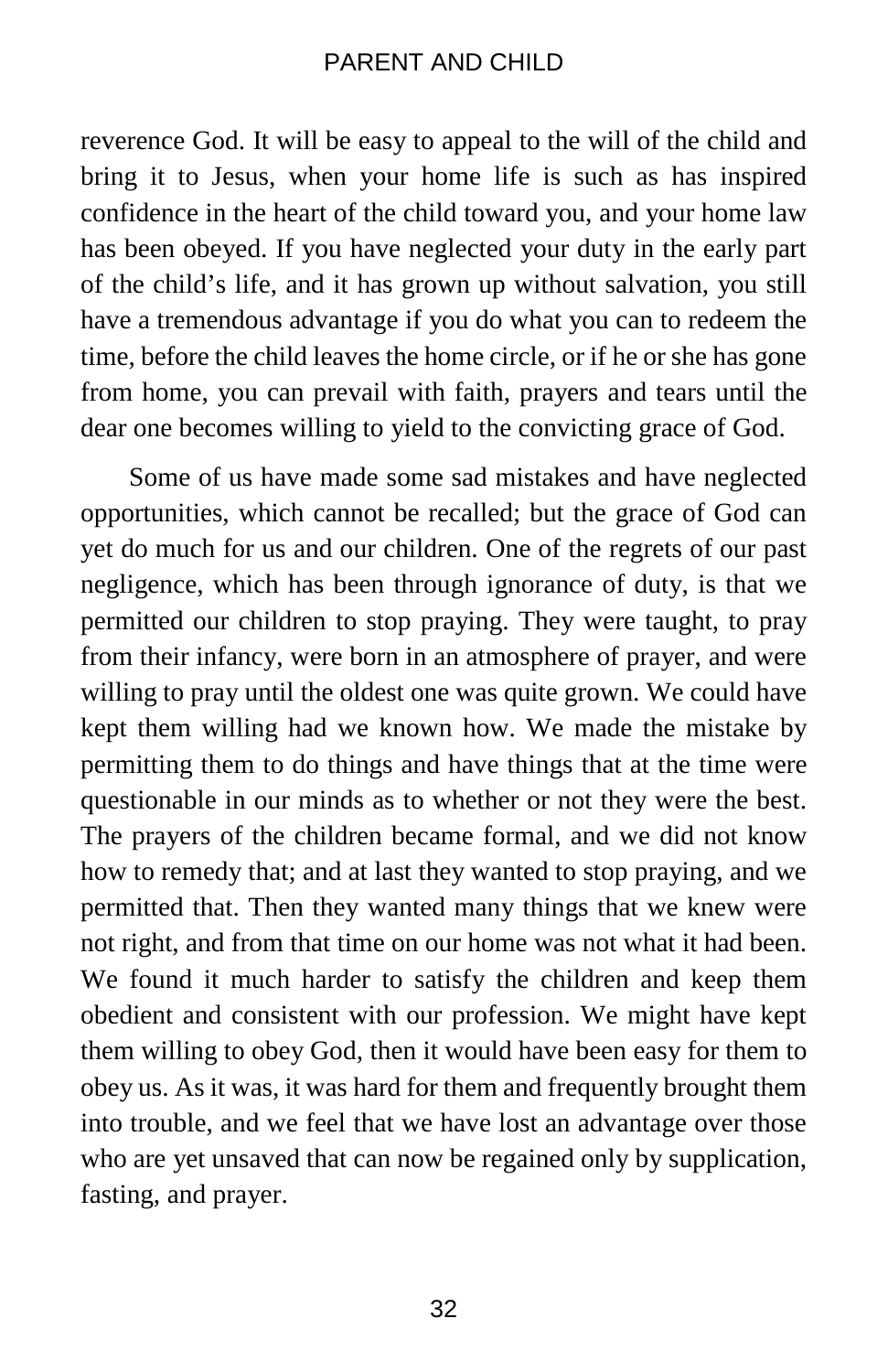reverence God. It will be easy to appeal to the will of the child and bring it to Jesus, when your home life is such as has inspired confidence in the heart of the child toward you, and your home law has been obeyed. If you have neglected your duty in the early part of the child's life, and it has grown up without salvation, you still have a tremendous advantage if you do what you can to redeem the time, before the child leaves the home circle, or if he or she has gone from home, you can prevail with faith, prayers and tears until the dear one becomes willing to yield to the convicting grace of God.

Some of us have made some sad mistakes and have neglected opportunities, which cannot be recalled; but the grace of God can yet do much for us and our children. One of the regrets of our past negligence, which has been through ignorance of duty, is that we permitted our children to stop praying. They were taught, to pray from their infancy, were born in an atmosphere of prayer, and were willing to pray until the oldest one was quite grown. We could have kept them willing had we known how. We made the mistake by permitting them to do things and have things that at the time were questionable in our minds as to whether or not they were the best. The prayers of the children became formal, and we did not know how to remedy that; and at last they wanted to stop praying, and we permitted that. Then they wanted many things that we knew were not right, and from that time on our home was not what it had been. We found it much harder to satisfy the children and keep them obedient and consistent with our profession. We might have kept them willing to obey God, then it would have been easy for them to obey us. As it was, it was hard for them and frequently brought them into trouble, and we feel that we have lost an advantage over those who are yet unsaved that can now be regained only by supplication, fasting, and prayer.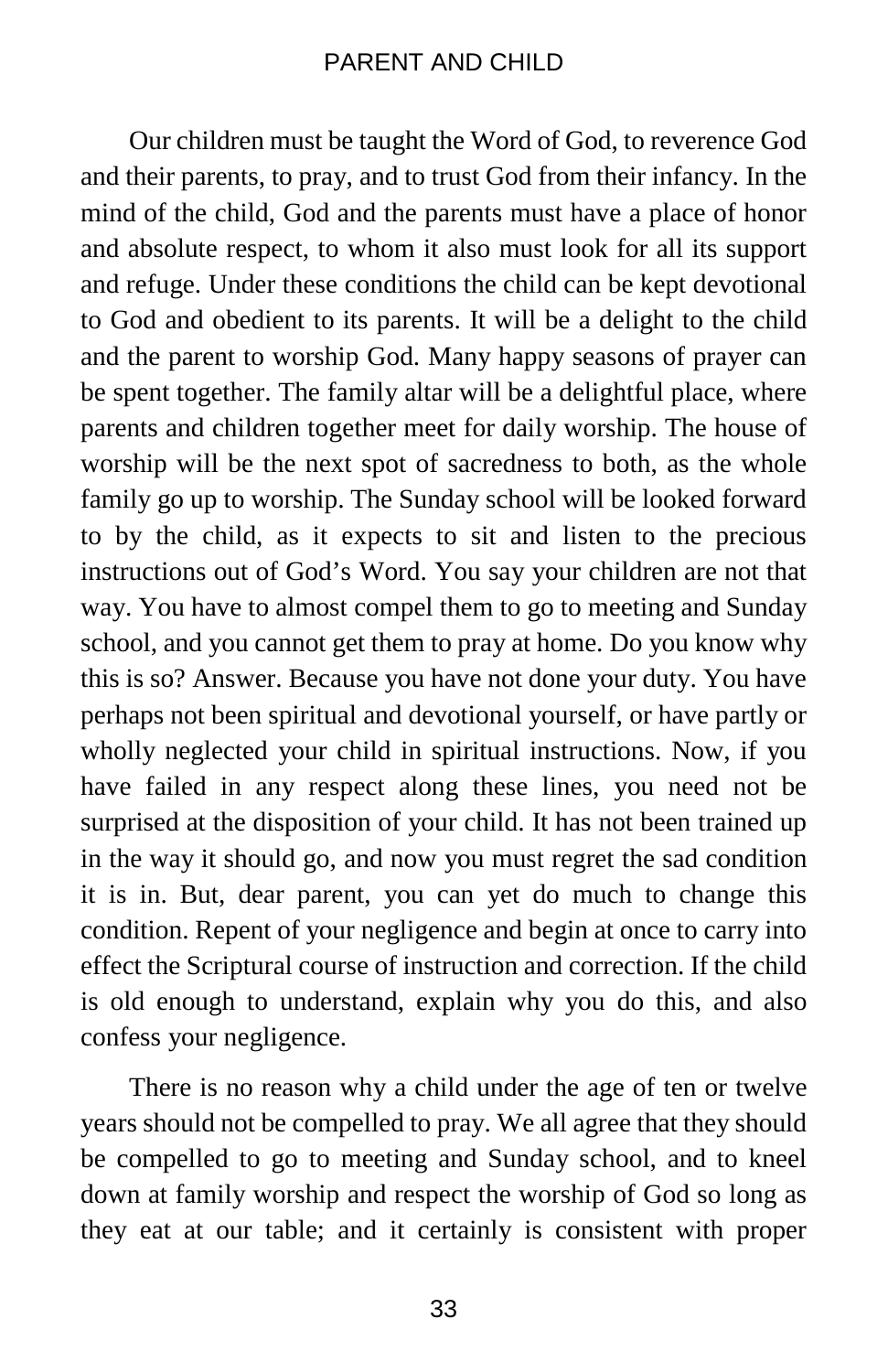Our children must be taught the Word of God, to reverence God and their parents, to pray, and to trust God from their infancy. In the mind of the child, God and the parents must have a place of honor and absolute respect, to whom it also must look for all its support and refuge. Under these conditions the child can be kept devotional to God and obedient to its parents. It will be a delight to the child and the parent to worship God. Many happy seasons of prayer can be spent together. The family altar will be a delightful place, where parents and children together meet for daily worship. The house of worship will be the next spot of sacredness to both, as the whole family go up to worship. The Sunday school will be looked forward to by the child, as it expects to sit and listen to the precious instructions out of God's Word. You say your children are not that way. You have to almost compel them to go to meeting and Sunday school, and you cannot get them to pray at home. Do you know why this is so? Answer. Because you have not done your duty. You have perhaps not been spiritual and devotional yourself, or have partly or wholly neglected your child in spiritual instructions. Now, if you have failed in any respect along these lines, you need not be surprised at the disposition of your child. It has not been trained up in the way it should go, and now you must regret the sad condition it is in. But, dear parent, you can yet do much to change this condition. Repent of your negligence and begin at once to carry into effect the Scriptural course of instruction and correction. If the child is old enough to understand, explain why you do this, and also confess your negligence.

There is no reason why a child under the age of ten or twelve years should not be compelled to pray. We all agree that they should be compelled to go to meeting and Sunday school, and to kneel down at family worship and respect the worship of God so long as they eat at our table; and it certainly is consistent with proper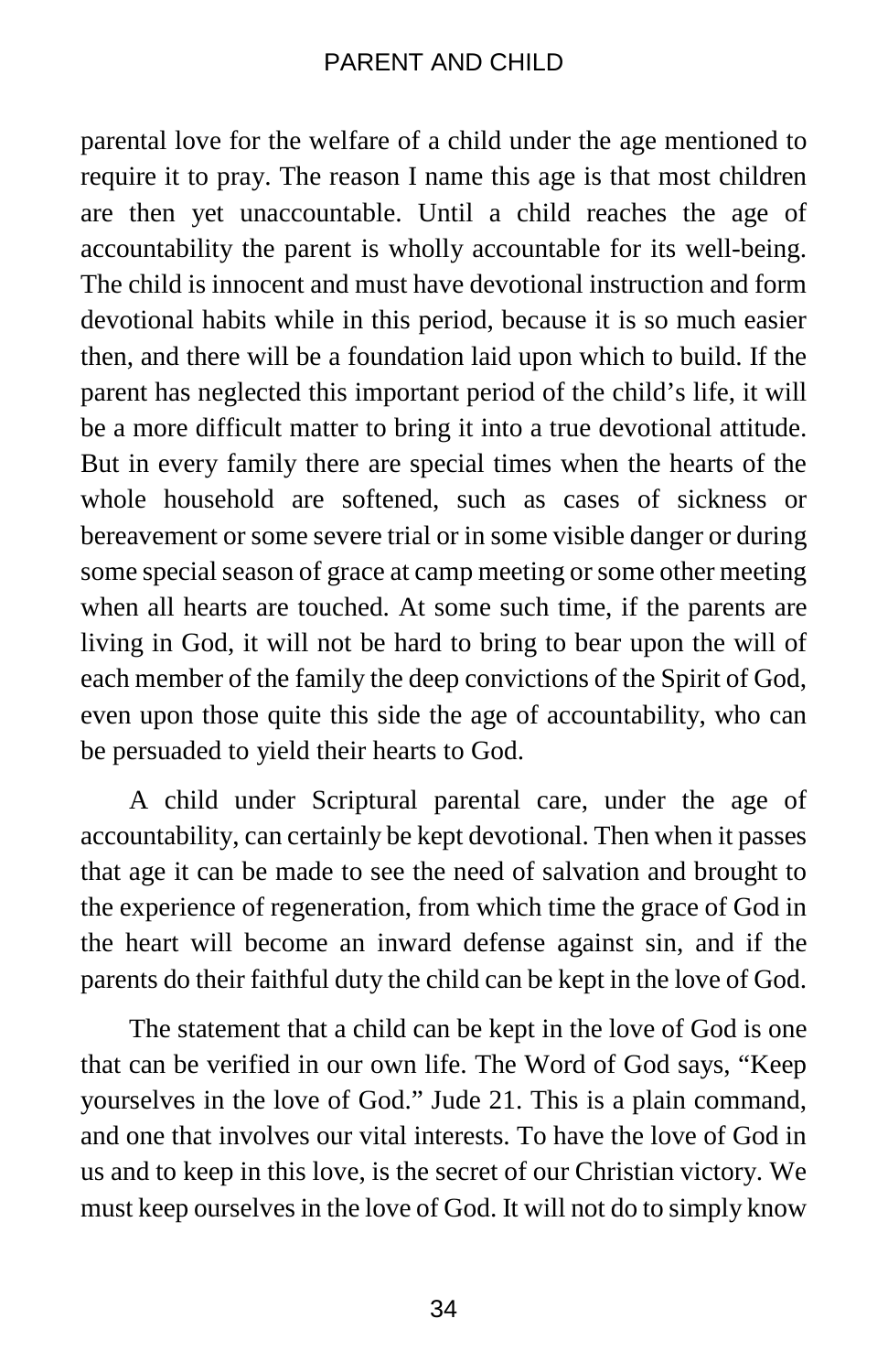parental love for the welfare of a child under the age mentioned to require it to pray. The reason I name this age is that most children are then yet unaccountable. Until a child reaches the age of accountability the parent is wholly accountable for its well-being. The child is innocent and must have devotional instruction and form devotional habits while in this period, because it is so much easier then, and there will be a foundation laid upon which to build. If the parent has neglected this important period of the child's life, it will be a more difficult matter to bring it into a true devotional attitude. But in every family there are special times when the hearts of the whole household are softened, such as cases of sickness or bereavement or some severe trial or in some visible danger or during some special season of grace at camp meeting or some other meeting when all hearts are touched. At some such time, if the parents are living in God, it will not be hard to bring to bear upon the will of each member of the family the deep convictions of the Spirit of God, even upon those quite this side the age of accountability, who can be persuaded to yield their hearts to God.

A child under Scriptural parental care, under the age of accountability, can certainly be kept devotional. Then when it passes that age it can be made to see the need of salvation and brought to the experience of regeneration, from which time the grace of God in the heart will become an inward defense against sin, and if the parents do their faithful duty the child can be kept in the love of God.

The statement that a child can be kept in the love of God is one that can be verified in our own life. The Word of God says, "Keep yourselves in the love of God." Jude 21. This is a plain command, and one that involves our vital interests. To have the love of God in us and to keep in this love, is the secret of our Christian victory. We must keep ourselves in the love of God. It will not do to simply know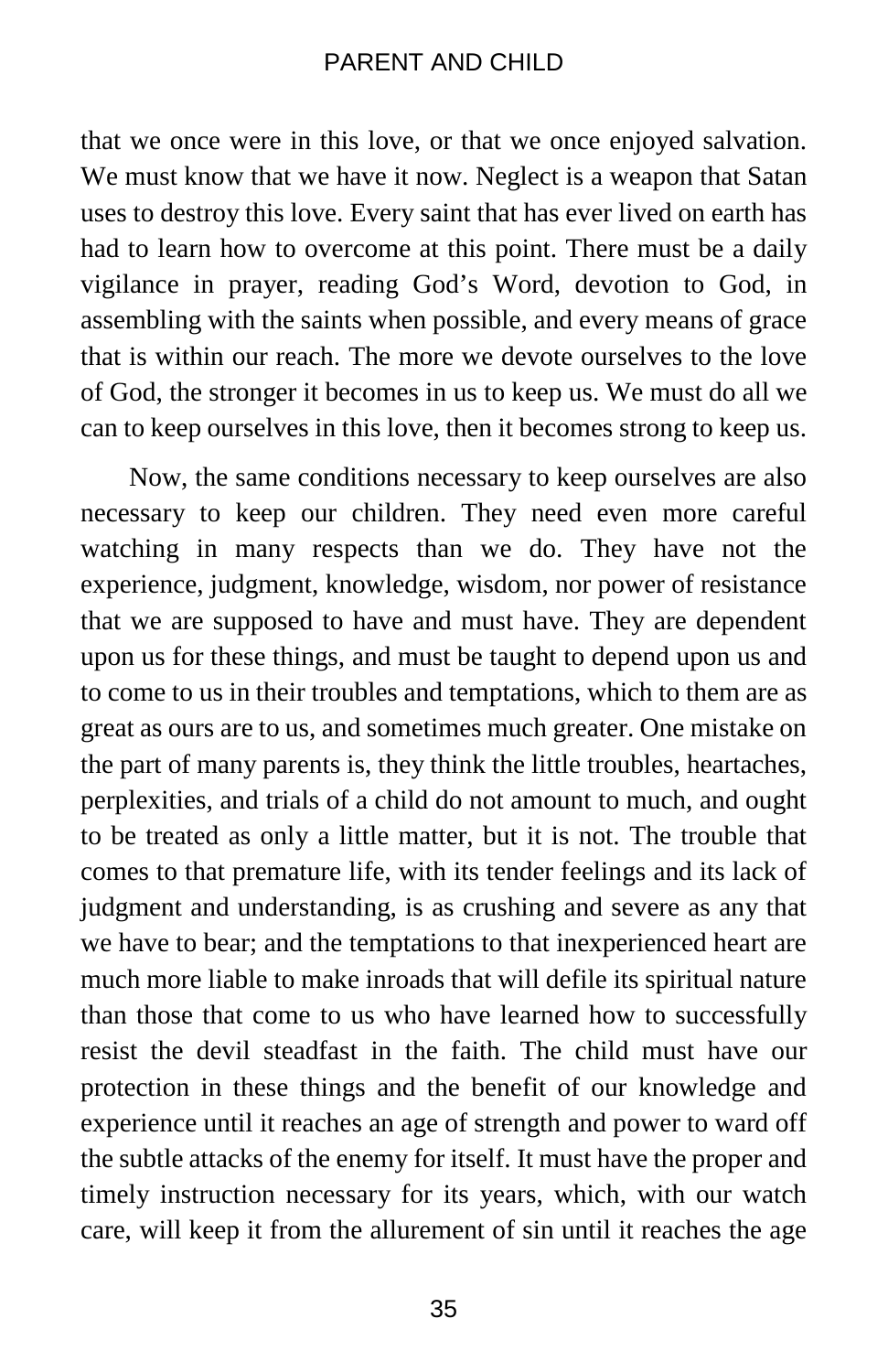that we once were in this love, or that we once enjoyed salvation. We must know that we have it now. Neglect is a weapon that Satan uses to destroy this love. Every saint that has ever lived on earth has had to learn how to overcome at this point. There must be a daily vigilance in prayer, reading God's Word, devotion to God, in assembling with the saints when possible, and every means of grace that is within our reach. The more we devote ourselves to the love of God, the stronger it becomes in us to keep us. We must do all we can to keep ourselves in this love, then it becomes strong to keep us.

Now, the same conditions necessary to keep ourselves are also necessary to keep our children. They need even more careful watching in many respects than we do. They have not the experience, judgment, knowledge, wisdom, nor power of resistance that we are supposed to have and must have. They are dependent upon us for these things, and must be taught to depend upon us and to come to us in their troubles and temptations, which to them are as great as ours are to us, and sometimes much greater. One mistake on the part of many parents is, they think the little troubles, heartaches, perplexities, and trials of a child do not amount to much, and ought to be treated as only a little matter, but it is not. The trouble that comes to that premature life, with its tender feelings and its lack of judgment and understanding, is as crushing and severe as any that we have to bear; and the temptations to that inexperienced heart are much more liable to make inroads that will defile its spiritual nature than those that come to us who have learned how to successfully resist the devil steadfast in the faith. The child must have our protection in these things and the benefit of our knowledge and experience until it reaches an age of strength and power to ward off the subtle attacks of the enemy for itself. It must have the proper and timely instruction necessary for its years, which, with our watch care, will keep it from the allurement of sin until it reaches the age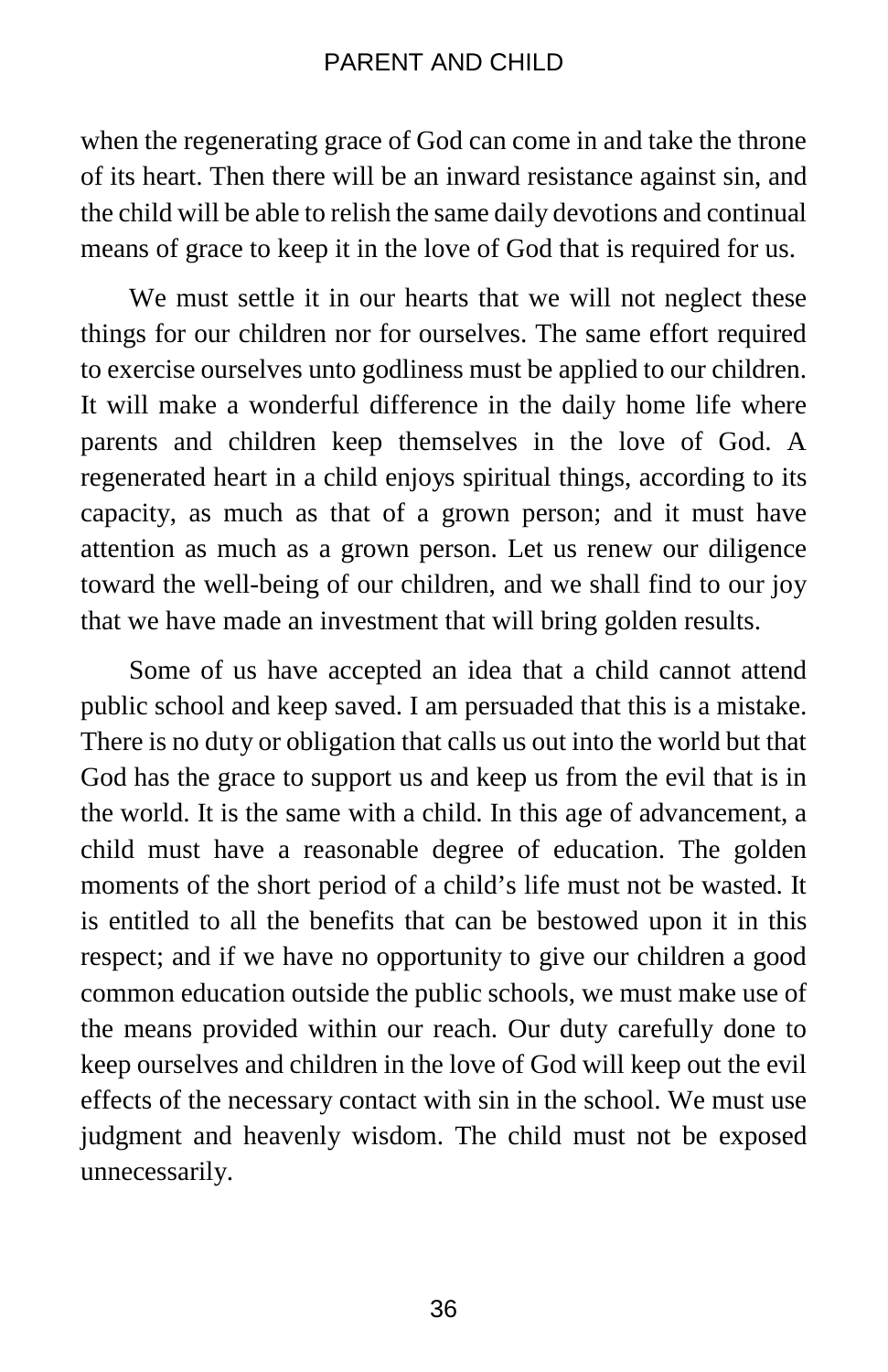when the regenerating grace of God can come in and take the throne of its heart. Then there will be an inward resistance against sin, and the child will be able to relish the same daily devotions and continual means of grace to keep it in the love of God that is required for us.

We must settle it in our hearts that we will not neglect these things for our children nor for ourselves. The same effort required to exercise ourselves unto godliness must be applied to our children. It will make a wonderful difference in the daily home life where parents and children keep themselves in the love of God. A regenerated heart in a child enjoys spiritual things, according to its capacity, as much as that of a grown person; and it must have attention as much as a grown person. Let us renew our diligence toward the well-being of our children, and we shall find to our joy that we have made an investment that will bring golden results.

Some of us have accepted an idea that a child cannot attend public school and keep saved. I am persuaded that this is a mistake. There is no duty or obligation that calls us out into the world but that God has the grace to support us and keep us from the evil that is in the world. It is the same with a child. In this age of advancement, a child must have a reasonable degree of education. The golden moments of the short period of a child's life must not be wasted. It is entitled to all the benefits that can be bestowed upon it in this respect; and if we have no opportunity to give our children a good common education outside the public schools, we must make use of the means provided within our reach. Our duty carefully done to keep ourselves and children in the love of God will keep out the evil effects of the necessary contact with sin in the school. We must use judgment and heavenly wisdom. The child must not be exposed unnecessarily.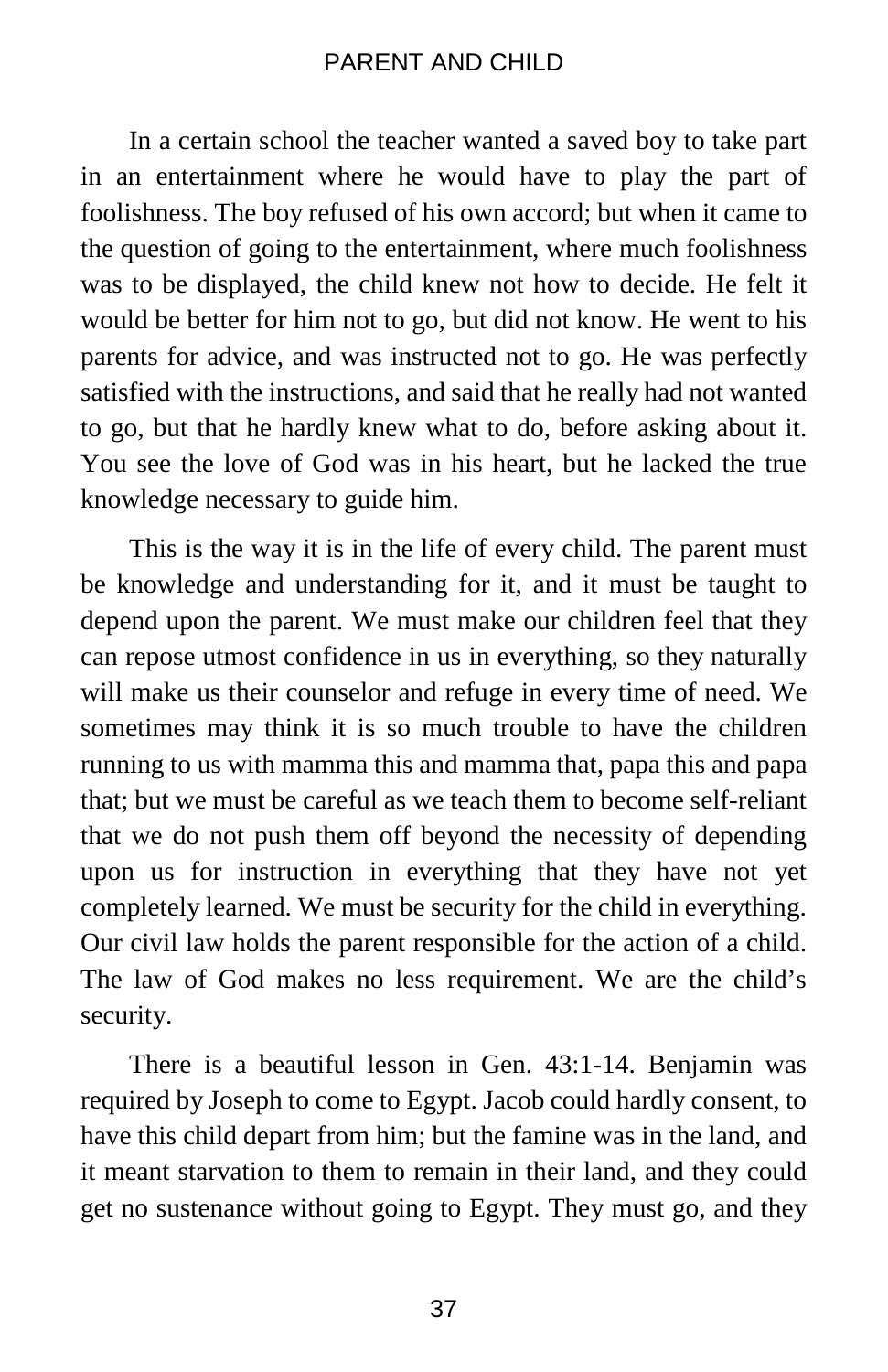In a certain school the teacher wanted a saved boy to take part in an entertainment where he would have to play the part of foolishness. The boy refused of his own accord; but when it came to the question of going to the entertainment, where much foolishness was to be displayed, the child knew not how to decide. He felt it would be better for him not to go, but did not know. He went to his parents for advice, and was instructed not to go. He was perfectly satisfied with the instructions, and said that he really had not wanted to go, but that he hardly knew what to do, before asking about it. You see the love of God was in his heart, but he lacked the true knowledge necessary to guide him.

This is the way it is in the life of every child. The parent must be knowledge and understanding for it, and it must be taught to depend upon the parent. We must make our children feel that they can repose utmost confidence in us in everything, so they naturally will make us their counselor and refuge in every time of need. We sometimes may think it is so much trouble to have the children running to us with mamma this and mamma that, papa this and papa that; but we must be careful as we teach them to become self-reliant that we do not push them off beyond the necessity of depending upon us for instruction in everything that they have not yet completely learned. We must be security for the child in everything. Our civil law holds the parent responsible for the action of a child. The law of God makes no less requirement. We are the child's security.

There is a beautiful lesson in Gen. 43:1-14. Benjamin was required by Joseph to come to Egypt. Jacob could hardly consent, to have this child depart from him; but the famine was in the land, and it meant starvation to them to remain in their land, and they could get no sustenance without going to Egypt. They must go, and they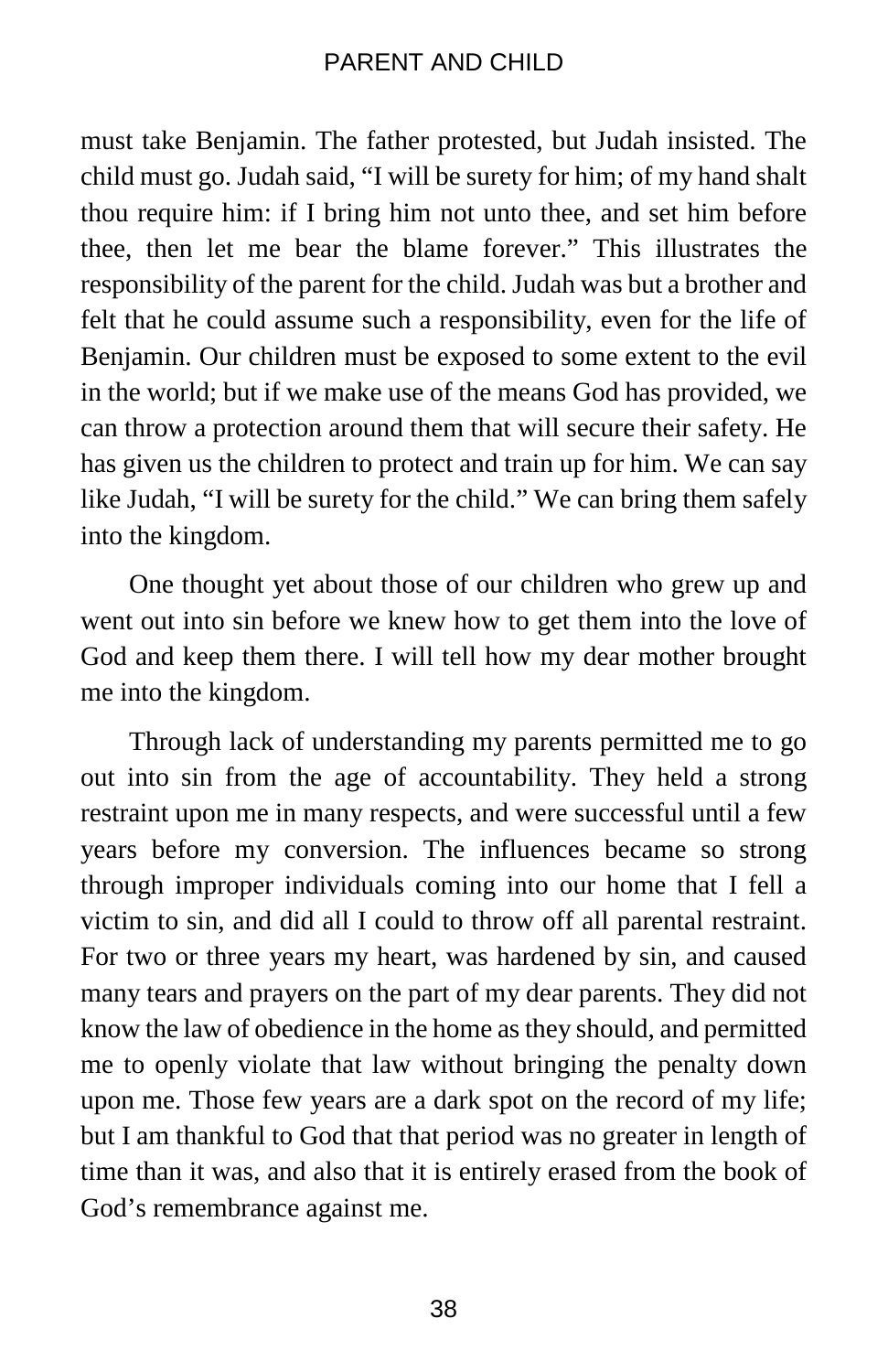must take Benjamin. The father protested, but Judah insisted. The child must go. Judah said, "I will be surety for him; of my hand shalt thou require him: if I bring him not unto thee, and set him before thee, then let me bear the blame forever." This illustrates the responsibility of the parent for the child. Judah was but a brother and felt that he could assume such a responsibility, even for the life of Benjamin. Our children must be exposed to some extent to the evil in the world; but if we make use of the means God has provided, we can throw a protection around them that will secure their safety. He has given us the children to protect and train up for him. We can say like Judah, "I will be surety for the child." We can bring them safely into the kingdom.

One thought yet about those of our children who grew up and went out into sin before we knew how to get them into the love of God and keep them there. I will tell how my dear mother brought me into the kingdom.

Through lack of understanding my parents permitted me to go out into sin from the age of accountability. They held a strong restraint upon me in many respects, and were successful until a few years before my conversion. The influences became so strong through improper individuals coming into our home that I fell a victim to sin, and did all I could to throw off all parental restraint. For two or three years my heart, was hardened by sin, and caused many tears and prayers on the part of my dear parents. They did not know the law of obedience in the home as they should, and permitted me to openly violate that law without bringing the penalty down upon me. Those few years are a dark spot on the record of my life; but I am thankful to God that that period was no greater in length of time than it was, and also that it is entirely erased from the book of God's remembrance against me.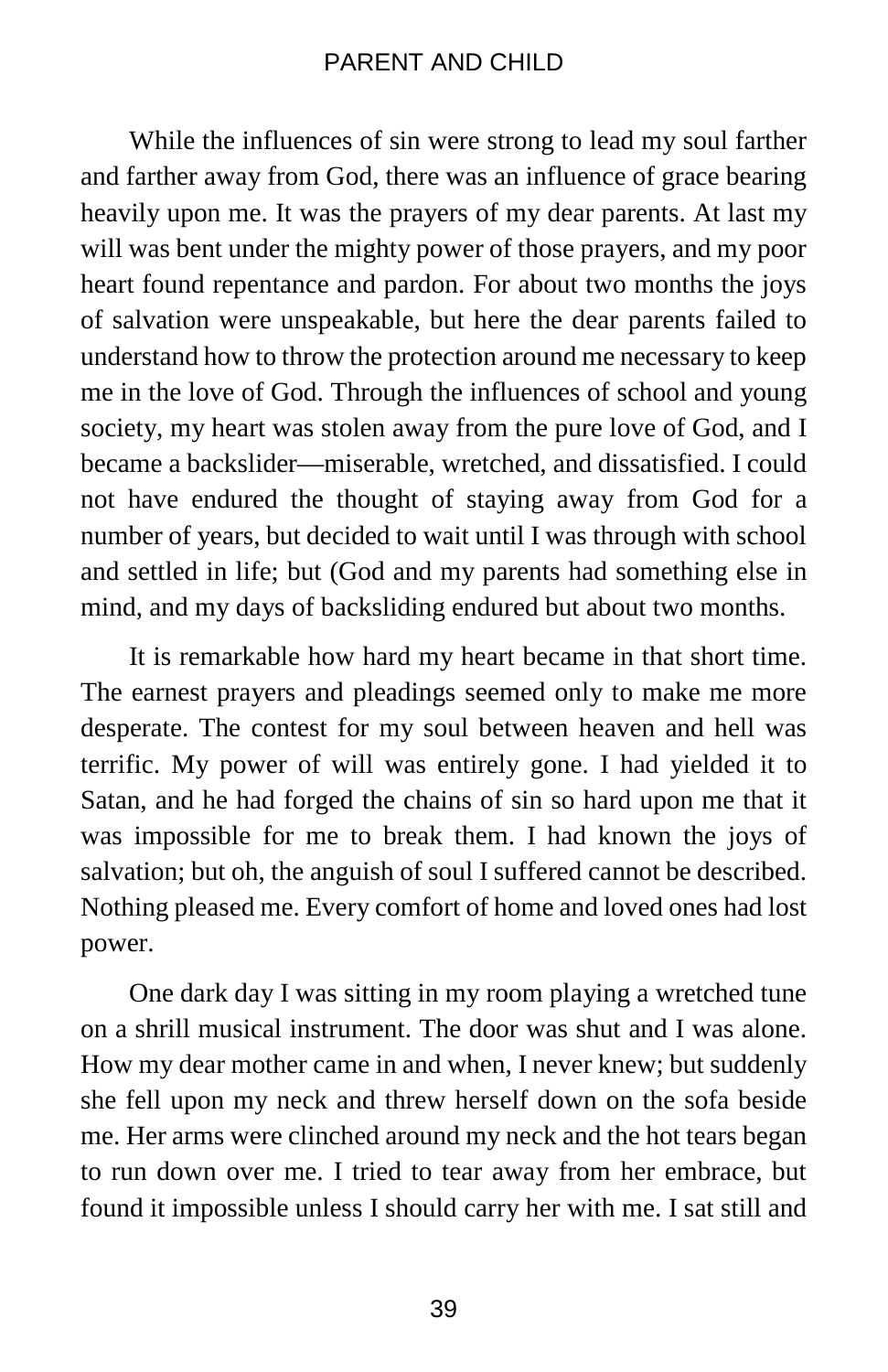While the influences of sin were strong to lead my soul farther and farther away from God, there was an influence of grace bearing heavily upon me. It was the prayers of my dear parents. At last my will was bent under the mighty power of those prayers, and my poor heart found repentance and pardon. For about two months the joys of salvation were unspeakable, but here the dear parents failed to understand how to throw the protection around me necessary to keep me in the love of God. Through the influences of school and young society, my heart was stolen away from the pure love of God, and I became a backslider—miserable, wretched, and dissatisfied. I could not have endured the thought of staying away from God for a number of years, but decided to wait until I was through with school and settled in life; but (God and my parents had something else in mind, and my days of backsliding endured but about two months.

It is remarkable how hard my heart became in that short time. The earnest prayers and pleadings seemed only to make me more desperate. The contest for my soul between heaven and hell was terrific. My power of will was entirely gone. I had yielded it to Satan, and he had forged the chains of sin so hard upon me that it was impossible for me to break them. I had known the joys of salvation; but oh, the anguish of soul I suffered cannot be described. Nothing pleased me. Every comfort of home and loved ones had lost power.

One dark day I was sitting in my room playing a wretched tune on a shrill musical instrument. The door was shut and I was alone. How my dear mother came in and when, I never knew; but suddenly she fell upon my neck and threw herself down on the sofa beside me. Her arms were clinched around my neck and the hot tears began to run down over me. I tried to tear away from her embrace, but found it impossible unless I should carry her with me. I sat still and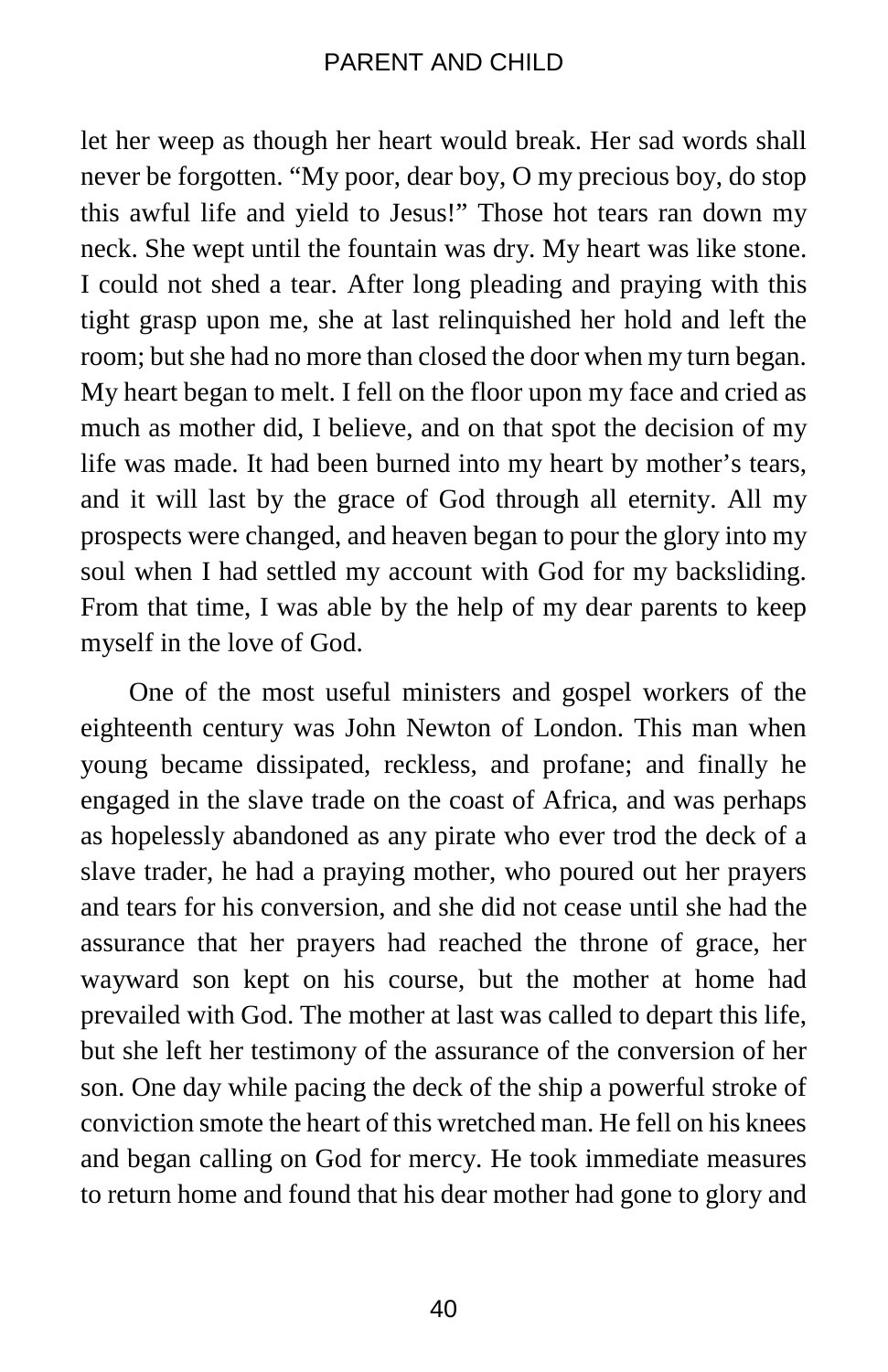let her weep as though her heart would break. Her sad words shall never be forgotten. "My poor, dear boy, O my precious boy, do stop this awful life and yield to Jesus!" Those hot tears ran down my neck. She wept until the fountain was dry. My heart was like stone. I could not shed a tear. After long pleading and praying with this tight grasp upon me, she at last relinquished her hold and left the room; but she had no more than closed the door when my turn began. My heart began to melt. I fell on the floor upon my face and cried as much as mother did, I believe, and on that spot the decision of my life was made. It had been burned into my heart by mother's tears, and it will last by the grace of God through all eternity. All my prospects were changed, and heaven began to pour the glory into my soul when I had settled my account with God for my backsliding. From that time, I was able by the help of my dear parents to keep myself in the love of God.

One of the most useful ministers and gospel workers of the eighteenth century was John Newton of London. This man when young became dissipated, reckless, and profane; and finally he engaged in the slave trade on the coast of Africa, and was perhaps as hopelessly abandoned as any pirate who ever trod the deck of a slave trader, he had a praying mother, who poured out her prayers and tears for his conversion, and she did not cease until she had the assurance that her prayers had reached the throne of grace, her wayward son kept on his course, but the mother at home had prevailed with God. The mother at last was called to depart this life, but she left her testimony of the assurance of the conversion of her son. One day while pacing the deck of the ship a powerful stroke of conviction smote the heart of this wretched man. He fell on his knees and began calling on God for mercy. He took immediate measures to return home and found that his dear mother had gone to glory and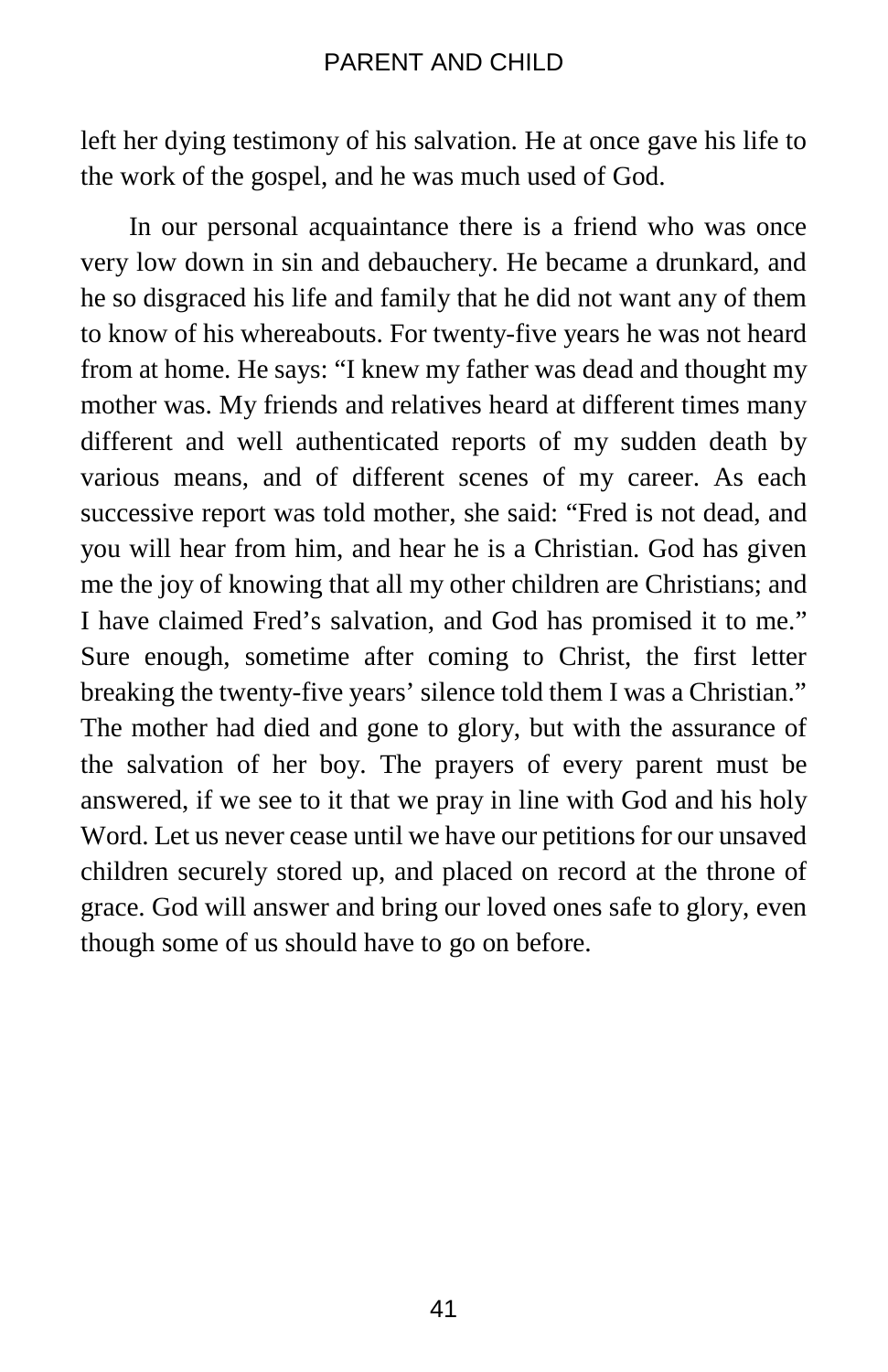left her dying testimony of his salvation. He at once gave his life to the work of the gospel, and he was much used of God.

In our personal acquaintance there is a friend who was once very low down in sin and debauchery. He became a drunkard, and he so disgraced his life and family that he did not want any of them to know of his whereabouts. For twenty-five years he was not heard from at home. He says: "I knew my father was dead and thought my mother was. My friends and relatives heard at different times many different and well authenticated reports of my sudden death by various means, and of different scenes of my career. As each successive report was told mother, she said: "Fred is not dead, and you will hear from him, and hear he is a Christian. God has given me the joy of knowing that all my other children are Christians; and I have claimed Fred's salvation, and God has promised it to me." Sure enough, sometime after coming to Christ, the first letter breaking the twenty-five years' silence told them I was a Christian." The mother had died and gone to glory, but with the assurance of the salvation of her boy. The prayers of every parent must be answered, if we see to it that we pray in line with God and his holy Word. Let us never cease until we have our petitions for our unsaved children securely stored up, and placed on record at the throne of grace. God will answer and bring our loved ones safe to glory, even though some of us should have to go on before.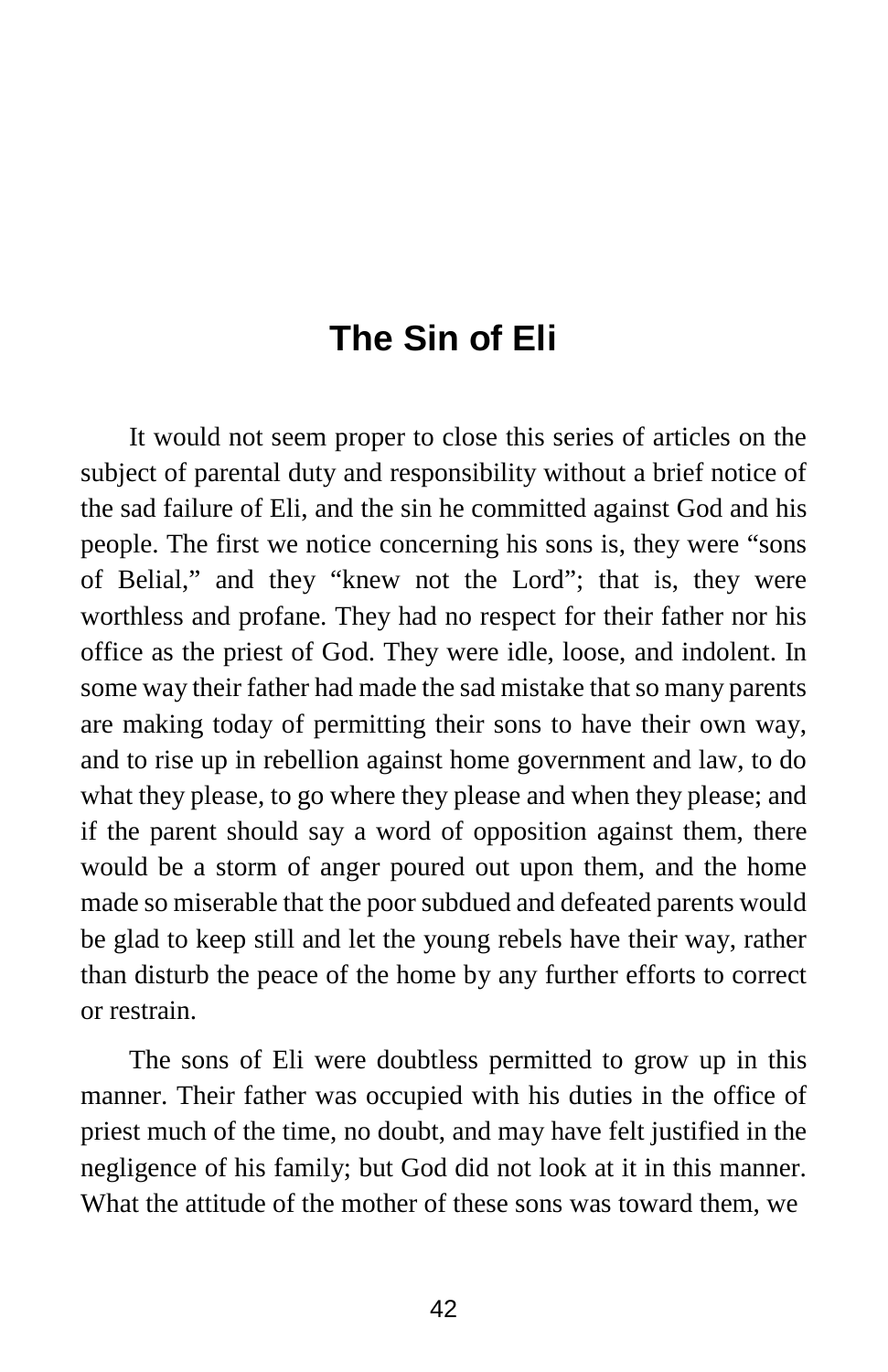## **The Sin of Eli**

It would not seem proper to close this series of articles on the subject of parental duty and responsibility without a brief notice of the sad failure of Eli, and the sin he committed against God and his people. The first we notice concerning his sons is, they were "sons of Belial," and they "knew not the Lord"; that is, they were worthless and profane. They had no respect for their father nor his office as the priest of God. They were idle, loose, and indolent. In some way their father had made the sad mistake that so many parents are making today of permitting their sons to have their own way, and to rise up in rebellion against home government and law, to do what they please, to go where they please and when they please; and if the parent should say a word of opposition against them, there would be a storm of anger poured out upon them, and the home made so miserable that the poor subdued and defeated parents would be glad to keep still and let the young rebels have their way, rather than disturb the peace of the home by any further efforts to correct or restrain.

The sons of Eli were doubtless permitted to grow up in this manner. Their father was occupied with his duties in the office of priest much of the time, no doubt, and may have felt justified in the negligence of his family; but God did not look at it in this manner. What the attitude of the mother of these sons was toward them, we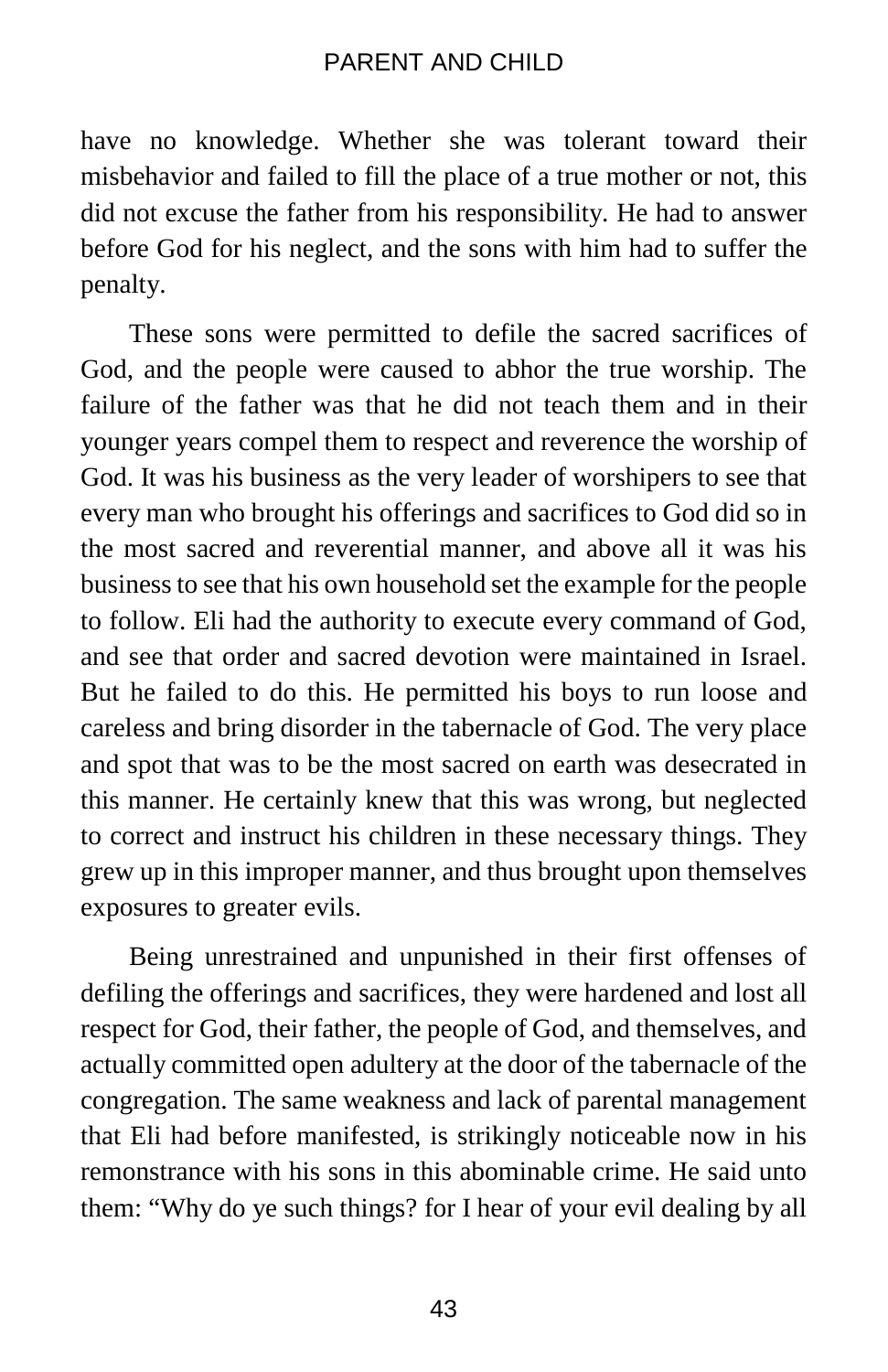have no knowledge. Whether she was tolerant toward their misbehavior and failed to fill the place of a true mother or not, this did not excuse the father from his responsibility. He had to answer before God for his neglect, and the sons with him had to suffer the penalty.

These sons were permitted to defile the sacred sacrifices of God, and the people were caused to abhor the true worship. The failure of the father was that he did not teach them and in their younger years compel them to respect and reverence the worship of God. It was his business as the very leader of worshipers to see that every man who brought his offerings and sacrifices to God did so in the most sacred and reverential manner, and above all it was his business to see that his own household set the example for the people to follow. Eli had the authority to execute every command of God, and see that order and sacred devotion were maintained in Israel. But he failed to do this. He permitted his boys to run loose and careless and bring disorder in the tabernacle of God. The very place and spot that was to be the most sacred on earth was desecrated in this manner. He certainly knew that this was wrong, but neglected to correct and instruct his children in these necessary things. They grew up in this improper manner, and thus brought upon themselves exposures to greater evils.

Being unrestrained and unpunished in their first offenses of defiling the offerings and sacrifices, they were hardened and lost all respect for God, their father, the people of God, and themselves, and actually committed open adultery at the door of the tabernacle of the congregation. The same weakness and lack of parental management that Eli had before manifested, is strikingly noticeable now in his remonstrance with his sons in this abominable crime. He said unto them: "Why do ye such things? for I hear of your evil dealing by all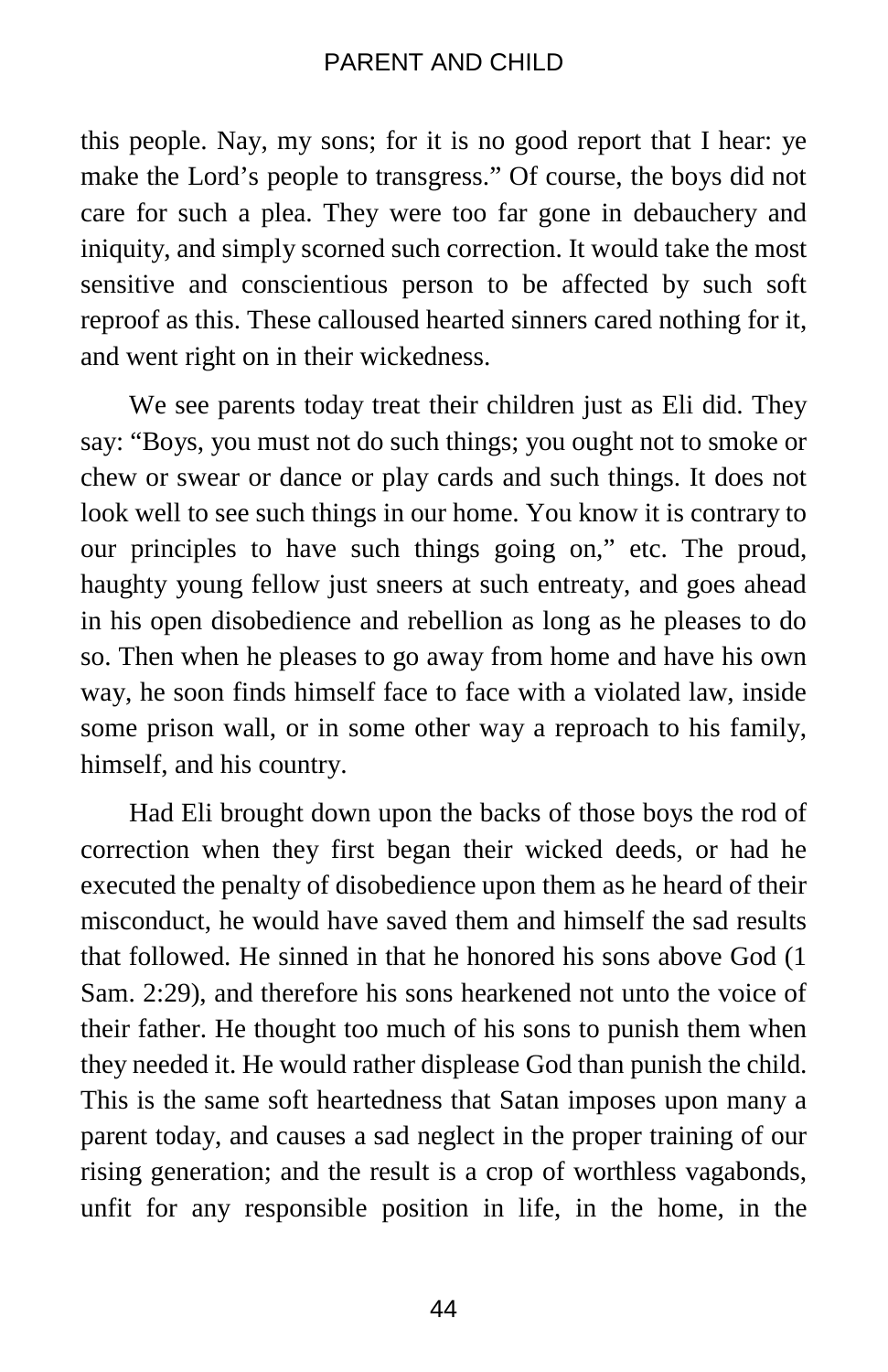this people. Nay, my sons; for it is no good report that I hear: ye make the Lord's people to transgress." Of course, the boys did not care for such a plea. They were too far gone in debauchery and iniquity, and simply scorned such correction. It would take the most sensitive and conscientious person to be affected by such soft reproof as this. These calloused hearted sinners cared nothing for it, and went right on in their wickedness.

We see parents today treat their children just as Eli did. They say: "Boys, you must not do such things; you ought not to smoke or chew or swear or dance or play cards and such things. It does not look well to see such things in our home. You know it is contrary to our principles to have such things going on," etc. The proud, haughty young fellow just sneers at such entreaty, and goes ahead in his open disobedience and rebellion as long as he pleases to do so. Then when he pleases to go away from home and have his own way, he soon finds himself face to face with a violated law, inside some prison wall, or in some other way a reproach to his family, himself, and his country.

Had Eli brought down upon the backs of those boys the rod of correction when they first began their wicked deeds, or had he executed the penalty of disobedience upon them as he heard of their misconduct, he would have saved them and himself the sad results that followed. He sinned in that he honored his sons above God (1 Sam. 2:29), and therefore his sons hearkened not unto the voice of their father. He thought too much of his sons to punish them when they needed it. He would rather displease God than punish the child. This is the same soft heartedness that Satan imposes upon many a parent today, and causes a sad neglect in the proper training of our rising generation; and the result is a crop of worthless vagabonds, unfit for any responsible position in life, in the home, in the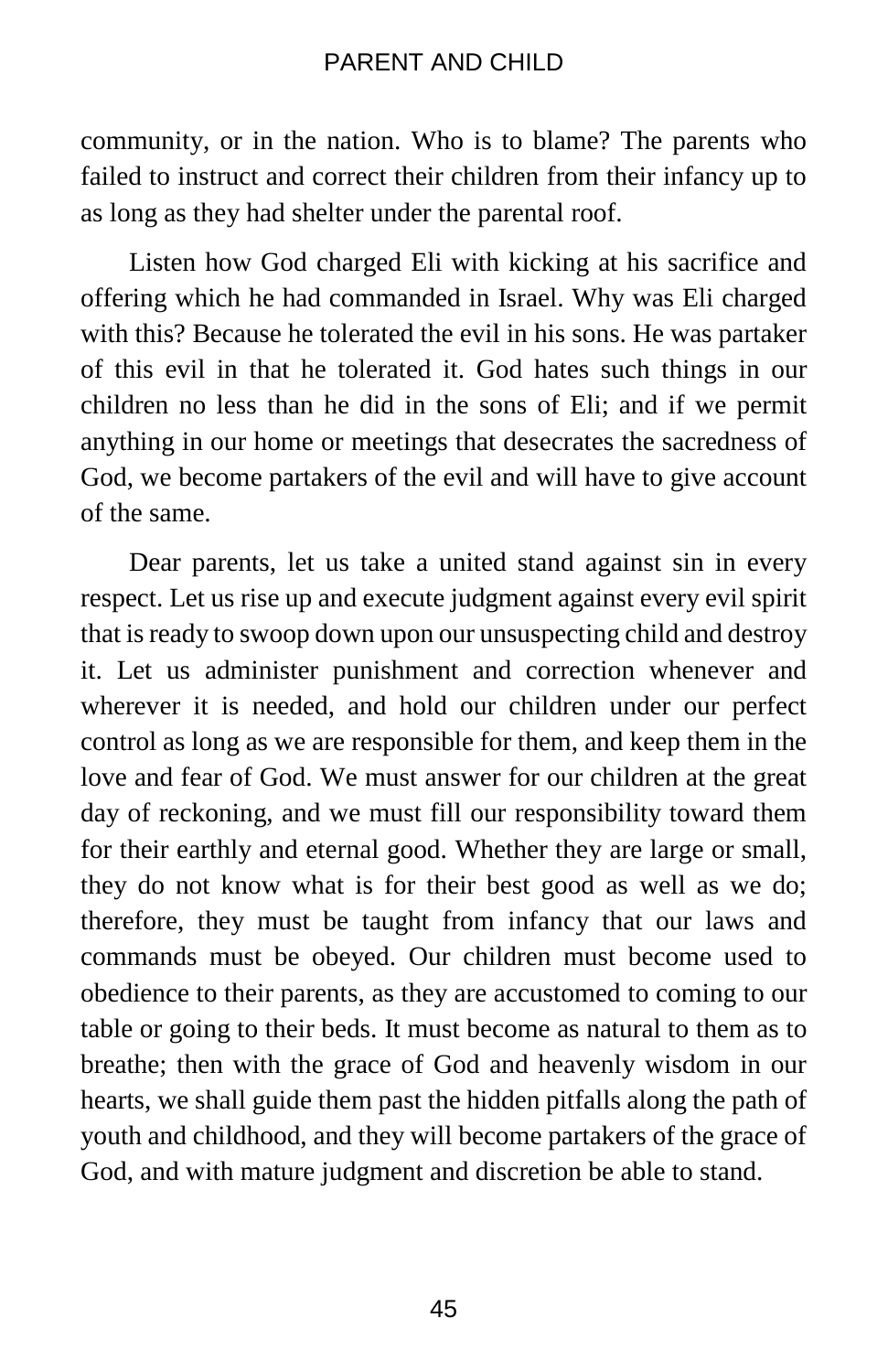community, or in the nation. Who is to blame? The parents who failed to instruct and correct their children from their infancy up to as long as they had shelter under the parental roof.

Listen how God charged Eli with kicking at his sacrifice and offering which he had commanded in Israel. Why was Eli charged with this? Because he tolerated the evil in his sons. He was partaker of this evil in that he tolerated it. God hates such things in our children no less than he did in the sons of Eli; and if we permit anything in our home or meetings that desecrates the sacredness of God, we become partakers of the evil and will have to give account of the same.

Dear parents, let us take a united stand against sin in every respect. Let us rise up and execute judgment against every evil spirit that is ready to swoop down upon our unsuspecting child and destroy it. Let us administer punishment and correction whenever and wherever it is needed, and hold our children under our perfect control as long as we are responsible for them, and keep them in the love and fear of God. We must answer for our children at the great day of reckoning, and we must fill our responsibility toward them for their earthly and eternal good. Whether they are large or small, they do not know what is for their best good as well as we do; therefore, they must be taught from infancy that our laws and commands must be obeyed. Our children must become used to obedience to their parents, as they are accustomed to coming to our table or going to their beds. It must become as natural to them as to breathe; then with the grace of God and heavenly wisdom in our hearts, we shall guide them past the hidden pitfalls along the path of youth and childhood, and they will become partakers of the grace of God, and with mature judgment and discretion be able to stand.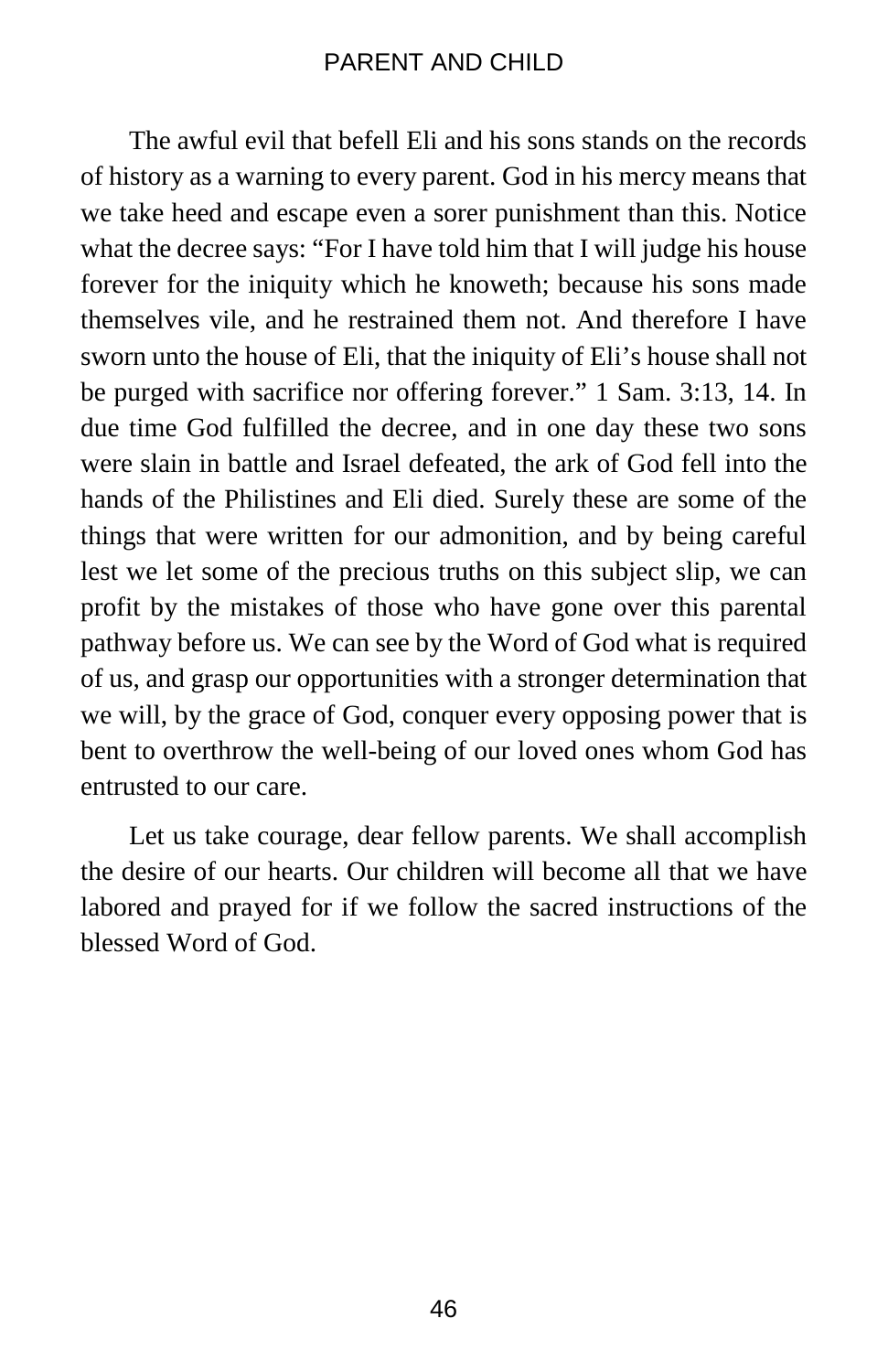The awful evil that befell Eli and his sons stands on the records of history as a warning to every parent. God in his mercy means that we take heed and escape even a sorer punishment than this. Notice what the decree says: "For I have told him that I will judge his house forever for the iniquity which he knoweth; because his sons made themselves vile, and he restrained them not. And therefore I have sworn unto the house of Eli, that the iniquity of Eli's house shall not be purged with sacrifice nor offering forever." 1 Sam. 3:13, 14. In due time God fulfilled the decree, and in one day these two sons were slain in battle and Israel defeated, the ark of God fell into the hands of the Philistines and Eli died. Surely these are some of the things that were written for our admonition, and by being careful lest we let some of the precious truths on this subject slip, we can profit by the mistakes of those who have gone over this parental pathway before us. We can see by the Word of God what is required of us, and grasp our opportunities with a stronger determination that we will, by the grace of God, conquer every opposing power that is bent to overthrow the well-being of our loved ones whom God has entrusted to our care.

Let us take courage, dear fellow parents. We shall accomplish the desire of our hearts. Our children will become all that we have labored and prayed for if we follow the sacred instructions of the blessed Word of God.